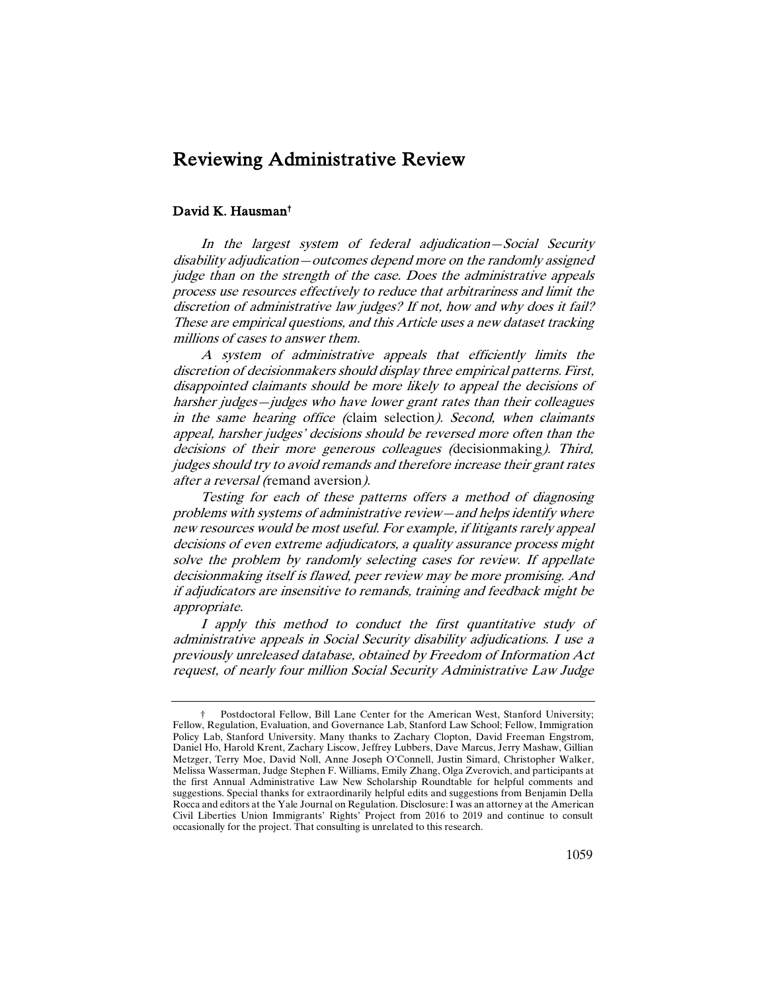# Reviewing Administrative Review

## David K. Hausman†

In the largest system of federal adjudication—Social Security disability adjudication—outcomes depend more on the randomly assigned judge than on the strength of the case. Does the administrative appeals process use resources effectively to reduce that arbitrariness and limit the discretion of administrative law judges? If not, how and why does it fail? These are empirical questions, and this Article uses a new dataset tracking millions of cases to answer them.

A system of administrative appeals that efficiently limits the discretion of decisionmakers should display three empirical patterns. First, disappointed claimants should be more likely to appeal the decisions of harsher judges—judges who have lower grant rates than their colleagues in the same hearing office (claim selection). Second, when claimants appeal, harsher judges' decisions should be reversed more often than the decisions of their more generous colleagues (decisionmaking). Third, judges should try to avoid remands and therefore increase their grant rates after a reversal (remand aversion).

Testing for each of these patterns offers a method of diagnosing problems with systems of administrative review—and helps identify where new resources would be most useful. For example, if litigants rarely appeal decisions of even extreme adjudicators, a quality assurance process might solve the problem by randomly selecting cases for review. If appellate decisionmaking itself is flawed, peer review may be more promising. And if adjudicators are insensitive to remands, training and feedback might be appropriate.

I apply this method to conduct the first quantitative study of administrative appeals in Social Security disability adjudications. I use a previously unreleased database, obtained by Freedom of Information Act request, of nearly four million Social Security Administrative Law Judge

<sup>†</sup> Postdoctoral Fellow, Bill Lane Center for the American West, Stanford University; Fellow, Regulation, Evaluation, and Governance Lab, Stanford Law School; Fellow, Immigration Policy Lab, Stanford University. Many thanks to Zachary Clopton, David Freeman Engstrom, Daniel Ho, Harold Krent, Zachary Liscow, Jeffrey Lubbers, Dave Marcus, Jerry Mashaw, Gillian Metzger, Terry Moe, David Noll, Anne Joseph O'Connell, Justin Simard, Christopher Walker, Melissa Wasserman, Judge Stephen F. Williams, Emily Zhang, Olga Zverovich, and participants at the first Annual Administrative Law New Scholarship Roundtable for helpful comments and suggestions. Special thanks for extraordinarily helpful edits and suggestions from Benjamin Della Rocca and editors at the Yale Journal on Regulation. Disclosure: I was an attorney at the American Civil Liberties Union Immigrants' Rights' Project from 2016 to 2019 and continue to consult occasionally for the project. That consulting is unrelated to this research.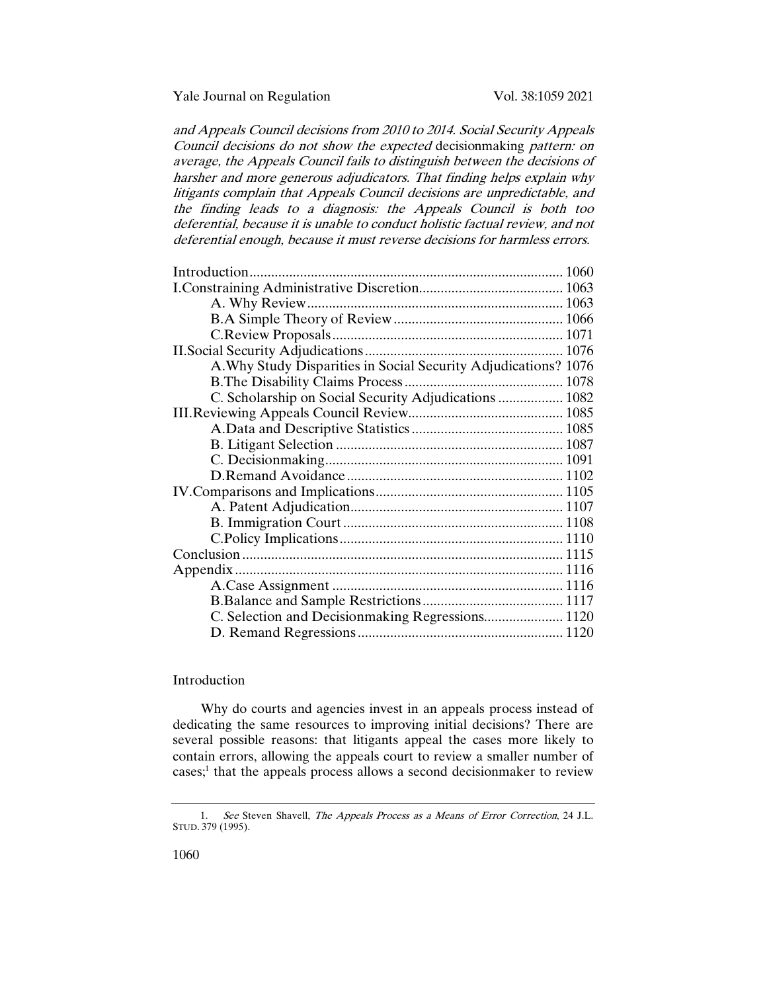Yale Journal on Regulation Vol. 38:1059 2021

and Appeals Council decisions from 2010 to 2014. Social Security Appeals Council decisions do not show the expected decisionmaking pattern: on average, the Appeals Council fails to distinguish between the decisions of harsher and more generous adjudicators. That finding helps explain why litigants complain that Appeals Council decisions are unpredictable, and the finding leads to a diagnosis: the Appeals Council is both too deferential, because it is unable to conduct holistic factual review, and not deferential enough, because it must reverse decisions for harmless errors.

| A. Why Study Disparities in Social Security Adjudications? 1076 |  |
|-----------------------------------------------------------------|--|
|                                                                 |  |
| C. Scholarship on Social Security Adjudications  1082           |  |
|                                                                 |  |
|                                                                 |  |
|                                                                 |  |
|                                                                 |  |
|                                                                 |  |
|                                                                 |  |
|                                                                 |  |
|                                                                 |  |
|                                                                 |  |
|                                                                 |  |
|                                                                 |  |
|                                                                 |  |
|                                                                 |  |
| C. Selection and Decisionmaking Regressions 1120                |  |
|                                                                 |  |

#### Introduction

Why do courts and agencies invest in an appeals process instead of dedicating the same resources to improving initial decisions? There are several possible reasons: that litigants appeal the cases more likely to contain errors, allowing the appeals court to review a smaller number of cases;<sup>1</sup> that the appeals process allows a second decisionmaker to review

<sup>1.</sup> See Steven Shavell, The Appeals Process as a Means of Error Correction, 24 J.L. STUD. 379 (1995).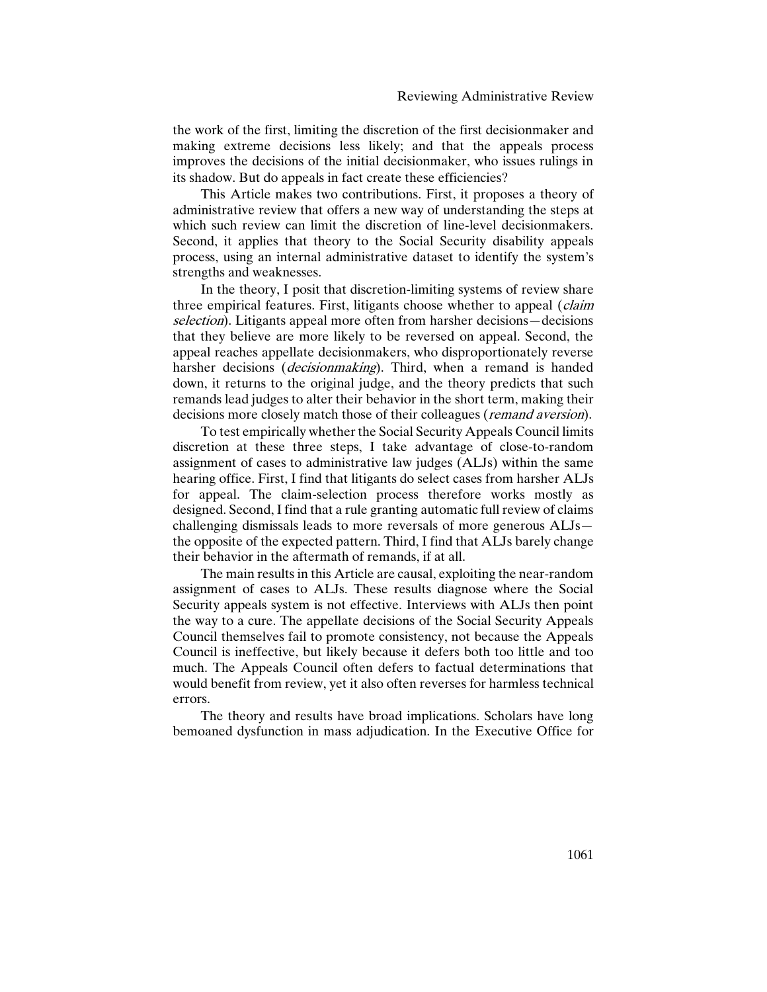the work of the first, limiting the discretion of the first decisionmaker and making extreme decisions less likely; and that the appeals process improves the decisions of the initial decisionmaker, who issues rulings in its shadow. But do appeals in fact create these efficiencies?

This Article makes two contributions. First, it proposes a theory of administrative review that offers a new way of understanding the steps at which such review can limit the discretion of line-level decisionmakers. Second, it applies that theory to the Social Security disability appeals process, using an internal administrative dataset to identify the system's strengths and weaknesses.

In the theory, I posit that discretion-limiting systems of review share three empirical features. First, litigants choose whether to appeal (*claim* selection). Litigants appeal more often from harsher decisions—decisions that they believe are more likely to be reversed on appeal. Second, the appeal reaches appellate decisionmakers, who disproportionately reverse harsher decisions (*decisionmaking*). Third, when a remand is handed down, it returns to the original judge, and the theory predicts that such remands lead judges to alter their behavior in the short term, making their decisions more closely match those of their colleagues (remand aversion).

To test empirically whether the Social Security Appeals Council limits discretion at these three steps, I take advantage of close-to-random assignment of cases to administrative law judges (ALJs) within the same hearing office. First, I find that litigants do select cases from harsher ALJs for appeal. The claim-selection process therefore works mostly as designed. Second, I find that a rule granting automatic full review of claims challenging dismissals leads to more reversals of more generous ALJs the opposite of the expected pattern. Third, I find that ALJs barely change their behavior in the aftermath of remands, if at all.

The main results in this Article are causal, exploiting the near-random assignment of cases to ALJs. These results diagnose where the Social Security appeals system is not effective. Interviews with ALJs then point the way to a cure. The appellate decisions of the Social Security Appeals Council themselves fail to promote consistency, not because the Appeals Council is ineffective, but likely because it defers both too little and too much. The Appeals Council often defers to factual determinations that would benefit from review, yet it also often reverses for harmless technical errors.

The theory and results have broad implications. Scholars have long bemoaned dysfunction in mass adjudication. In the Executive Office for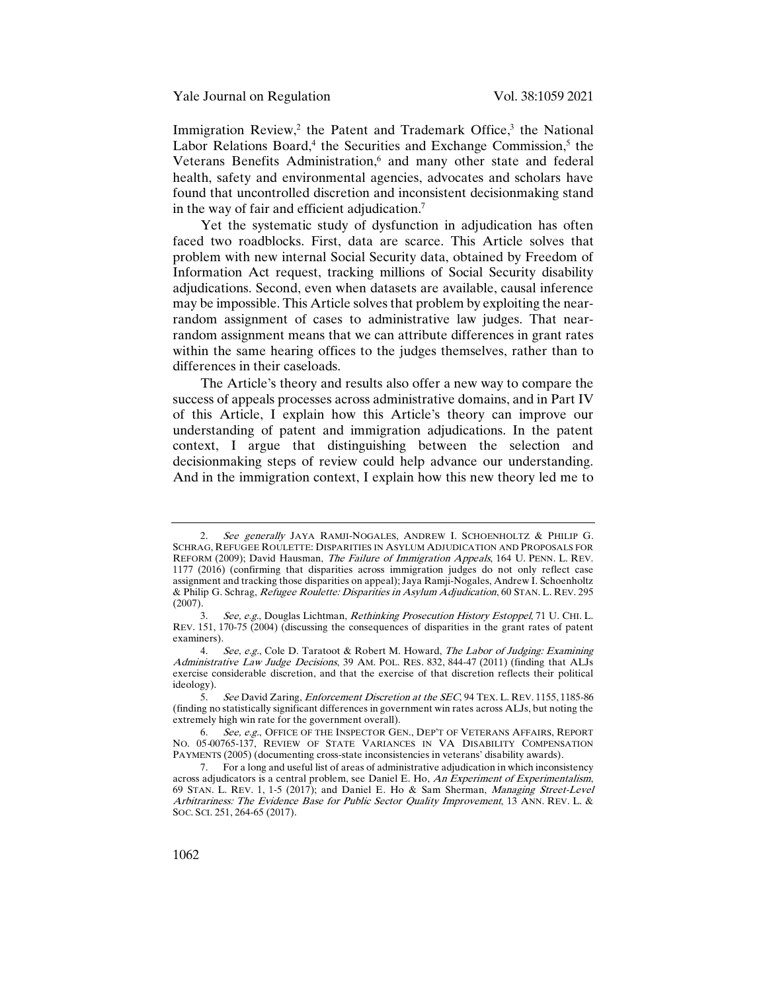Immigration Review,<sup>2</sup> the Patent and Trademark Office,<sup>3</sup> the National Labor Relations Board,<sup>4</sup> the Securities and Exchange Commission,<sup>5</sup> the Veterans Benefits Administration,<sup>6</sup> and many other state and federal health, safety and environmental agencies, advocates and scholars have found that uncontrolled discretion and inconsistent decisionmaking stand in the way of fair and efficient adjudication.7

Yet the systematic study of dysfunction in adjudication has often faced two roadblocks. First, data are scarce. This Article solves that problem with new internal Social Security data, obtained by Freedom of Information Act request, tracking millions of Social Security disability adjudications. Second, even when datasets are available, causal inference may be impossible. This Article solves that problem by exploiting the nearrandom assignment of cases to administrative law judges. That nearrandom assignment means that we can attribute differences in grant rates within the same hearing offices to the judges themselves, rather than to differences in their caseloads.

The Article's theory and results also offer a new way to compare the success of appeals processes across administrative domains, and in Part IV of this Article, I explain how this Article's theory can improve our understanding of patent and immigration adjudications. In the patent context, I argue that distinguishing between the selection and decisionmaking steps of review could help advance our understanding. And in the immigration context, I explain how this new theory led me to

See generally JAYA RAMJI-NOGALES, ANDREW I. SCHOENHOLTZ & PHILIP G. SCHRAG, REFUGEE ROULETTE: DISPARITIES IN ASYLUM ADJUDICATION AND PROPOSALS FOR REFORM (2009); David Hausman, The Failure of Immigration Appeals, 164 U. PENN. L. REV. 1177 (2016) (confirming that disparities across immigration judges do not only reflect case assignment and tracking those disparities on appeal); Jaya Ramji-Nogales, Andrew I. Schoenholtz & Philip G. Schrag, Refugee Roulette: Disparities in Asylum Adjudication, 60 STAN. L. REV. 295 (2007).

<sup>3.</sup> See, e.g., Douglas Lichtman, Rethinking Prosecution History Estoppel, 71 U. CHI. L. REV. 151, 170-75 (2004) (discussing the consequences of disparities in the grant rates of patent examiners).

<sup>4.</sup> See, e.g., Cole D. Taratoot & Robert M. Howard, The Labor of Judging: Examining Administrative Law Judge Decisions, 39 AM. POL. RES. 832, 844-47 (2011) (finding that ALJs exercise considerable discretion, and that the exercise of that discretion reflects their political ideology).

<sup>5.</sup> See David Zaring, Enforcement Discretion at the SEC, 94 TEX. L. REV. 1155, 1185-86 (finding no statistically significant differences in government win rates across ALJs, but noting the extremely high win rate for the government overall).

<sup>6.</sup> See, e.g., OFFICE OF THE INSPECTOR GEN., DEP'T OF VETERANS AFFAIRS, REPORT NO. 05-00765-137, REVIEW OF STATE VARIANCES IN VA DISABILITY COMPENSATION PAYMENTS (2005) (documenting cross-state inconsistencies in veterans' disability awards).

<sup>7.</sup> For a long and useful list of areas of administrative adjudication in which inconsistency across adjudicators is a central problem, see Daniel E. Ho, An Experiment of Experimentalism, 69 STAN. L. REV. 1, 1-5 (2017); and Daniel E. Ho & Sam Sherman, Managing Street-Level Arbitrariness: The Evidence Base for Public Sector Quality Improvement, 13 ANN. REV. L. & SOC. SCI. 251, 264-65 (2017).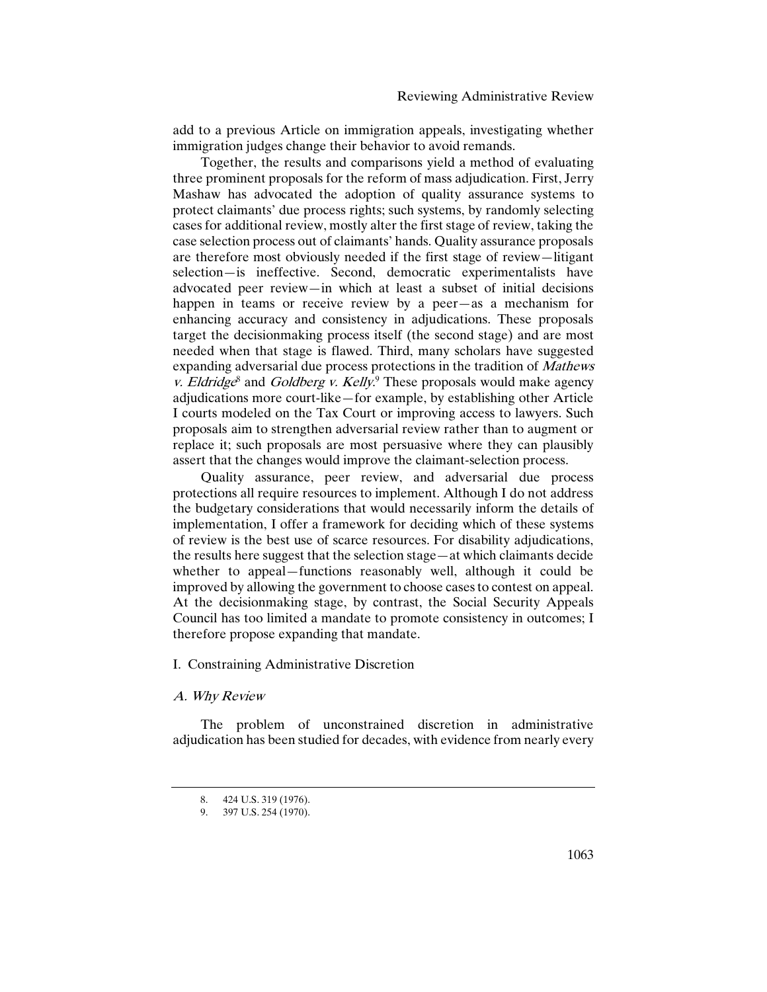add to a previous Article on immigration appeals, investigating whether immigration judges change their behavior to avoid remands.

Together, the results and comparisons yield a method of evaluating three prominent proposals for the reform of mass adjudication. First, Jerry Mashaw has advocated the adoption of quality assurance systems to protect claimants' due process rights; such systems, by randomly selecting cases for additional review, mostly alter the first stage of review, taking the case selection process out of claimants' hands. Quality assurance proposals are therefore most obviously needed if the first stage of review—litigant selection—is ineffective. Second, democratic experimentalists have advocated peer review—in which at least a subset of initial decisions happen in teams or receive review by a peer—as a mechanism for enhancing accuracy and consistency in adjudications. These proposals target the decisionmaking process itself (the second stage) and are most needed when that stage is flawed. Third, many scholars have suggested expanding adversarial due process protections in the tradition of Mathews *v. Eldridge*<sup>8</sup> and *Goldberg v. Kelly*.<sup>9</sup> These proposals would make agency adjudications more court-like—for example, by establishing other Article I courts modeled on the Tax Court or improving access to lawyers. Such proposals aim to strengthen adversarial review rather than to augment or replace it; such proposals are most persuasive where they can plausibly assert that the changes would improve the claimant-selection process.

Quality assurance, peer review, and adversarial due process protections all require resources to implement. Although I do not address the budgetary considerations that would necessarily inform the details of implementation, I offer a framework for deciding which of these systems of review is the best use of scarce resources. For disability adjudications, the results here suggest that the selection stage—at which claimants decide whether to appeal—functions reasonably well, although it could be improved by allowing the government to choose cases to contest on appeal. At the decisionmaking stage, by contrast, the Social Security Appeals Council has too limited a mandate to promote consistency in outcomes; I therefore propose expanding that mandate.

## I. Constraining Administrative Discretion

#### A. Why Review

The problem of unconstrained discretion in administrative adjudication has been studied for decades, with evidence from nearly every

<sup>8.</sup> 424 U.S. 319 (1976).

<sup>9.</sup> 397 U.S. 254 (1970).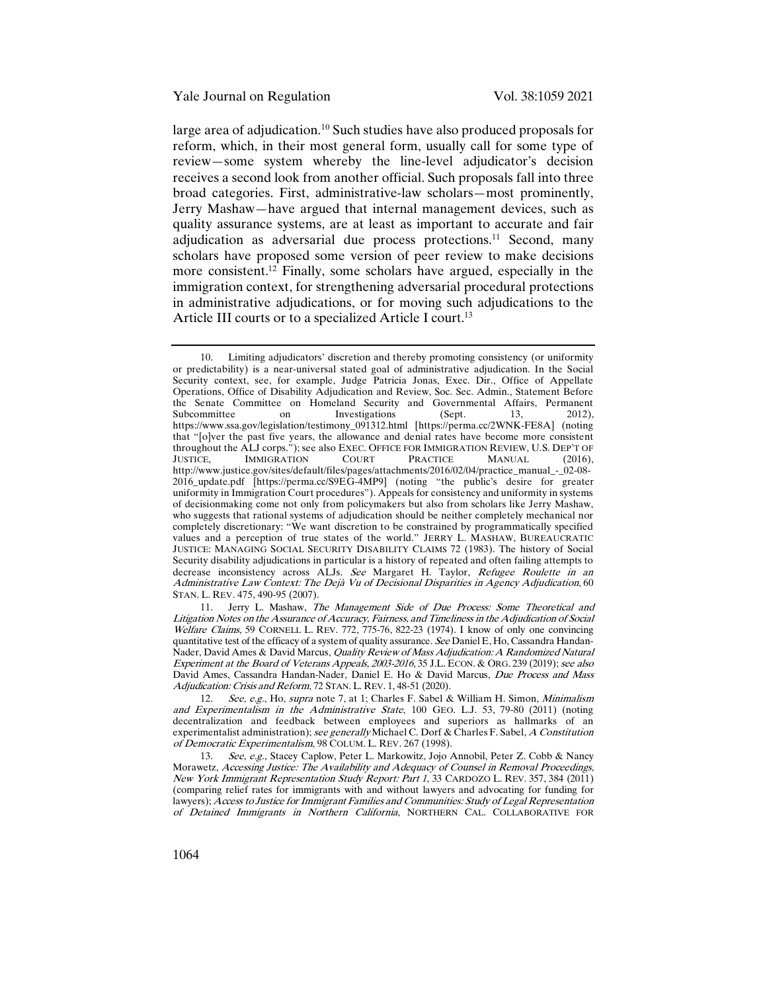large area of adjudication.<sup>10</sup> Such studies have also produced proposals for reform, which, in their most general form, usually call for some type of review—some system whereby the line-level adjudicator's decision receives a second look from another official. Such proposals fall into three broad categories. First, administrative-law scholars—most prominently, Jerry Mashaw—have argued that internal management devices, such as quality assurance systems, are at least as important to accurate and fair adjudication as adversarial due process protections.11 Second, many scholars have proposed some version of peer review to make decisions more consistent.12 Finally, some scholars have argued, especially in the immigration context, for strengthening adversarial procedural protections in administrative adjudications, or for moving such adjudications to the Article III courts or to a specialized Article I court.<sup>13</sup>

<sup>10.</sup> Limiting adjudicators' discretion and thereby promoting consistency (or uniformity or predictability) is a near-universal stated goal of administrative adjudication. In the Social Security context, see, for example, Judge Patricia Jonas, Exec. Dir., Office of Appellate Operations, Office of Disability Adjudication and Review, Soc. Sec. Admin., Statement Before the Senate Committee on Homeland Security and Governmental Affairs, Permanent Subcommittee on Investigations (Sept. 13, 2012), Subcommittee on Investigations (Sept. 13, 2012), https://www.ssa.gov/legislation/testimony\_091312.html [https://perma.cc/2WNK-FE8A] (noting that "[o]ver the past five years, the allowance and denial rates have become more consistent throughout the ALJ corps."); see also EXEC. OFFICE FOR IMMIGRATION REVIEW, U.S. DEP'T OF JUSTICE. IMMIGRATION COURT PRACTICE MANUAL (2016). JUSTICE, IMMIGRATION COURT PRACTICE MANUAL (2016), http://www.justice.gov/sites/default/files/pages/attachments/2016/02/04/practice\_manual\_-\_02-08- 2016\_update.pdf [https://perma.cc/S9EG-4MP9] (noting "the public's desire for greater uniformity in Immigration Court procedures"). Appeals for consistency and uniformity in systems of decisionmaking come not only from policymakers but also from scholars like Jerry Mashaw, who suggests that rational systems of adjudication should be neither completely mechanical nor completely discretionary: "We want discretion to be constrained by programmatically specified values and a perception of true states of the world." JERRY L. MASHAW, BUREAUCRATIC JUSTICE: MANAGING SOCIAL SECURITY DISABILITY CLAIMS 72 (1983). The history of Social Security disability adjudications in particular is a history of repeated and often failing attempts to decrease inconsistency across ALJs. See Margaret H. Taylor, Refugee Roulette in an Administrative Law Context: The Dejà Vu of Decisional Disparities in Agency Adjudication, 60 STAN. L. REV. 475, 490-95 (2007).

<sup>11.</sup> Jerry L. Mashaw, The Management Side of Due Process: Some Theoretical and Litigation Notes on the Assurance of Accuracy, Fairness, and Timeliness in the Adjudication of Social Welfare Claims, 59 CORNELL L. REV. 772, 775-76, 822-23 (1974). I know of only one convincing quantitative test of the efficacy of a system of quality assurance. See Daniel E, Ho, Cassandra Handan-Nader, David Ames & David Marcus, Quality Review of Mass Adjudication: A Randomized Natural Experiment at the Board of Veterans Appeals, 2003-2016, 35 J.L. ECON. & ORG. 239 (2019); see also David Ames, Cassandra Handan-Nader, Daniel E. Ho & David Marcus, Due Process and Mass Adjudication: Crisis and Reform, 72 STAN. L. REV. 1, 48-51 (2020).

<sup>12.</sup> See, e.g., Ho, supra note 7, at 1; Charles F. Sabel & William H. Simon, Minimalism and Experimentalism in the Administrative State, 100 GEO. L.J. 53, 79-80 (2011) (noting decentralization and feedback between employees and superiors as hallmarks of an experimentalist administration); *see generally* Michael C. Dorf & Charles F. Sabel, *A Constitution* of Democratic Experimentalism, 98 COLUM. L. REV. 267 (1998).

<sup>13.</sup> See, e.g., Stacey Caplow, Peter L. Markowitz, Jojo Annobil, Peter Z. Cobb & Nancy Morawetz, Accessing Justice: The Availability and Adequacy of Counsel in Removal Proceedings, New York Immigrant Representation Study Report: Part 1, 33 CARDOZO L. REV. 357, 384 (2011) (comparing relief rates for immigrants with and without lawyers and advocating for funding for lawyers); Access to Justice for Immigrant Families and Communities: Study of Legal Representation of Detained Immigrants in Northern California, NORTHERN CAL. COLLABORATIVE FOR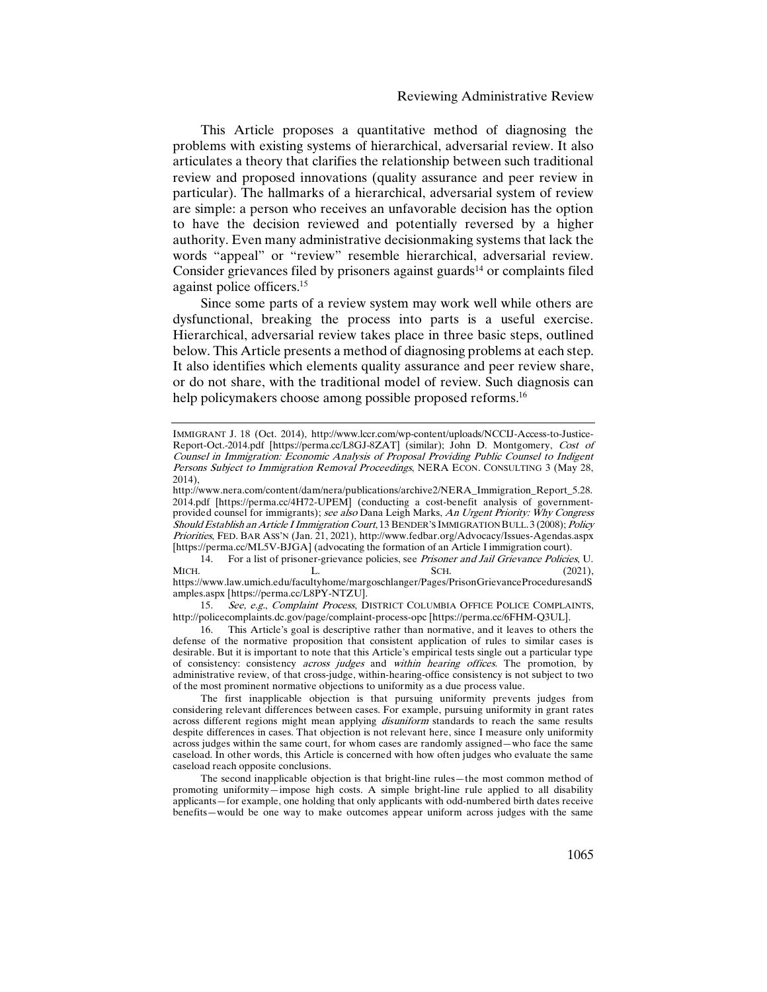#### Reviewing Administrative Review

This Article proposes a quantitative method of diagnosing the problems with existing systems of hierarchical, adversarial review. It also articulates a theory that clarifies the relationship between such traditional review and proposed innovations (quality assurance and peer review in particular). The hallmarks of a hierarchical, adversarial system of review are simple: a person who receives an unfavorable decision has the option to have the decision reviewed and potentially reversed by a higher authority. Even many administrative decisionmaking systems that lack the words "appeal" or "review" resemble hierarchical, adversarial review. Consider grievances filed by prisoners against guards<sup>14</sup> or complaints filed against police officers.15

Since some parts of a review system may work well while others are dysfunctional, breaking the process into parts is a useful exercise. Hierarchical, adversarial review takes place in three basic steps, outlined below. This Article presents a method of diagnosing problems at each step. It also identifies which elements quality assurance and peer review share, or do not share, with the traditional model of review. Such diagnosis can help policymakers choose among possible proposed reforms.<sup>16</sup>

14. For a list of prisoner-grievance policies, see *Prisoner and Jail Grievance Policies*, U.<br>
SCH. SCH. (2021), MICH. (2021), L. SCH. (2021), https://www.law.umich.edu/facultyhome/margoschlanger/Pages/PrisonGrievanceProceduresandS

amples.aspx [https://perma.cc/L8PY-NTZU].<br>15 See e.g. Complaint Process D. See, e.g., Complaint Process, DISTRICT COLUMBIA OFFICE POLICE COMPLAINTS, http://policecomplaints.dc.gov/page/complaint-process-opc [https://perma.cc/6FHM-Q3UL].

16. This Article's goal is descriptive rather than normative, and it leaves to others the defense of the normative proposition that consistent application of rules to similar cases is desirable. But it is important to note that this Article's empirical tests single out a particular type of consistency: consistency *across judges* and *within hearing offices*. The promotion, by administrative review, of that cross-judge, within-hearing-office consistency is not subject to two of the most prominent normative objections to uniformity as a due process value.

The first inapplicable objection is that pursuing uniformity prevents judges from considering relevant differences between cases. For example, pursuing uniformity in grant rates across different regions might mean applying disuniform standards to reach the same results despite differences in cases. That objection is not relevant here, since I measure only uniformity across judges within the same court, for whom cases are randomly assigned—who face the same caseload. In other words, this Article is concerned with how often judges who evaluate the same caseload reach opposite conclusions.

The second inapplicable objection is that bright-line rules—the most common method of promoting uniformity—impose high costs. A simple bright-line rule applied to all disability applicants—for example, one holding that only applicants with odd-numbered birth dates receive benefits—would be one way to make outcomes appear uniform across judges with the same

IMMIGRANT J. 18 (Oct. 2014), http://www.lccr.com/wp-content/uploads/NCCIJ-Access-to-Justice-Report-Oct.-2014.pdf [https://perma.cc/L8GJ-8ZAT] (similar); John D. Montgomery, Cost of Counsel in Immigration: Economic Analysis of Proposal Providing Public Counsel to Indigent Persons Subject to Immigration Removal Proceedings, NERA ECON. CONSULTING 3 (May 28,  $2014$ ).

http://www.nera.com/content/dam/nera/publications/archive2/NERA\_Immigration\_Report\_5.28. 2014.pdf [https://perma.cc/4H72-UPEM] (conducting a cost-benefit analysis of governmentprovided counsel for immigrants); see also Dana Leigh Marks, An Urgent Priority: Why Congress Should Establish an Article I Immigration Court, 13 BENDER'S IMMIGRATION BULL.3 (2008); Policy Priorities, FED. BAR ASS'N (Jan. 21, 2021), http://www.fedbar.org/Advocacy/Issues-Agendas.aspx [https://perma.cc/ML5V-BJGA] (advocating the formation of an Article I immigration court).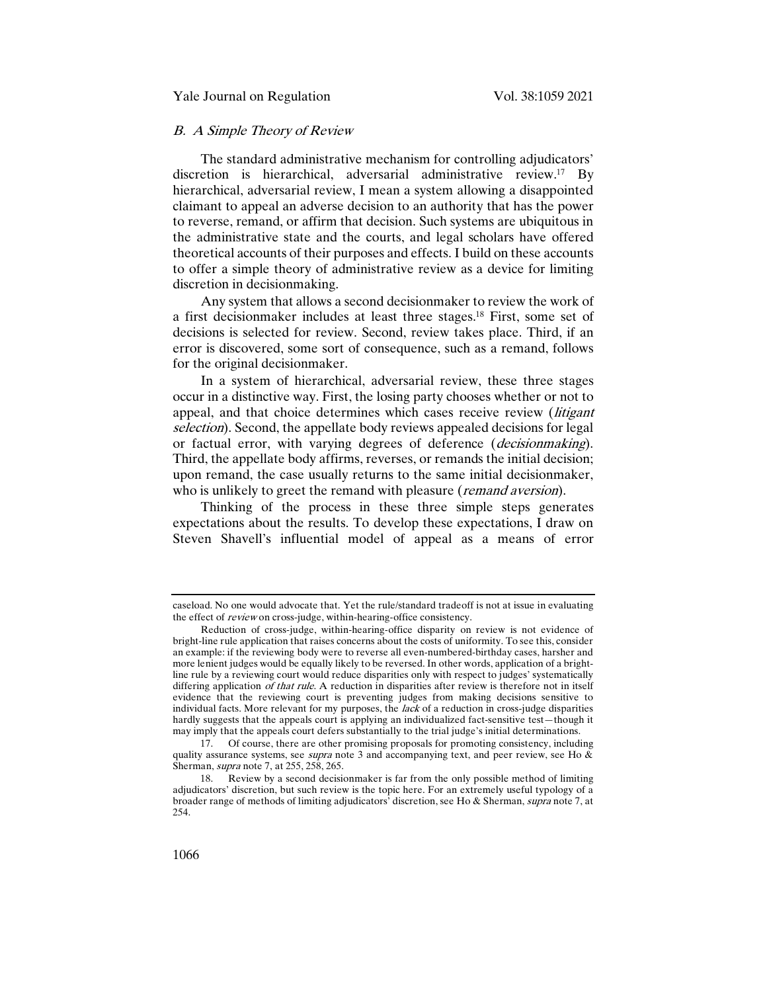## B. A Simple Theory of Review

The standard administrative mechanism for controlling adjudicators' discretion is hierarchical, adversarial administrative review.17 By hierarchical, adversarial review, I mean a system allowing a disappointed claimant to appeal an adverse decision to an authority that has the power to reverse, remand, or affirm that decision. Such systems are ubiquitous in the administrative state and the courts, and legal scholars have offered theoretical accounts of their purposes and effects. I build on these accounts to offer a simple theory of administrative review as a device for limiting discretion in decisionmaking.

Any system that allows a second decisionmaker to review the work of a first decisionmaker includes at least three stages.18 First, some set of decisions is selected for review. Second, review takes place. Third, if an error is discovered, some sort of consequence, such as a remand, follows for the original decisionmaker.

In a system of hierarchical, adversarial review, these three stages occur in a distinctive way. First, the losing party chooses whether or not to appeal, and that choice determines which cases receive review (litigant selection). Second, the appellate body reviews appealed decisions for legal or factual error, with varying degrees of deference (decisionmaking). Third, the appellate body affirms, reverses, or remands the initial decision; upon remand, the case usually returns to the same initial decisionmaker, who is unlikely to greet the remand with pleasure *(remand aversion)*.

Thinking of the process in these three simple steps generates expectations about the results. To develop these expectations, I draw on Steven Shavell's influential model of appeal as a means of error

caseload. No one would advocate that. Yet the rule/standard tradeoff is not at issue in evaluating the effect of review on cross-judge, within-hearing-office consistency.

Reduction of cross-judge, within-hearing-office disparity on review is not evidence of bright-line rule application that raises concerns about the costs of uniformity. To see this, consider an example: if the reviewing body were to reverse all even-numbered-birthday cases, harsher and more lenient judges would be equally likely to be reversed. In other words, application of a brightline rule by a reviewing court would reduce disparities only with respect to judges' systematically differing application of that rule. A reduction in disparities after review is therefore not in itself evidence that the reviewing court is preventing judges from making decisions sensitive to individual facts. More relevant for my purposes, the lack of a reduction in cross-judge disparities hardly suggests that the appeals court is applying an individualized fact-sensitive test—though it may imply that the appeals court defers substantially to the trial judge's initial determinations.

<sup>17.</sup> Of course, there are other promising proposals for promoting consistency, including quality assurance systems, see *supra* note 3 and accompanying text, and peer review, see Ho  $\&$ Sherman, supra note 7, at 255, 258, 265.

<sup>18.</sup> Review by a second decisionmaker is far from the only possible method of limiting adjudicators' discretion, but such review is the topic here. For an extremely useful typology of a broader range of methods of limiting adjudicators' discretion, see Ho & Sherman, supra note 7, at 254.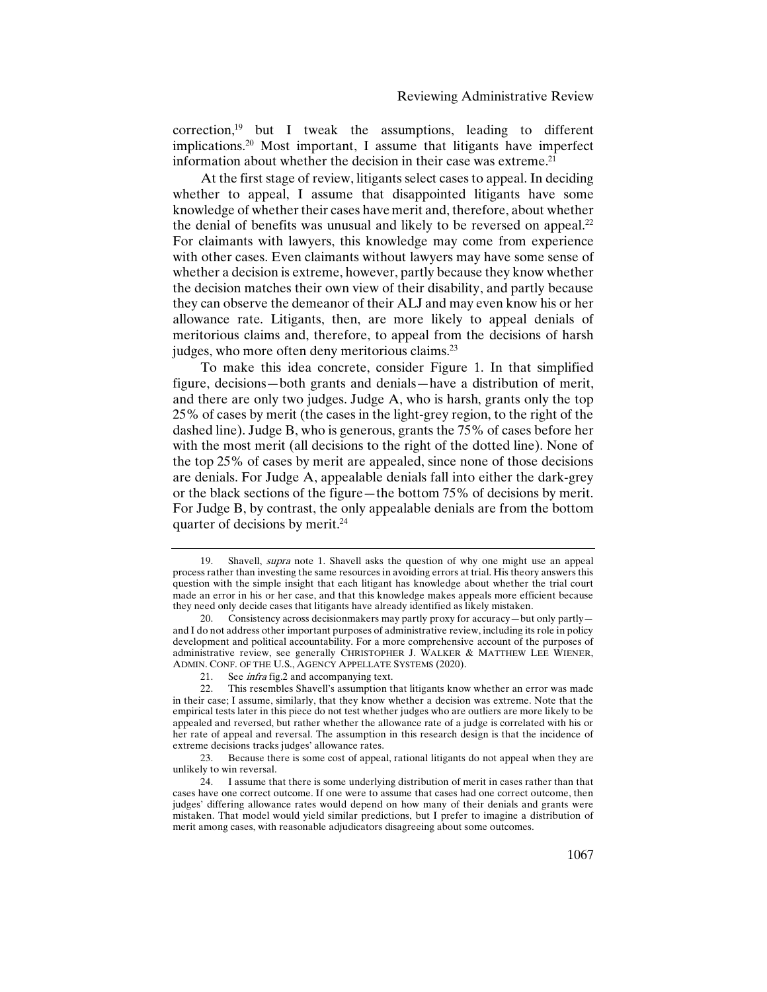correction, $19$  but I tweak the assumptions, leading to different implications.20 Most important, I assume that litigants have imperfect information about whether the decision in their case was extreme.<sup>21</sup>

At the first stage of review, litigants select cases to appeal. In deciding whether to appeal, I assume that disappointed litigants have some knowledge of whether their cases have merit and, therefore, about whether the denial of benefits was unusual and likely to be reversed on appeal. $^{22}$ For claimants with lawyers, this knowledge may come from experience with other cases. Even claimants without lawyers may have some sense of whether a decision is extreme, however, partly because they know whether the decision matches their own view of their disability, and partly because they can observe the demeanor of their ALJ and may even know his or her allowance rate. Litigants, then, are more likely to appeal denials of meritorious claims and, therefore, to appeal from the decisions of harsh judges, who more often deny meritorious claims.23

To make this idea concrete, consider Figure 1. In that simplified figure, decisions—both grants and denials—have a distribution of merit, and there are only two judges. Judge A, who is harsh, grants only the top 25% of cases by merit (the cases in the light-grey region, to the right of the dashed line). Judge B, who is generous, grants the 75% of cases before her with the most merit (all decisions to the right of the dotted line). None of the top 25% of cases by merit are appealed, since none of those decisions are denials. For Judge A, appealable denials fall into either the dark-grey or the black sections of the figure—the bottom 75% of decisions by merit. For Judge B, by contrast, the only appealable denials are from the bottom quarter of decisions by merit.24

<sup>19.</sup> Shavell, supra note 1. Shavell asks the question of why one might use an appeal process rather than investing the same resources in avoiding errors at trial. His theory answers this question with the simple insight that each litigant has knowledge about whether the trial court made an error in his or her case, and that this knowledge makes appeals more efficient because they need only decide cases that litigants have already identified as likely mistaken.

<sup>20.</sup> Consistency across decisionmakers may partly proxy for accuracy—but only partly and I do not address other important purposes of administrative review, including its role in policy development and political accountability. For a more comprehensive account of the purposes of administrative review, see generally CHRISTOPHER J. WALKER & MATTHEW LEE WIENER, ADMIN. CONF. OF THE U.S., AGENCY APPELLATE SYSTEMS (2020).

<sup>21.</sup> See infra fig.2 and accompanying text.

<sup>22.</sup> This resembles Shavell's assumption that litigants know whether an error was made in their case; I assume, similarly, that they know whether a decision was extreme. Note that the empirical tests later in this piece do not test whether judges who are outliers are more likely to be appealed and reversed, but rather whether the allowance rate of a judge is correlated with his or her rate of appeal and reversal. The assumption in this research design is that the incidence of extreme decisions tracks judges' allowance rates.

<sup>23.</sup> Because there is some cost of appeal, rational litigants do not appeal when they are unlikely to win reversal.

<sup>24.</sup> I assume that there is some underlying distribution of merit in cases rather than that cases have one correct outcome. If one were to assume that cases had one correct outcome, then judges' differing allowance rates would depend on how many of their denials and grants were mistaken. That model would yield similar predictions, but I prefer to imagine a distribution of merit among cases, with reasonable adjudicators disagreeing about some outcomes.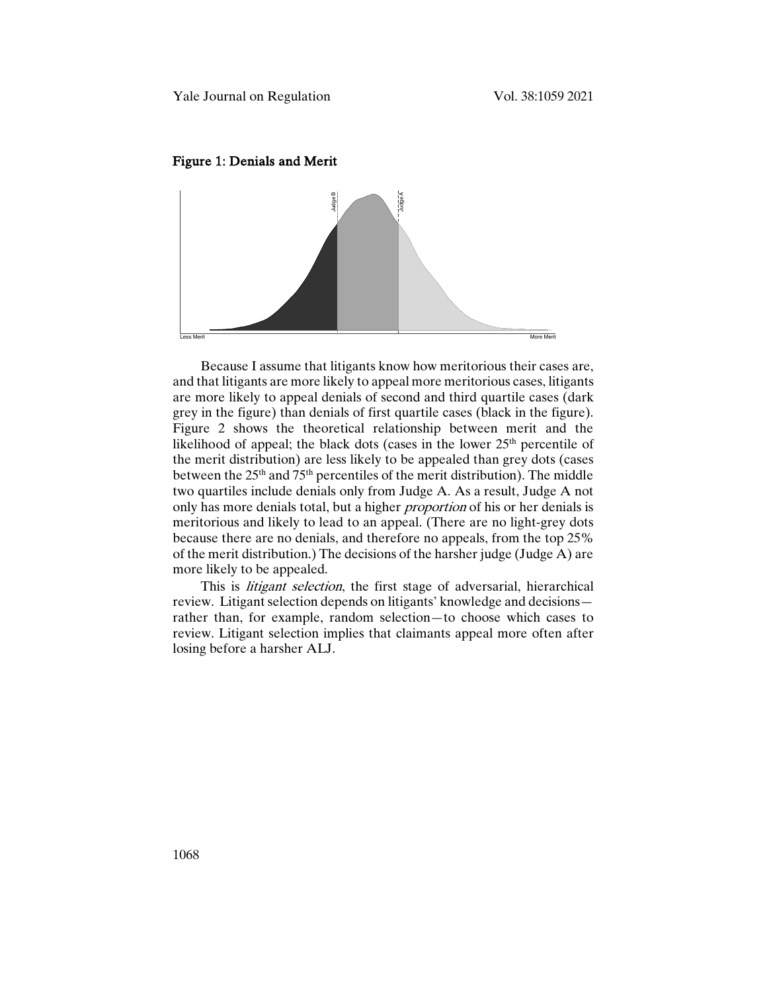

Figure 1: Denials and Merit

Because I assume that litigants know how meritorious their cases are, and that litigants are more likely to appeal more meritorious cases, litigants are more likely to appeal denials of second and third quartile cases (dark grey in the figure) than denials of first quartile cases (black in the figure). Figure 2 shows the theoretical relationship between merit and the likelihood of appeal; the black dots (cases in the lower  $25<sup>th</sup>$  percentile of the merit distribution) are less likely to be appealed than grey dots (cases between the 25th and 75th percentiles of the merit distribution). The middle two quartiles include denials only from Judge A. As a result, Judge A not only has more denials total, but a higher proportion of his or her denials is meritorious and likely to lead to an appeal. (There are no light-grey dots because there are no denials, and therefore no appeals, from the top 25% of the merit distribution.) The decisions of the harsher judge (Judge A) are more likely to be appealed.

This is litigant selection, the first stage of adversarial, hierarchical review. Litigant selection depends on litigants' knowledge and decisions rather than, for example, random selection—to choose which cases to review. Litigant selection implies that claimants appeal more often after losing before a harsher ALJ.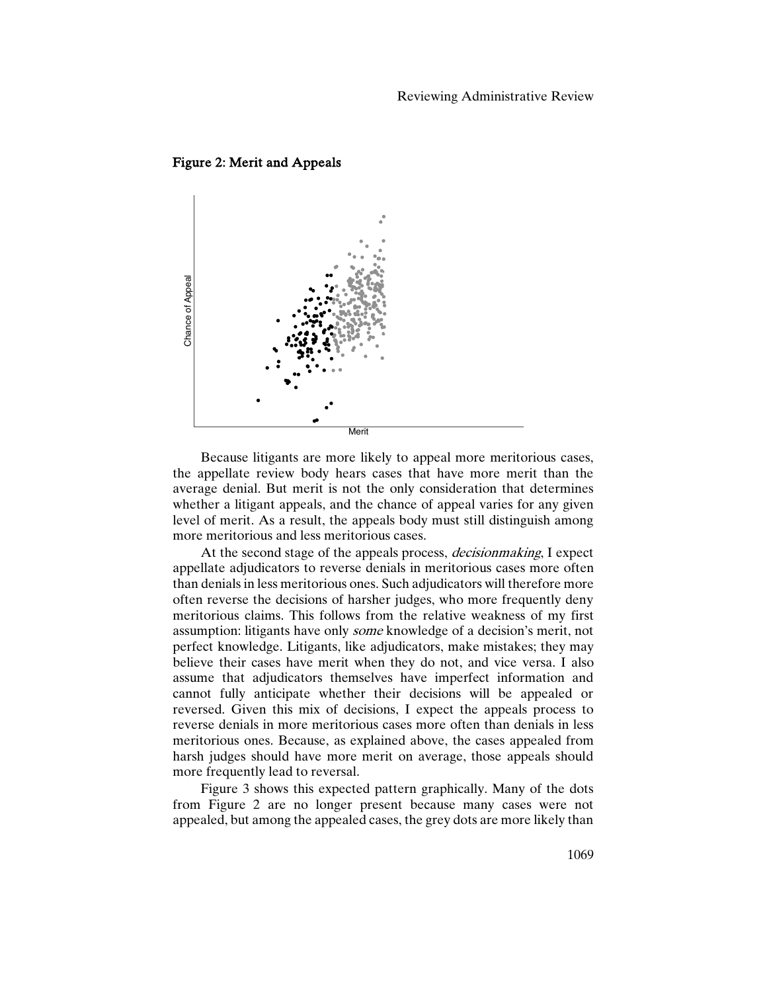



Because litigants are more likely to appeal more meritorious cases, the appellate review body hears cases that have more merit than the average denial. But merit is not the only consideration that determines whether a litigant appeals, and the chance of appeal varies for any given level of merit. As a result, the appeals body must still distinguish among more meritorious and less meritorious cases.

At the second stage of the appeals process, *decisionmaking*, I expect appellate adjudicators to reverse denials in meritorious cases more often than denials in less meritorious ones. Such adjudicators will therefore more often reverse the decisions of harsher judges, who more frequently deny meritorious claims. This follows from the relative weakness of my first assumption: litigants have only some knowledge of a decision's merit, not perfect knowledge. Litigants, like adjudicators, make mistakes; they may believe their cases have merit when they do not, and vice versa. I also assume that adjudicators themselves have imperfect information and cannot fully anticipate whether their decisions will be appealed or reversed. Given this mix of decisions, I expect the appeals process to reverse denials in more meritorious cases more often than denials in less meritorious ones. Because, as explained above, the cases appealed from harsh judges should have more merit on average, those appeals should more frequently lead to reversal. appeared on the state of the state of the state of the state of the state of the state of the state of Appeale cases, the appellate review body hears cases that have more merit than the appellate review body hears cases th

Figure 3 shows this expected pattern graphically. Many of the dots from Figure 2 are no longer present because many cases were not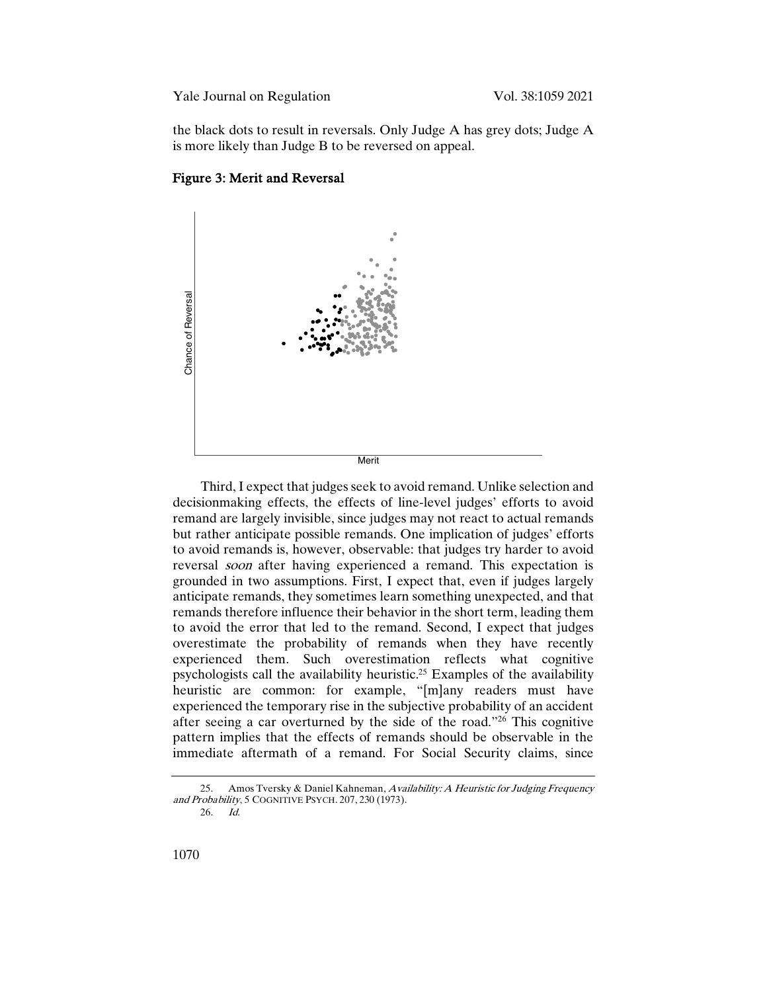the black dots to result in reversals. Only Judge A has grey dots; Judge A is more likely than Judge B to be reversed on appeal.





Third, I expect that judges seek to avoid remand. Unlike selection and decisionmaking effects, the effects of line-level judges' efforts to avoid remand are largely invisible, since judges may not react to actual remands but rather anticipate possible remands. One implication of judges' efforts to avoid remands is, however, observable: that judges try harder to avoid reversal soon after having experienced a remand. This expectation is grounded in two assumptions. First, I expect that, even if judges largely anticipate remands, they sometimes learn something unexpected, and that remands therefore influence their behavior in the short term, leading them to avoid the error that led to the remand. Second, I expect that judges overestimate the probability of remands when they have recently experienced them. Such overestimation reflects what cognitive psychologists call the availability heuristic.<sup>25</sup> Examples of the availability heuristic are common: for example, "[m]any readers must have experienced the temporary rise in the subjective probability of an accident after seeing a car overturned by the side of the road."26 This cognitive pattern implies that the effects of remands should be observable in the immediate aftermath of a remand. For Social Security claims, since

<sup>25.</sup> Amos Tversky & Daniel Kahneman, Availability: A Heuristic for Judging Frequency and Probability, 5 COGNITIVE PSYCH. 207, 230 (1973).

<sup>26.</sup> Id.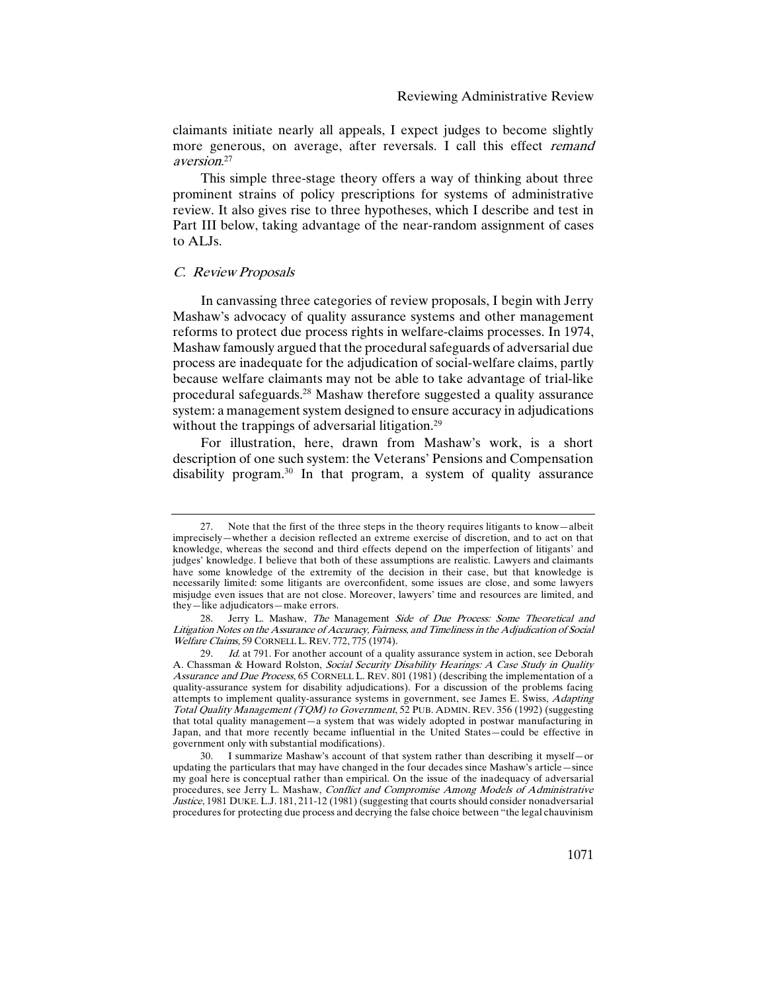claimants initiate nearly all appeals, I expect judges to become slightly more generous, on average, after reversals. I call this effect *remand* aversion. 27

This simple three-stage theory offers a way of thinking about three prominent strains of policy prescriptions for systems of administrative review. It also gives rise to three hypotheses, which I describe and test in Part III below, taking advantage of the near-random assignment of cases to ALJs.

#### C. Review Proposals

In canvassing three categories of review proposals, I begin with Jerry Mashaw's advocacy of quality assurance systems and other management reforms to protect due process rights in welfare-claims processes. In 1974, Mashaw famously argued that the procedural safeguards of adversarial due process are inadequate for the adjudication of social-welfare claims, partly because welfare claimants may not be able to take advantage of trial-like procedural safeguards.28 Mashaw therefore suggested a quality assurance system: a management system designed to ensure accuracy in adjudications without the trappings of adversarial litigation.<sup>29</sup>

For illustration, here, drawn from Mashaw's work, is a short description of one such system: the Veterans' Pensions and Compensation disability program.<sup>30</sup> In that program, a system of quality assurance

<sup>27.</sup> Note that the first of the three steps in the theory requires litigants to know—albeit imprecisely—whether a decision reflected an extreme exercise of discretion, and to act on that knowledge, whereas the second and third effects depend on the imperfection of litigants' and judges' knowledge. I believe that both of these assumptions are realistic. Lawyers and claimants have some knowledge of the extremity of the decision in their case, but that knowledge is necessarily limited: some litigants are overconfident, some issues are close, and some lawyers misjudge even issues that are not close. Moreover, lawyers' time and resources are limited, and they—like adjudicators—make errors.

<sup>28.</sup> Jerry L. Mashaw, The Management Side of Due Process: Some Theoretical and Litigation Notes on the Assurance of Accuracy, Fairness, and Timeliness in the Adjudication of Social Welfare Claims, 59 CORNELL L.REV. 772, 775 (1974).

<sup>29.</sup> Id. at 791. For another account of a quality assurance system in action, see Deborah A. Chassman & Howard Rolston, Social Security Disability Hearings: A Case Study in Quality Assurance and Due Process, 65 CORNELL L. REV. 801 (1981) (describing the implementation of a quality-assurance system for disability adjudications). For a discussion of the problems facing attempts to implement quality-assurance systems in government, see James E. Swiss, Adapting Total Quality Management (TQM) to Government, 52 PUB. ADMIN. REV. 356 (1992) (suggesting that total quality management—a system that was widely adopted in postwar manufacturing in Japan, and that more recently became influential in the United States—could be effective in government only with substantial modifications).

<sup>30.</sup> I summarize Mashaw's account of that system rather than describing it myself—or updating the particulars that may have changed in the four decades since Mashaw's article—since my goal here is conceptual rather than empirical. On the issue of the inadequacy of adversarial procedures, see Jerry L. Mashaw, Conflict and Compromise Among Models of Administrative Justice, 1981 DUKE. L.J. 181, 211-12 (1981) (suggesting that courts should consider nonadversarial procedures for protecting due process and decrying the false choice between "the legal chauvinism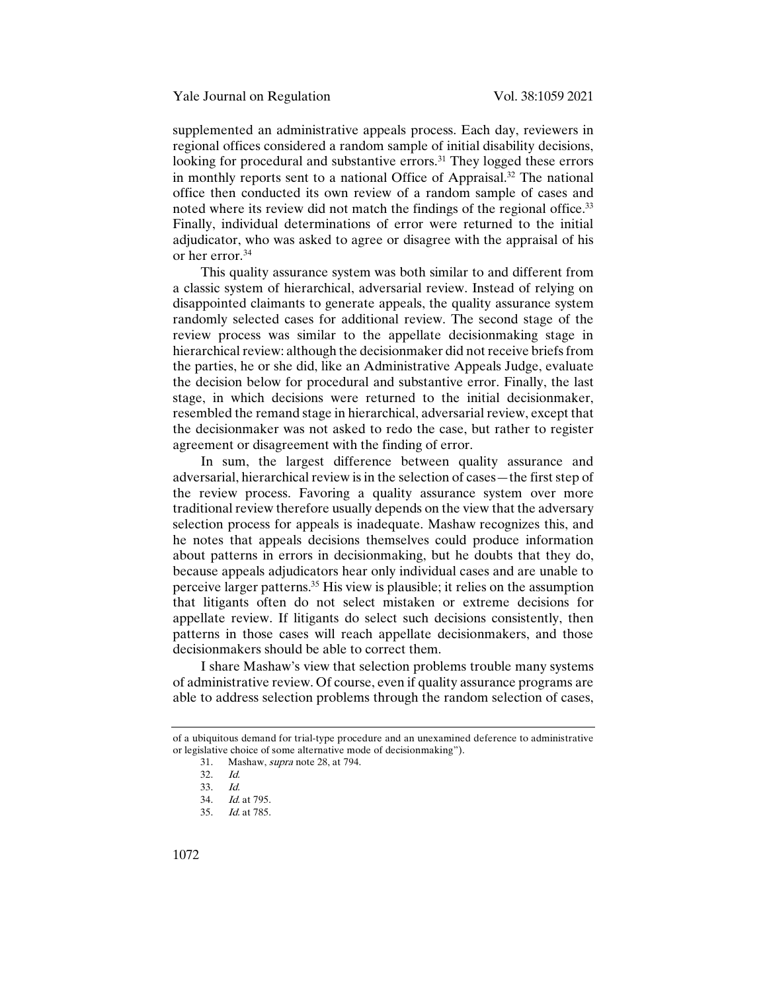supplemented an administrative appeals process. Each day, reviewers in regional offices considered a random sample of initial disability decisions, looking for procedural and substantive errors.<sup>31</sup> They logged these errors in monthly reports sent to a national Office of Appraisal.32 The national office then conducted its own review of a random sample of cases and noted where its review did not match the findings of the regional office.<sup>33</sup> Finally, individual determinations of error were returned to the initial adjudicator, who was asked to agree or disagree with the appraisal of his or her error.34

This quality assurance system was both similar to and different from a classic system of hierarchical, adversarial review. Instead of relying on disappointed claimants to generate appeals, the quality assurance system randomly selected cases for additional review. The second stage of the review process was similar to the appellate decisionmaking stage in hierarchical review: although the decisionmaker did not receive briefs from the parties, he or she did, like an Administrative Appeals Judge, evaluate the decision below for procedural and substantive error. Finally, the last stage, in which decisions were returned to the initial decisionmaker, resembled the remand stage in hierarchical, adversarial review, except that the decisionmaker was not asked to redo the case, but rather to register agreement or disagreement with the finding of error.

In sum, the largest difference between quality assurance and adversarial, hierarchical review is in the selection of cases—the first step of the review process. Favoring a quality assurance system over more traditional review therefore usually depends on the view that the adversary selection process for appeals is inadequate. Mashaw recognizes this, and he notes that appeals decisions themselves could produce information about patterns in errors in decisionmaking, but he doubts that they do, because appeals adjudicators hear only individual cases and are unable to perceive larger patterns.35 His view is plausible; it relies on the assumption that litigants often do not select mistaken or extreme decisions for appellate review. If litigants do select such decisions consistently, then patterns in those cases will reach appellate decisionmakers, and those decisionmakers should be able to correct them.

I share Mashaw's view that selection problems trouble many systems of administrative review. Of course, even if quality assurance programs are able to address selection problems through the random selection of cases,

of a ubiquitous demand for trial-type procedure and an unexamined deference to administrative or legislative choice of some alternative mode of decisionmaking").

<sup>31.</sup> Mashaw, *supra* note 28, at 794.<br>32 *Id* 

<sup>32.</sup> 

<sup>33.</sup> Id.

<sup>34.</sup> *Id.* at 795.<br>35 *Id.* at 785

 $Id$  at 785.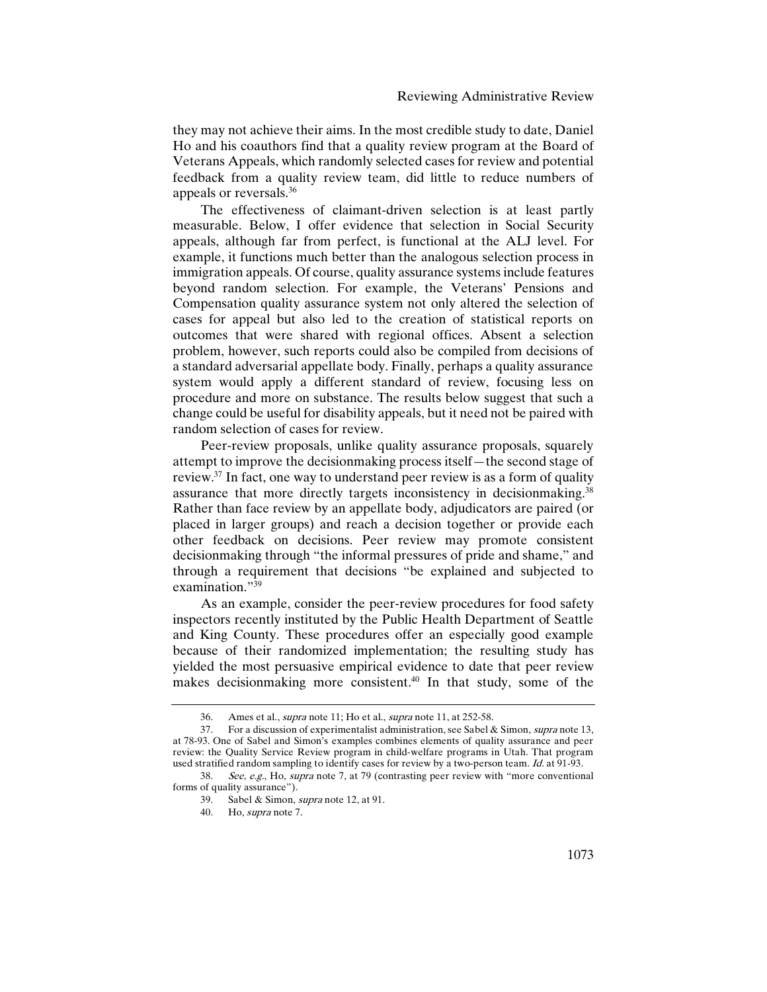they may not achieve their aims. In the most credible study to date, Daniel Ho and his coauthors find that a quality review program at the Board of Veterans Appeals, which randomly selected cases for review and potential feedback from a quality review team, did little to reduce numbers of appeals or reversals.36

The effectiveness of claimant-driven selection is at least partly measurable. Below, I offer evidence that selection in Social Security appeals, although far from perfect, is functional at the ALJ level. For example, it functions much better than the analogous selection process in immigration appeals. Of course, quality assurance systems include features beyond random selection. For example, the Veterans' Pensions and Compensation quality assurance system not only altered the selection of cases for appeal but also led to the creation of statistical reports on outcomes that were shared with regional offices. Absent a selection problem, however, such reports could also be compiled from decisions of a standard adversarial appellate body. Finally, perhaps a quality assurance system would apply a different standard of review, focusing less on procedure and more on substance. The results below suggest that such a change could be useful for disability appeals, but it need not be paired with random selection of cases for review.

Peer-review proposals, unlike quality assurance proposals, squarely attempt to improve the decisionmaking process itself—the second stage of review.37 In fact, one way to understand peer review is as a form of quality assurance that more directly targets inconsistency in decision making.<sup>38</sup> Rather than face review by an appellate body, adjudicators are paired (or placed in larger groups) and reach a decision together or provide each other feedback on decisions. Peer review may promote consistent decisionmaking through "the informal pressures of pride and shame," and through a requirement that decisions "be explained and subjected to examination."<sup>39</sup>

As an example, consider the peer-review procedures for food safety inspectors recently instituted by the Public Health Department of Seattle and King County. These procedures offer an especially good example because of their randomized implementation; the resulting study has yielded the most persuasive empirical evidence to date that peer review makes decisionmaking more consistent.<sup>40</sup> In that study, some of the

<sup>36.</sup> Ames et al., *supra* note 11; Ho et al., *supra* note 11, at 252-58.<br>37 For a discussion of experimentalist administration see Sabel &

<sup>37.</sup> For a discussion of experimentalist administration, see Sabel & Simon, supra note 13, at 78-93. One of Sabel and Simon's examples combines elements of quality assurance and peer review: the Quality Service Review program in child-welfare programs in Utah. That program used stratified random sampling to identify cases for review by a two-person team. Id. at 91-93.

<sup>38.</sup> See, e.g., Ho, supra note 7, at 79 (contrasting peer review with "more conventional forms of quality assurance").

<sup>39.</sup> Sabel & Simon, supra note 12, at 91.

<sup>40.</sup> Ho, supra note 7.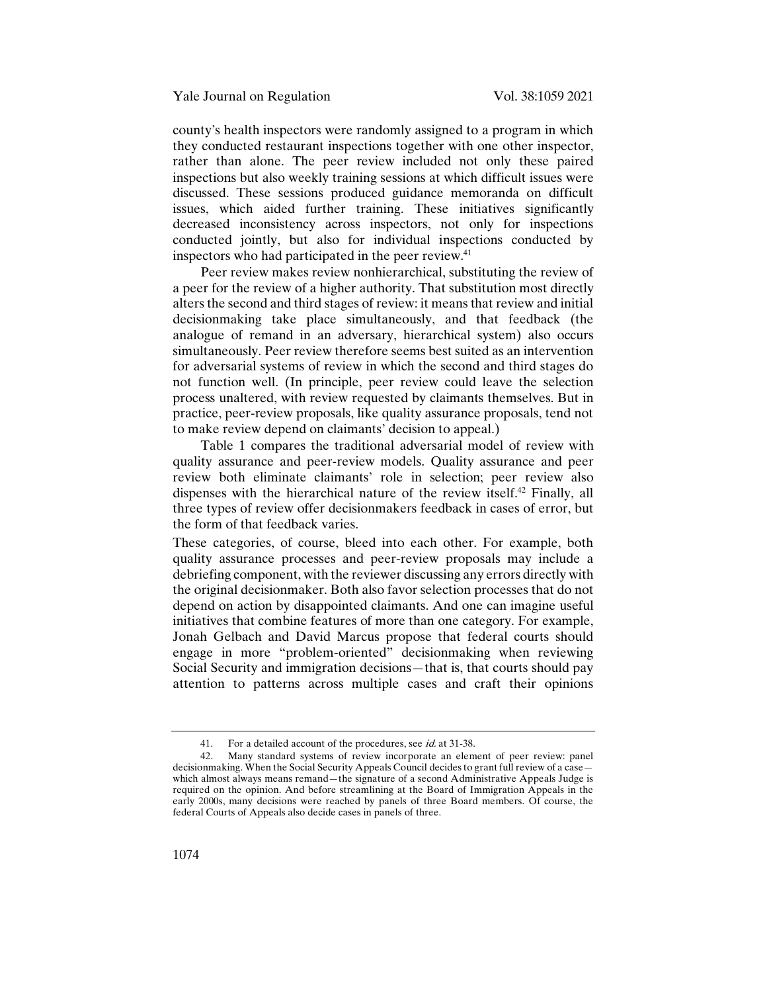county's health inspectors were randomly assigned to a program in which they conducted restaurant inspections together with one other inspector, rather than alone. The peer review included not only these paired inspections but also weekly training sessions at which difficult issues were discussed. These sessions produced guidance memoranda on difficult issues, which aided further training. These initiatives significantly decreased inconsistency across inspectors, not only for inspections conducted jointly, but also for individual inspections conducted by inspectors who had participated in the peer review.<sup>41</sup>

Peer review makes review nonhierarchical, substituting the review of a peer for the review of a higher authority. That substitution most directly alters the second and third stages of review: it means that review and initial decisionmaking take place simultaneously, and that feedback (the analogue of remand in an adversary, hierarchical system) also occurs simultaneously. Peer review therefore seems best suited as an intervention for adversarial systems of review in which the second and third stages do not function well. (In principle, peer review could leave the selection process unaltered, with review requested by claimants themselves. But in practice, peer-review proposals, like quality assurance proposals, tend not to make review depend on claimants' decision to appeal.)

Table 1 compares the traditional adversarial model of review with quality assurance and peer-review models. Quality assurance and peer review both eliminate claimants' role in selection; peer review also dispenses with the hierarchical nature of the review itself.42 Finally, all three types of review offer decisionmakers feedback in cases of error, but the form of that feedback varies.

These categories, of course, bleed into each other. For example, both quality assurance processes and peer-review proposals may include a debriefing component, with the reviewer discussing any errors directly with the original decisionmaker. Both also favor selection processes that do not depend on action by disappointed claimants. And one can imagine useful initiatives that combine features of more than one category. For example, Jonah Gelbach and David Marcus propose that federal courts should engage in more "problem-oriented" decisionmaking when reviewing Social Security and immigration decisions—that is, that courts should pay attention to patterns across multiple cases and craft their opinions

<sup>41.</sup> For a detailed account of the procedures, see  $id$  at 31-38.<br>42. Many standard systems of review incorporate an elem

Many standard systems of review incorporate an element of peer review: panel decisionmaking. When the Social Security Appeals Council decides to grant full review of a case which almost always means remand—the signature of a second Administrative Appeals Judge is required on the opinion. And before streamlining at the Board of Immigration Appeals in the early 2000s, many decisions were reached by panels of three Board members. Of course, the federal Courts of Appeals also decide cases in panels of three.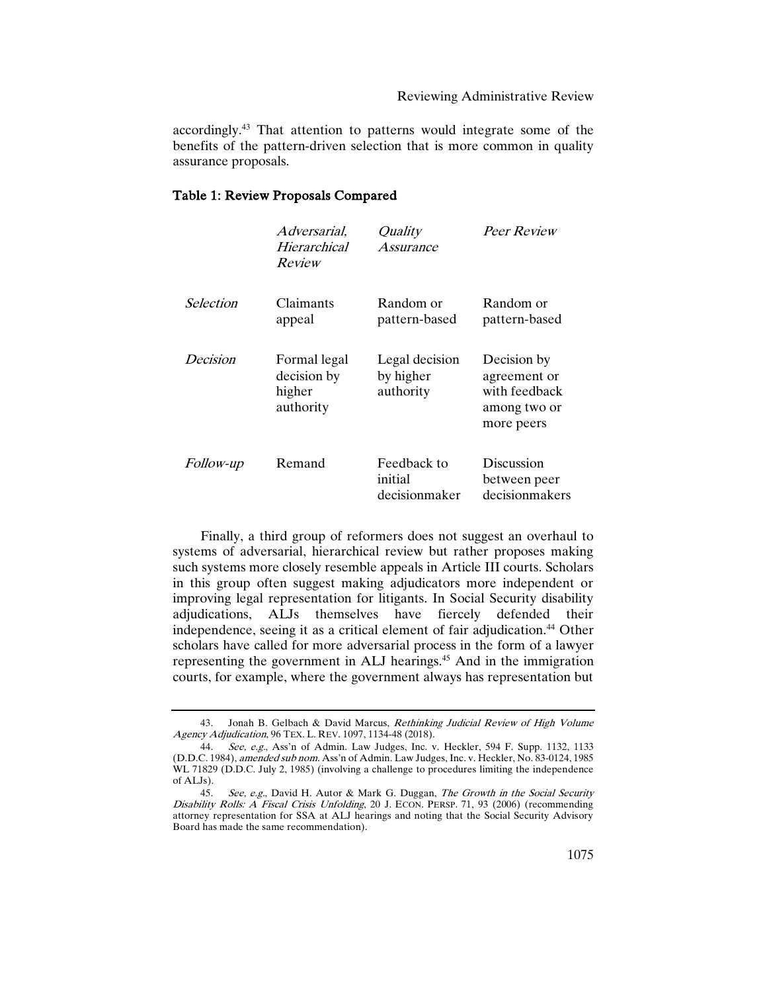#### Reviewing Administrative Review

accordingly.43 That attention to patterns would integrate some of the benefits of the pattern-driven selection that is more common in quality assurance proposals.

## Table 1: Review Proposals Compared

|           | Adversarial,<br>Hierarchical<br>Review             | Quality<br>Assurance                     | Peer Review                                                                |
|-----------|----------------------------------------------------|------------------------------------------|----------------------------------------------------------------------------|
| Selection | Claimants<br>appeal                                | Random or<br>pattern-based               | Random or<br>pattern-based                                                 |
| Decision  | Formal legal<br>decision by<br>higher<br>authority | Legal decision<br>by higher<br>authority | Decision by<br>agreement or<br>with feedback<br>among two or<br>more peers |
| Follow-up | Remand                                             | Feedback to<br>initial<br>decisionmaker  | Discussion<br>between peer<br>decisionmakers                               |

Finally, a third group of reformers does not suggest an overhaul to systems of adversarial, hierarchical review but rather proposes making such systems more closely resemble appeals in Article III courts. Scholars in this group often suggest making adjudicators more independent or improving legal representation for litigants. In Social Security disability adjudications, ALJs themselves have fiercely defended their independence, seeing it as a critical element of fair adjudication.<sup>44</sup> Other scholars have called for more adversarial process in the form of a lawyer representing the government in ALJ hearings.<sup>45</sup> And in the immigration courts, for example, where the government always has representation but

<sup>43.</sup> Jonah B. Gelbach & David Marcus, Rethinking Judicial Review of High Volume Agency Adjudication, 96 TEX. L. REV. 1097, 1134-48 (2018).

<sup>44.</sup> See, e.g., Ass'n of Admin. Law Judges, Inc. v. Heckler, 594 F. Supp. 1132, 1133 (D.D.C. 1984), amended sub nom. Ass'n of Admin. Law Judges, Inc. v. Heckler, No. 83-0124, 1985 WL 71829 (D.D.C. July 2, 1985) (involving a challenge to procedures limiting the independence of ALJs).

<sup>45.</sup> See, e.g., David H. Autor & Mark G. Duggan, The Growth in the Social Security Disability Rolls: A Fiscal Crisis Unfolding, 20 J. ECON. PERSP. 71, 93 (2006) (recommending attorney representation for SSA at ALJ hearings and noting that the Social Security Advisory Board has made the same recommendation).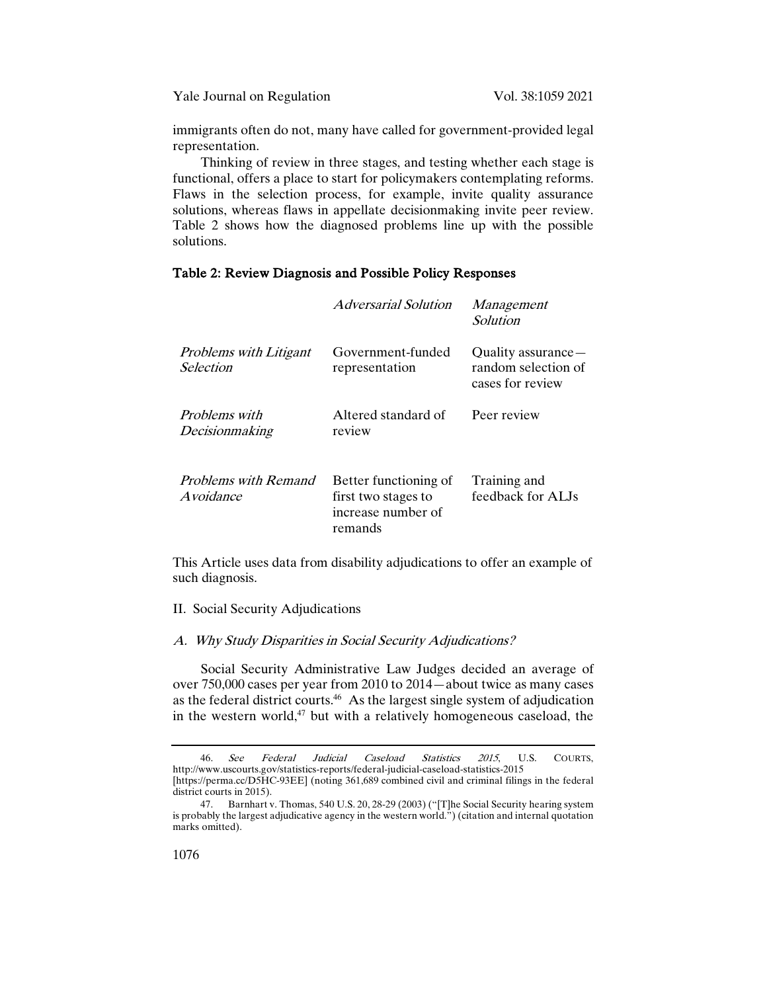Yale Journal on Regulation Vol. 38:1059 2021

immigrants often do not, many have called for government-provided legal representation.

Thinking of review in three stages, and testing whether each stage is functional, offers a place to start for policymakers contemplating reforms. Flaws in the selection process, for example, invite quality assurance solutions, whereas flaws in appellate decisionmaking invite peer review. Table 2 shows how the diagnosed problems line up with the possible solutions.

#### Table 2: Review Diagnosis and Possible Policy Responses

|                                            | <i>Adversarial Solution</i>                                                   | Management<br>Solution                                         |
|--------------------------------------------|-------------------------------------------------------------------------------|----------------------------------------------------------------|
| <i>Problems with Litigant</i><br>Selection | Government-funded<br>representation                                           | Quality assurance -<br>random selection of<br>cases for review |
| <i>Problems with</i><br>Decisionmaking     | Altered standard of<br>review                                                 | Peer review                                                    |
| <b>Problems with Remand</b><br>A voidance  | Better functioning of<br>first two stages to<br>increase number of<br>remands | Training and<br>feedback for ALJs                              |

This Article uses data from disability adjudications to offer an example of such diagnosis.

### II. Social Security Adjudications

## A. Why Study Disparities in Social Security Adjudications?

Social Security Administrative Law Judges decided an average of over 750,000 cases per year from 2010 to 2014—about twice as many cases as the federal district courts.46 As the largest single system of adjudication in the western world, $47$  but with a relatively homogeneous caseload, the

<sup>46.</sup> See Federal Judicial Caseload Statistics 2015, U.S. COURTS, http://www.uscourts.gov/statistics-reports/federal-judicial-caseload-statistics-2015 [https://perma.cc/D5HC-93EE] (noting 361,689 combined civil and criminal filings in the federal district courts in 2015).

<sup>47.</sup> Barnhart v. Thomas, 540 U.S. 20, 28-29 (2003) ("[T]he Social Security hearing system is probably the largest adjudicative agency in the western world.") (citation and internal quotation marks omitted).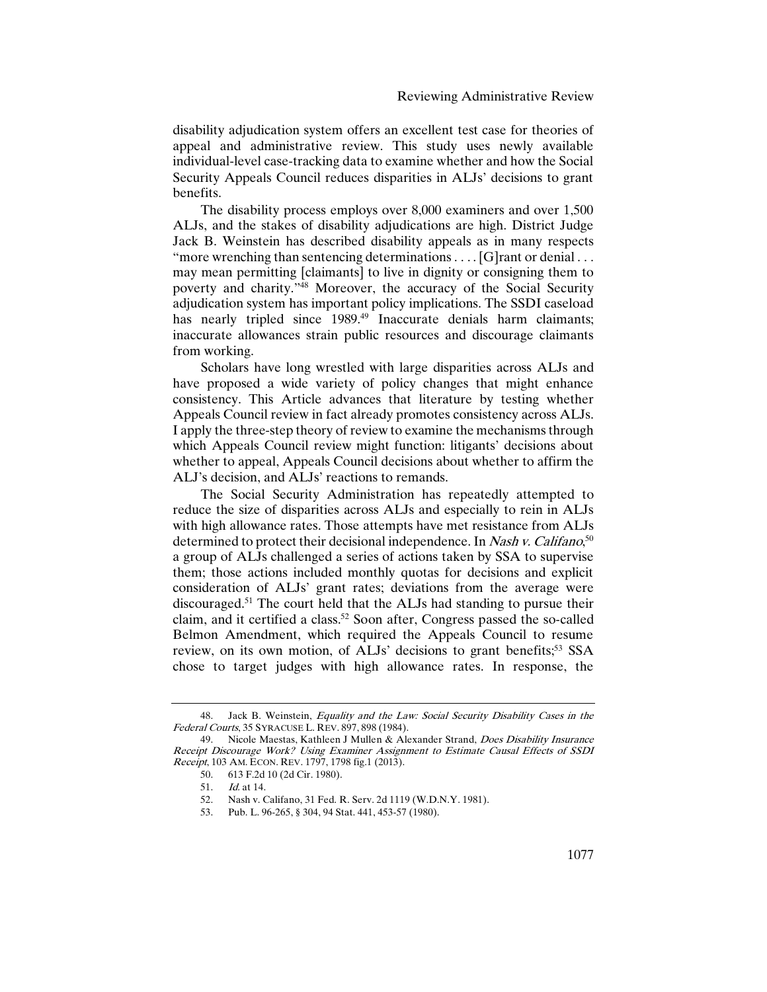disability adjudication system offers an excellent test case for theories of appeal and administrative review. This study uses newly available individual-level case-tracking data to examine whether and how the Social Security Appeals Council reduces disparities in ALJs' decisions to grant benefits.

The disability process employs over 8,000 examiners and over 1,500 ALJs, and the stakes of disability adjudications are high. District Judge Jack B. Weinstein has described disability appeals as in many respects "more wrenching than sentencing determinations  $\dots$  [G] rant or denial  $\dots$ may mean permitting [claimants] to live in dignity or consigning them to poverty and charity."48 Moreover, the accuracy of the Social Security adjudication system has important policy implications. The SSDI caseload has nearly tripled since 1989.<sup>49</sup> Inaccurate denials harm claimants; inaccurate allowances strain public resources and discourage claimants from working.

Scholars have long wrestled with large disparities across ALJs and have proposed a wide variety of policy changes that might enhance consistency. This Article advances that literature by testing whether Appeals Council review in fact already promotes consistency across ALJs. I apply the three-step theory of review to examine the mechanisms through which Appeals Council review might function: litigants' decisions about whether to appeal, Appeals Council decisions about whether to affirm the ALJ's decision, and ALJs' reactions to remands.

The Social Security Administration has repeatedly attempted to reduce the size of disparities across ALJs and especially to rein in ALJs with high allowance rates. Those attempts have met resistance from ALJs determined to protect their decisional independence. In *Nash v. Califano*,<sup>50</sup> a group of ALJs challenged a series of actions taken by SSA to supervise them; those actions included monthly quotas for decisions and explicit consideration of ALJs' grant rates; deviations from the average were discouraged.51 The court held that the ALJs had standing to pursue their claim, and it certified a class.<sup>52</sup> Soon after, Congress passed the so-called Belmon Amendment, which required the Appeals Council to resume review, on its own motion, of ALJs' decisions to grant benefits;<sup>53</sup> SSA chose to target judges with high allowance rates. In response, the

<sup>48.</sup> Jack B. Weinstein, Equality and the Law: Social Security Disability Cases in the Federal Courts, 35 SYRACUSE L. REV. 897, 898 (1984).

<sup>49.</sup> Nicole Maestas, Kathleen J Mullen & Alexander Strand, Does Disability Insurance Receipt Discourage Work? Using Examiner Assignment to Estimate Causal Effects of SSDI *Receipt*, 103 AM. ECON. REV. 1797, 1798 fig.1 (2013).<br>50. 613 F.2d 10 (2d Cir. 1980).

<sup>50.</sup> 613 F.2d 10 (2d Cir. 1980).

<sup>51.</sup> Id. at 14.

<sup>52.</sup> Nash v. Califano, 31 Fed. R. Serv. 2d 1119 (W.D.N.Y. 1981).

<sup>53.</sup> Pub. L. 96-265, § 304, 94 Stat. 441, 453-57 (1980).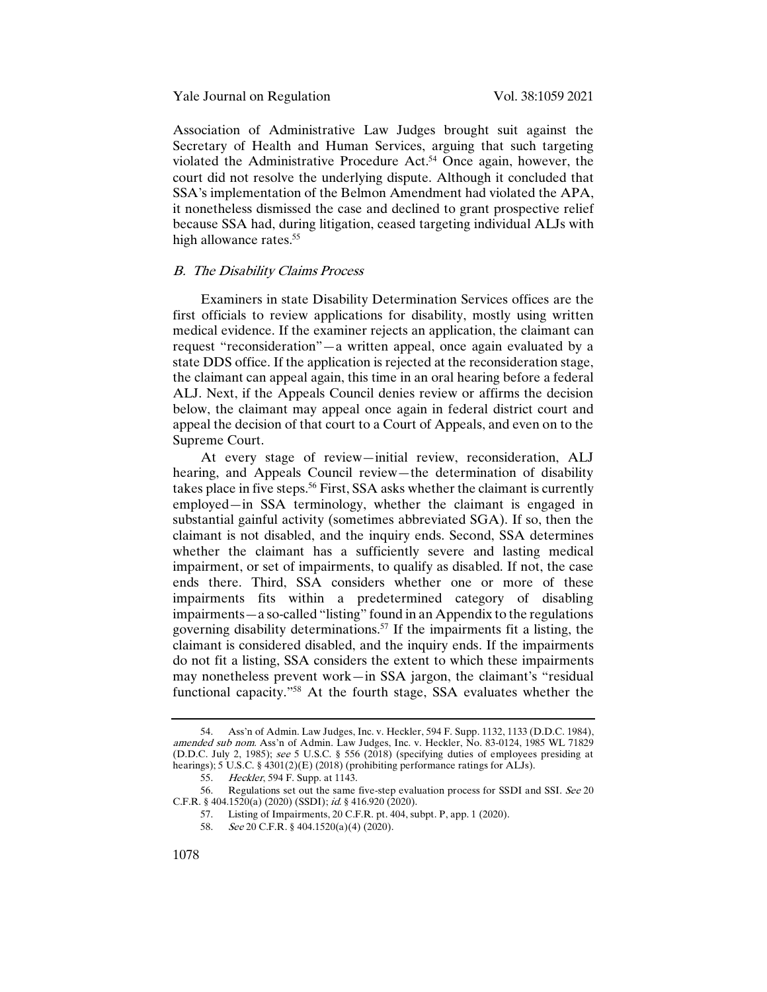#### Yale Journal on Regulation Vol. 38:1059 2021

Association of Administrative Law Judges brought suit against the Secretary of Health and Human Services, arguing that such targeting violated the Administrative Procedure Act.54 Once again, however, the court did not resolve the underlying dispute. Although it concluded that SSA's implementation of the Belmon Amendment had violated the APA, it nonetheless dismissed the case and declined to grant prospective relief because SSA had, during litigation, ceased targeting individual ALJs with high allowance rates.<sup>55</sup>

#### B. The Disability Claims Process

Examiners in state Disability Determination Services offices are the first officials to review applications for disability, mostly using written medical evidence. If the examiner rejects an application, the claimant can request "reconsideration"—a written appeal, once again evaluated by a state DDS office. If the application is rejected at the reconsideration stage, the claimant can appeal again, this time in an oral hearing before a federal ALJ. Next, if the Appeals Council denies review or affirms the decision below, the claimant may appeal once again in federal district court and appeal the decision of that court to a Court of Appeals, and even on to the Supreme Court.

At every stage of review—initial review, reconsideration, ALJ hearing, and Appeals Council review—the determination of disability takes place in five steps.<sup>56</sup> First, SSA asks whether the claimant is currently employed—in SSA terminology, whether the claimant is engaged in substantial gainful activity (sometimes abbreviated SGA). If so, then the claimant is not disabled, and the inquiry ends. Second, SSA determines whether the claimant has a sufficiently severe and lasting medical impairment, or set of impairments, to qualify as disabled. If not, the case ends there. Third, SSA considers whether one or more of these impairments fits within a predetermined category of disabling impairments—a so-called "listing" found in an Appendix to the regulations governing disability determinations.<sup>57</sup> If the impairments fit a listing, the claimant is considered disabled, and the inquiry ends. If the impairments do not fit a listing, SSA considers the extent to which these impairments may nonetheless prevent work—in SSA jargon, the claimant's "residual functional capacity."58 At the fourth stage, SSA evaluates whether the

<sup>54.</sup> Ass'n of Admin. Law Judges, Inc. v. Heckler, 594 F. Supp. 1132, 1133 (D.D.C. 1984), amended sub nom. Ass'n of Admin. Law Judges, Inc. v. Heckler, No. 83-0124, 1985 WL 71829 (D.D.C. July 2, 1985); see 5 U.S.C. § 556 (2018) (specifying duties of employees presiding at hearings); 5 U.S.C. § 4301(2)(E) (2018) (prohibiting performance ratings for ALJs).

<sup>55.</sup> Heckler, 594 F. Supp. at 1143.

<sup>56.</sup> Regulations set out the same five-step evaluation process for SSDI and SSI. See 20 C.F.R. § 404.1520(a) (2020) (SSDI); id. § 416.920 (2020).

<sup>57.</sup> Listing of Impairments, 20 C.F.R. pt. 404, subpt. P, app. 1 (2020).

See 20 C.F.R. § 404.1520(a)(4) (2020).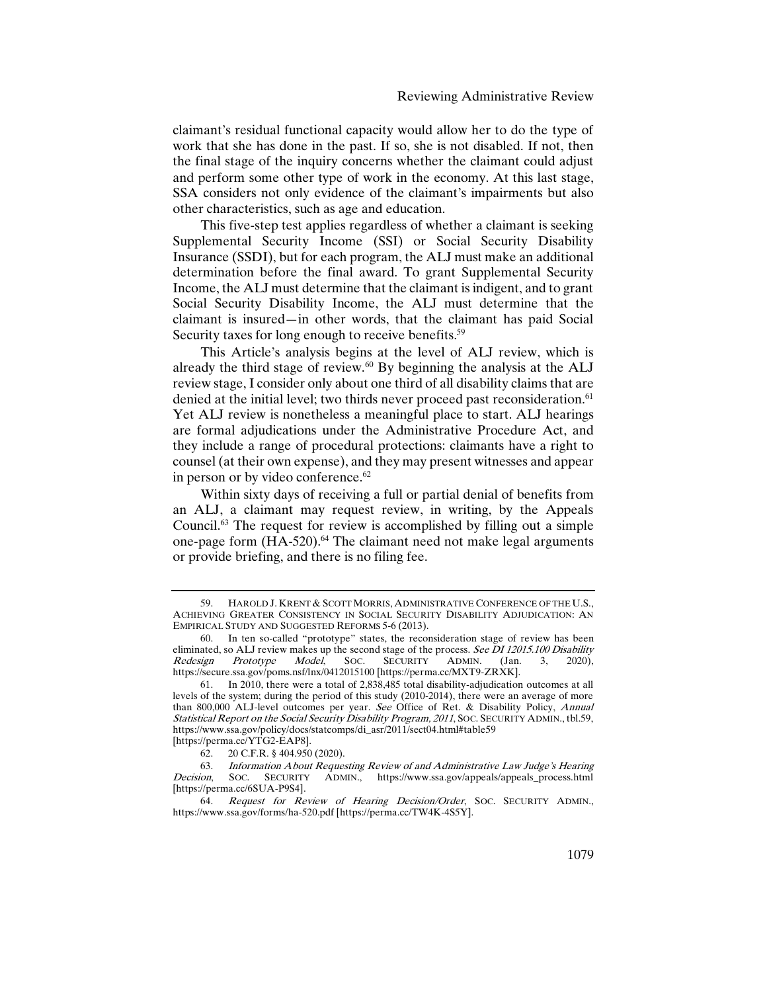claimant's residual functional capacity would allow her to do the type of work that she has done in the past. If so, she is not disabled. If not, then the final stage of the inquiry concerns whether the claimant could adjust and perform some other type of work in the economy. At this last stage, SSA considers not only evidence of the claimant's impairments but also other characteristics, such as age and education.

This five-step test applies regardless of whether a claimant is seeking Supplemental Security Income (SSI) or Social Security Disability Insurance (SSDI), but for each program, the ALJ must make an additional determination before the final award. To grant Supplemental Security Income, the ALJ must determine that the claimant is indigent, and to grant Social Security Disability Income, the ALJ must determine that the claimant is insured—in other words, that the claimant has paid Social Security taxes for long enough to receive benefits.<sup>59</sup>

This Article's analysis begins at the level of ALJ review, which is already the third stage of review.60 By beginning the analysis at the ALJ review stage, I consider only about one third of all disability claims that are denied at the initial level; two thirds never proceed past reconsideration.<sup>61</sup> Yet ALJ review is nonetheless a meaningful place to start. ALJ hearings are formal adjudications under the Administrative Procedure Act, and they include a range of procedural protections: claimants have a right to counsel (at their own expense), and they may present witnesses and appear in person or by video conference.<sup>62</sup>

Within sixty days of receiving a full or partial denial of benefits from an ALJ, a claimant may request review, in writing, by the Appeals Council.63 The request for review is accomplished by filling out a simple one-page form (HA-520).<sup>64</sup> The claimant need not make legal arguments or provide briefing, and there is no filing fee.

<sup>59.</sup> HAROLD J. KRENT & SCOTT MORRIS, ADMINISTRATIVE CONFERENCE OF THE U.S., ACHIEVING GREATER CONSISTENCY IN SOCIAL SECURITY DISABILITY ADJUDICATION: AN EMPIRICAL STUDY AND SUGGESTED REFORMS 5-6 (2013).

<sup>60.</sup> In ten so-called "prototype" states, the reconsideration stage of review has been eliminated, so ALJ review makes up the second stage of the process. See DI 12015.100 Disability<br>Redesign Prototype Model, SOC. SECURITY ADMIN. (Jan. 3, 2020), Redesign Prototype Model, SOC. SECURITY ADMIN. (Jan. 3, 2020), https://secure.ssa.gov/poms.nsf/lnx/0412015100 [https://perma.cc/MXT9-ZRXK].

<sup>61.</sup> In 2010, there were a total of 2,838,485 total disability-adjudication outcomes at all levels of the system; during the period of this study (2010-2014), there were an average of more than 800,000 ALJ-level outcomes per year. See Office of Ret. & Disability Policy, Annual Statistical Report on the Social Security Disability Program, 2011, SOC. SECURITY ADMIN., tbl.59, https://www.ssa.gov/policy/docs/statcomps/di\_asr/2011/sect04.html#table59 [https://perma.cc/YTG2-EAP8].

<sup>62.</sup> 20 C.F.R. § 404.950 (2020).

<sup>63.</sup> Information About Requesting Review of and Administrative Law Judge's Hearing Decision, Soc. SECURITY ADMIN., https://www.ssa.gov/appeals/appeals\_process.html SECURITY ADMIN., https://www.ssa.gov/appeals/appeals\_process.html [https://perma.cc/6SUA-P9S4].

<sup>64.</sup> Request for Review of Hearing Decision/Order, SOC. SECURITY ADMIN., https://www.ssa.gov/forms/ha-520.pdf [https://perma.cc/TW4K-4S5Y].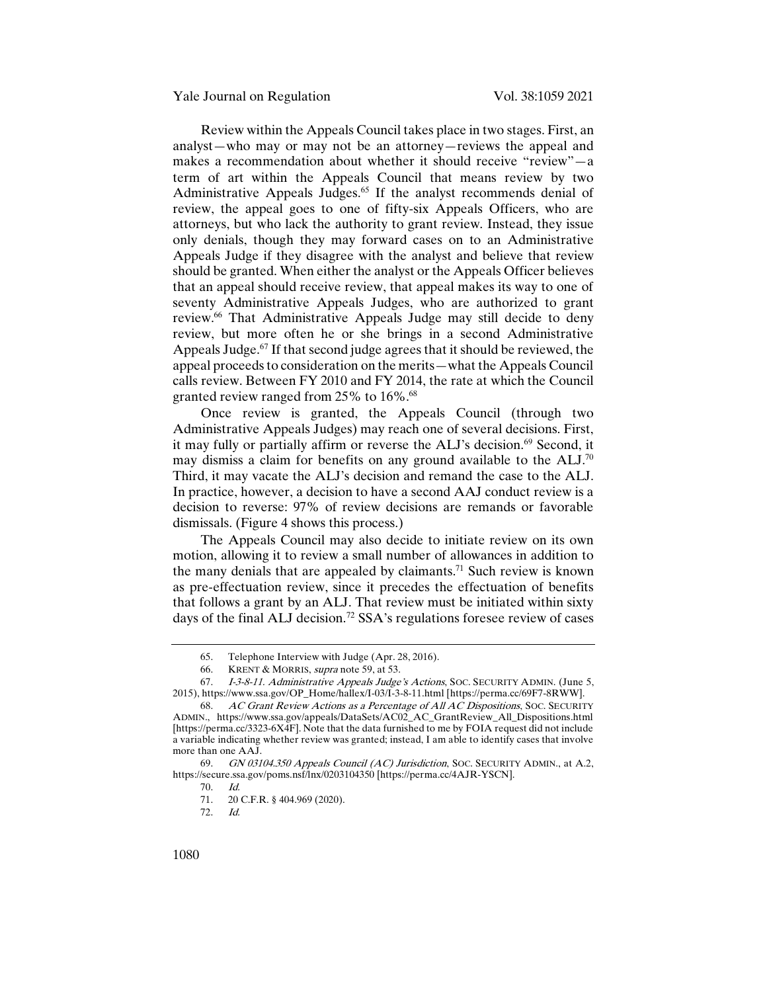Review within the Appeals Council takes place in two stages. First, an analyst—who may or may not be an attorney—reviews the appeal and makes a recommendation about whether it should receive "review"—a term of art within the Appeals Council that means review by two Administrative Appeals Judges.<sup>65</sup> If the analyst recommends denial of review, the appeal goes to one of fifty-six Appeals Officers, who are attorneys, but who lack the authority to grant review. Instead, they issue only denials, though they may forward cases on to an Administrative Appeals Judge if they disagree with the analyst and believe that review should be granted. When either the analyst or the Appeals Officer believes that an appeal should receive review, that appeal makes its way to one of seventy Administrative Appeals Judges, who are authorized to grant review.66 That Administrative Appeals Judge may still decide to deny review, but more often he or she brings in a second Administrative Appeals Judge.<sup>67</sup> If that second judge agrees that it should be reviewed, the appeal proceeds to consideration on the merits—what the Appeals Council calls review. Between FY 2010 and FY 2014, the rate at which the Council granted review ranged from 25% to 16%.<sup>68</sup>

Once review is granted, the Appeals Council (through two Administrative Appeals Judges) may reach one of several decisions. First, it may fully or partially affirm or reverse the ALJ's decision.<sup>69</sup> Second, it may dismiss a claim for benefits on any ground available to the ALJ.<sup>70</sup> Third, it may vacate the ALJ's decision and remand the case to the ALJ. In practice, however, a decision to have a second AAJ conduct review is a decision to reverse: 97% of review decisions are remands or favorable dismissals. (Figure 4 shows this process.)

The Appeals Council may also decide to initiate review on its own motion, allowing it to review a small number of allowances in addition to the many denials that are appealed by claimants.<sup>71</sup> Such review is known as pre-effectuation review, since it precedes the effectuation of benefits that follows a grant by an ALJ. That review must be initiated within sixty days of the final ALJ decision.72 SSA's regulations foresee review of cases

<sup>65.</sup> Telephone Interview with Judge (Apr. 28, 2016).<br>66. KRENT & MORRIS *supra* note 59, at 53.

<sup>66.</sup> KRENT & MORRIS, *supra* note 59, at 53.<br>67. *I-3-8-11. Administrative Appeals Judge* 

I-3-8-11. Administrative Appeals Judge's Actions, SOC. SECURITY ADMIN. (June 5, 2015), https://www.ssa.gov/OP\_Home/hallex/I-03/I-3-8-11.html [https://perma.cc/69F7-8RWW].

<sup>68.</sup> AC Grant Review Actions as a Percentage of All AC Dispositions, Soc. SECURITY ADMIN., https://www.ssa.gov/appeals/DataSets/AC02\_AC\_GrantReview\_All\_Dispositions.html [https://perma.cc/3323-6X4F]. Note that the data furnished to me by FOIA request did not include a variable indicating whether review was granted; instead, I am able to identify cases that involve more than one AAJ.

<sup>69.</sup> GN 03104.350 Appeals Council (AC) Jurisdiction, SOC. SECURITY ADMIN., at A.2, https://secure.ssa.gov/poms.nsf/lnx/0203104350 [https://perma.cc/4AJR-YSCN].

<sup>70.</sup> Id.

<sup>71.</sup> 20 C.F.R. § 404.969 (2020).

<sup>72.</sup> Id.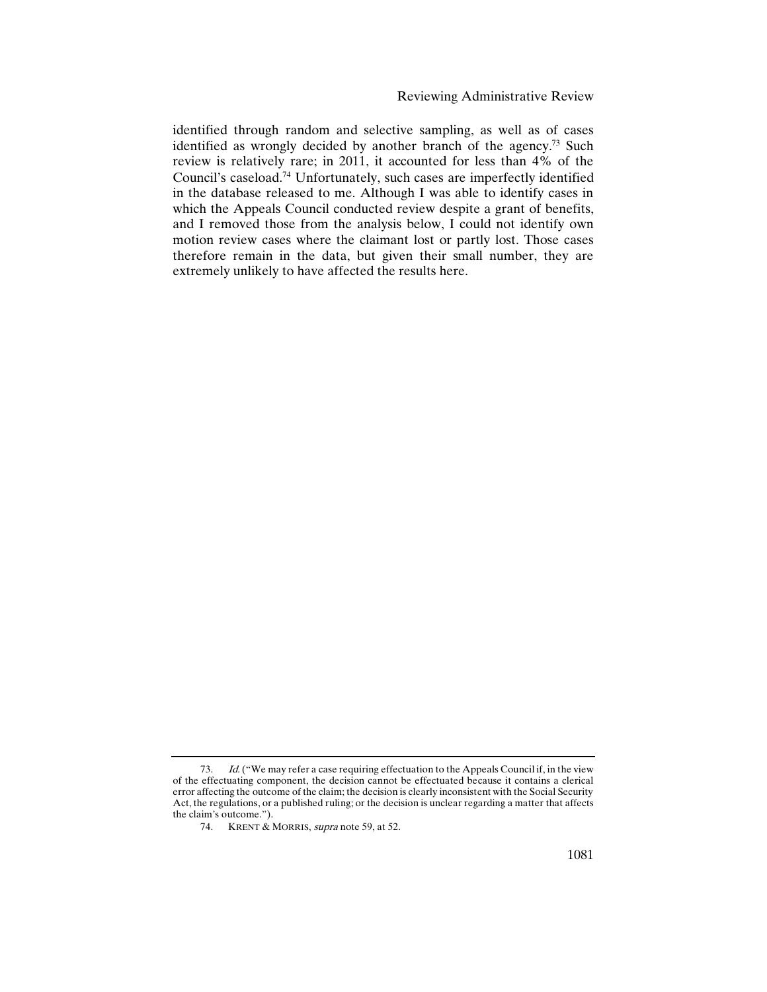## Reviewing Administrative Review

identified through random and selective sampling, as well as of cases identified as wrongly decided by another branch of the agency.<sup>73</sup> Such review is relatively rare; in 2011, it accounted for less than 4% of the Council's caseload.74 Unfortunately, such cases are imperfectly identified in the database released to me. Although I was able to identify cases in which the Appeals Council conducted review despite a grant of benefits, and I removed those from the analysis below, I could not identify own motion review cases where the claimant lost or partly lost. Those cases therefore remain in the data, but given their small number, they are extremely unlikely to have affected the results here.

<sup>73.</sup> *Id.* ("We may refer a case requiring effectuation to the Appeals Council if, in the view of the effectuating component, the decision cannot be effectuated because it contains a clerical error affecting the outcome of the claim; the decision is clearly inconsistent with the Social Security Act, the regulations, or a published ruling; or the decision is unclear regarding a matter that affects the claim's outcome.").

<sup>74.</sup> KRENT & MORRIS, *supra* note 59, at 52.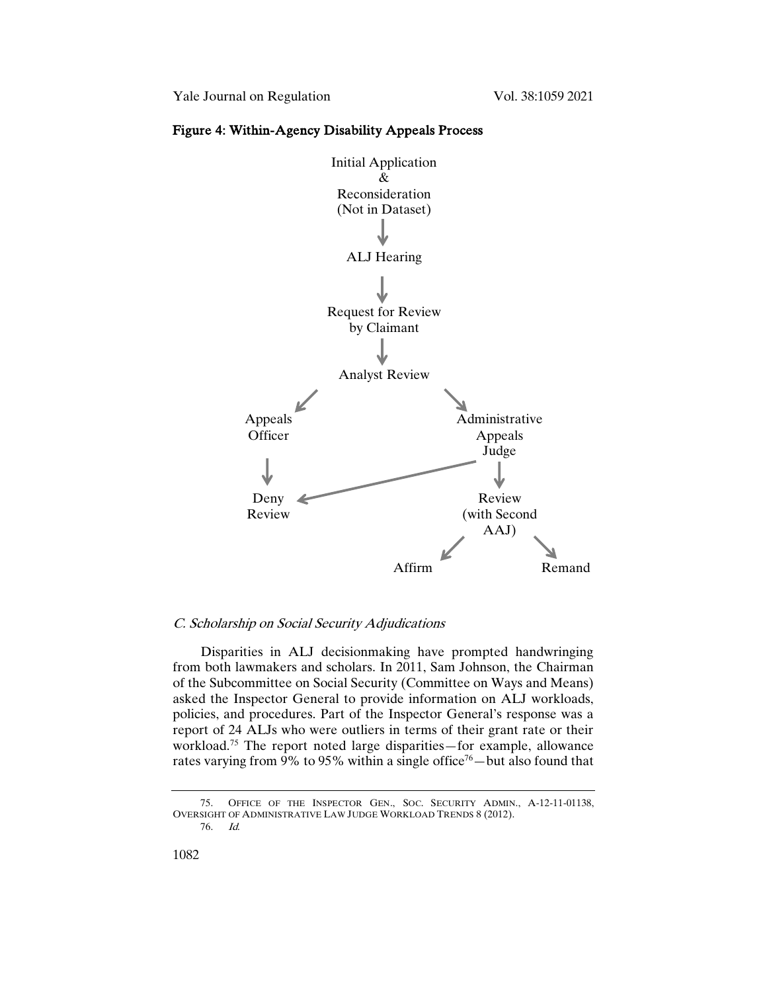Yale Journal on Regulation Vol. 38:1059 2021



### Figure 4: Within-Agency Disability Appeals Process

## C. Scholarship on Social Security Adjudications

Disparities in ALJ decisionmaking have prompted handwringing from both lawmakers and scholars. In 2011, Sam Johnson, the Chairman of the Subcommittee on Social Security (Committee on Ways and Means) asked the Inspector General to provide information on ALJ workloads, policies, and procedures. Part of the Inspector General's response was a report of 24 ALJs who were outliers in terms of their grant rate or their workload.<sup>75</sup> The report noted large disparities—for example, allowance rates varying from 9% to 95% within a single office<sup>76</sup>—but also found that

<sup>75.</sup> OFFICE OF THE INSPECTOR GEN., SOC. SECURITY ADMIN., A-12-11-01138, OVERSIGHT OF ADMINISTRATIVE LAW JUDGE WORKLOAD TRENDS 8 (2012). 76. Id.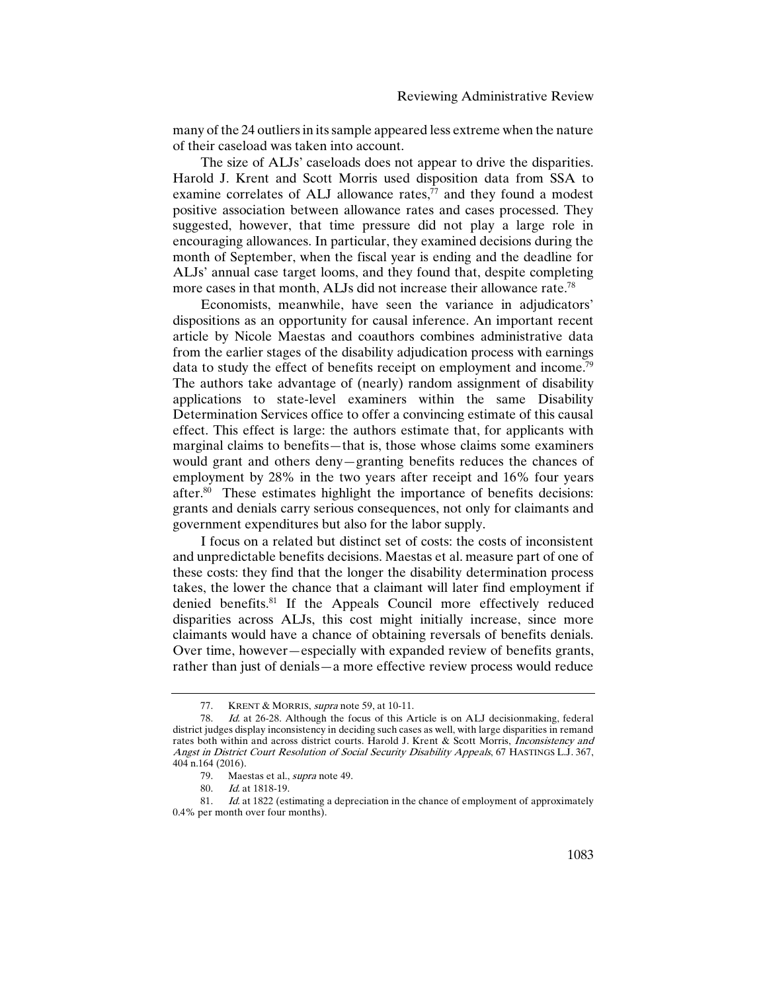many of the 24 outliers in its sample appeared less extreme when the nature of their caseload was taken into account.

The size of ALJs' caseloads does not appear to drive the disparities. Harold J. Krent and Scott Morris used disposition data from SSA to examine correlates of ALJ allowance rates, $\hat{\tau}$  and they found a modest positive association between allowance rates and cases processed. They suggested, however, that time pressure did not play a large role in encouraging allowances. In particular, they examined decisions during the month of September, when the fiscal year is ending and the deadline for ALJs' annual case target looms, and they found that, despite completing more cases in that month, ALJs did not increase their allowance rate.<sup>78</sup>

Economists, meanwhile, have seen the variance in adjudicators' dispositions as an opportunity for causal inference. An important recent article by Nicole Maestas and coauthors combines administrative data from the earlier stages of the disability adjudication process with earnings data to study the effect of benefits receipt on employment and income.79 The authors take advantage of (nearly) random assignment of disability applications to state-level examiners within the same Disability Determination Services office to offer a convincing estimate of this causal effect. This effect is large: the authors estimate that, for applicants with marginal claims to benefits—that is, those whose claims some examiners would grant and others deny—granting benefits reduces the chances of employment by 28% in the two years after receipt and 16% four years after.80 These estimates highlight the importance of benefits decisions: grants and denials carry serious consequences, not only for claimants and government expenditures but also for the labor supply.

I focus on a related but distinct set of costs: the costs of inconsistent and unpredictable benefits decisions. Maestas et al. measure part of one of these costs: they find that the longer the disability determination process takes, the lower the chance that a claimant will later find employment if denied benefits.<sup>81</sup> If the Appeals Council more effectively reduced disparities across ALJs, this cost might initially increase, since more claimants would have a chance of obtaining reversals of benefits denials. Over time, however—especially with expanded review of benefits grants, rather than just of denials—a more effective review process would reduce

<sup>77.</sup> KRENT & MORRIS, *supra* note 59, at 10-11.

<sup>78.</sup> Id. at 26-28. Although the focus of this Article is on ALJ decisionmaking, federal district judges display inconsistency in deciding such cases as well, with large disparities in remand rates both within and across district courts. Harold J. Krent & Scott Morris, Inconsistency and Angst in District Court Resolution of Social Security Disability Appeals, 67 HASTINGS L.J. 367, 404 n.164 (2016).

<sup>79.</sup> Maestas et al., supra note 49.

<sup>80.</sup> *Id.* at 1818-19.<br>81 *Id.* at 1822 (est.

Id. at 1822 (estimating a depreciation in the chance of employment of approximately 0.4% per month over four months).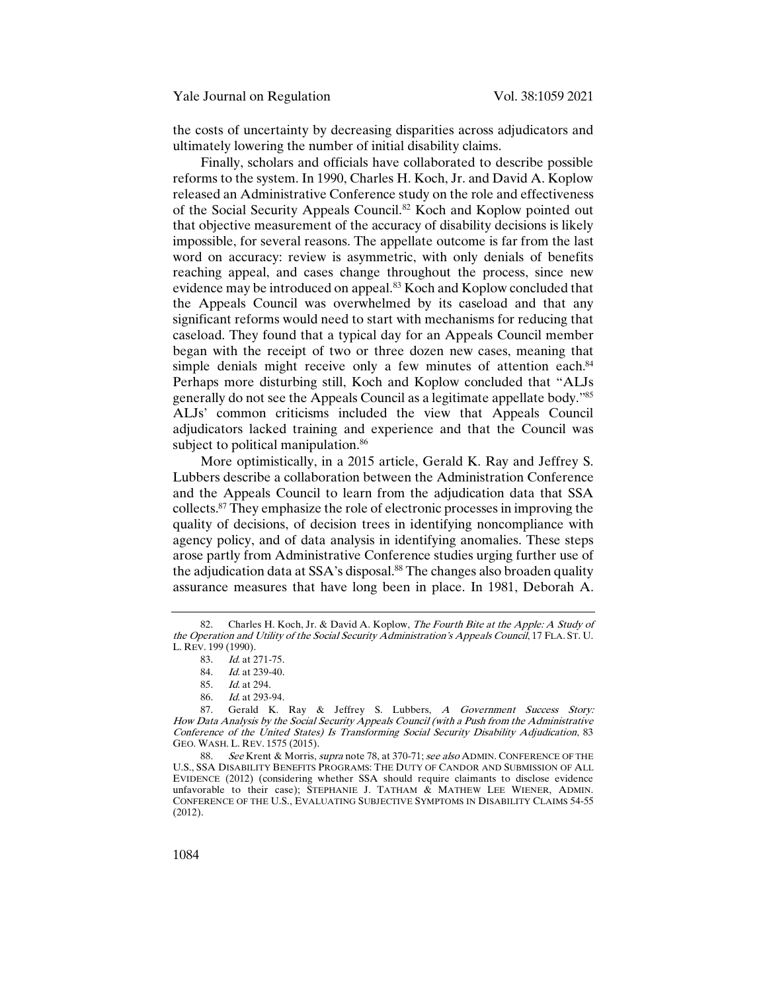the costs of uncertainty by decreasing disparities across adjudicators and ultimately lowering the number of initial disability claims.

Finally, scholars and officials have collaborated to describe possible reforms to the system. In 1990, Charles H. Koch, Jr. and David A. Koplow released an Administrative Conference study on the role and effectiveness of the Social Security Appeals Council.82 Koch and Koplow pointed out that objective measurement of the accuracy of disability decisions is likely impossible, for several reasons. The appellate outcome is far from the last word on accuracy: review is asymmetric, with only denials of benefits reaching appeal, and cases change throughout the process, since new evidence may be introduced on appeal.<sup>83</sup> Koch and Koplow concluded that the Appeals Council was overwhelmed by its caseload and that any significant reforms would need to start with mechanisms for reducing that caseload. They found that a typical day for an Appeals Council member began with the receipt of two or three dozen new cases, meaning that simple denials might receive only a few minutes of attention each.<sup>84</sup> Perhaps more disturbing still, Koch and Koplow concluded that "ALJs generally do not see the Appeals Council as a legitimate appellate body."85 ALJs' common criticisms included the view that Appeals Council adjudicators lacked training and experience and that the Council was subject to political manipulation.<sup>86</sup>

More optimistically, in a 2015 article, Gerald K. Ray and Jeffrey S. Lubbers describe a collaboration between the Administration Conference and the Appeals Council to learn from the adjudication data that SSA collects.87 They emphasize the role of electronic processes in improving the quality of decisions, of decision trees in identifying noncompliance with agency policy, and of data analysis in identifying anomalies. These steps arose partly from Administrative Conference studies urging further use of the adjudication data at SSA's disposal.<sup>88</sup> The changes also broaden quality assurance measures that have long been in place. In 1981, Deborah A.

86. Id. at 293-94.

88. See Krent & Morris, supra note 78, at 370-71; see also ADMIN. CONFERENCE OF THE U.S., SSA DISABILITY BENEFITS PROGRAMS: THE DUTY OF CANDOR AND SUBMISSION OF ALL EVIDENCE (2012) (considering whether SSA should require claimants to disclose evidence unfavorable to their case); STEPHANIE J. TATHAM & MATHEW LEE WIENER, ADMIN. CONFERENCE OF THE U.S., EVALUATING SUBJECTIVE SYMPTOMS IN DISABILITY CLAIMS 54-55 (2012).

<sup>82.</sup> Charles H. Koch, Jr. & David A. Koplow, The Fourth Bite at the Apple: A Study of the Operation and Utility of the Social Security Administration's Appeals Council, 17 FLA. ST. U. L. REV. 199 (1990).

<sup>83.</sup> Id. at 271-75.

<sup>84.</sup> Id. at 239-40.

<sup>85.</sup> Id. at 294.

<sup>87.</sup> Gerald K. Ray & Jeffrey S. Lubbers, A Government Success Story: How Data Analysis by the Social Security Appeals Council (with a Push from the Administrative Conference of the United States) Is Transforming Social Security Disability Adjudication, 83 GEO. WASH. L. REV. 1575 (2015).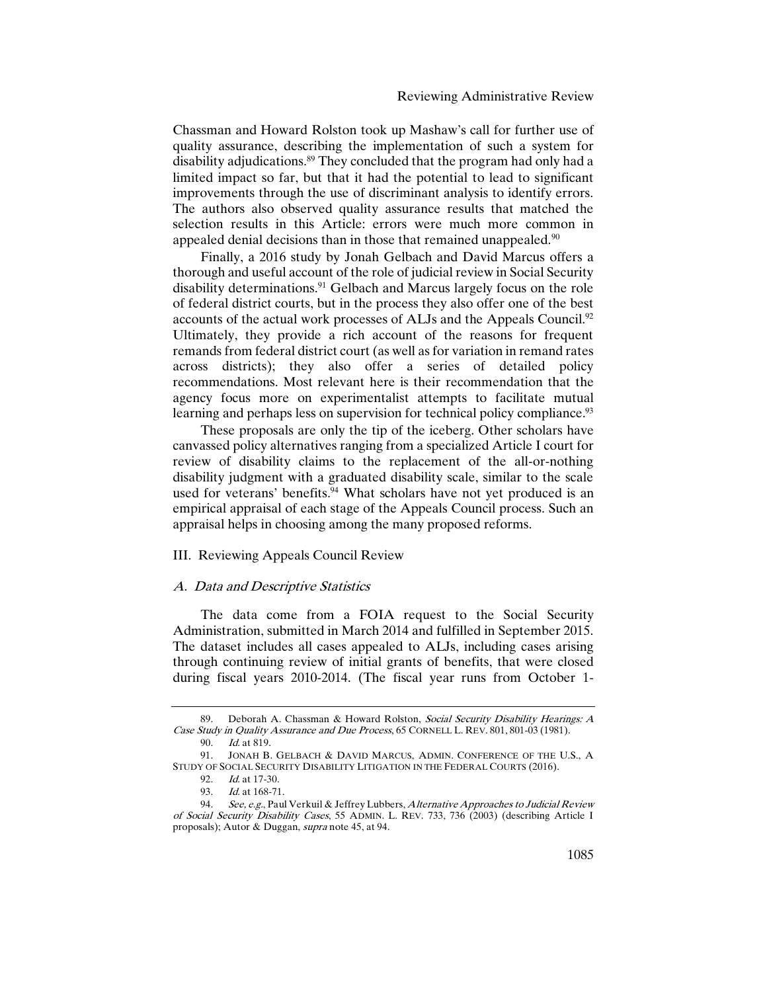Chassman and Howard Rolston took up Mashaw's call for further use of quality assurance, describing the implementation of such a system for disability adjudications.89 They concluded that the program had only had a limited impact so far, but that it had the potential to lead to significant improvements through the use of discriminant analysis to identify errors. The authors also observed quality assurance results that matched the selection results in this Article: errors were much more common in appealed denial decisions than in those that remained unappealed.<sup>90</sup>

Finally, a 2016 study by Jonah Gelbach and David Marcus offers a thorough and useful account of the role of judicial review in Social Security disability determinations.<sup>91</sup> Gelbach and Marcus largely focus on the role of federal district courts, but in the process they also offer one of the best accounts of the actual work processes of ALJs and the Appeals Council.92 Ultimately, they provide a rich account of the reasons for frequent remands from federal district court (as well as for variation in remand rates across districts); they also offer a series of detailed policy recommendations. Most relevant here is their recommendation that the agency focus more on experimentalist attempts to facilitate mutual learning and perhaps less on supervision for technical policy compliance.<sup>93</sup>

These proposals are only the tip of the iceberg. Other scholars have canvassed policy alternatives ranging from a specialized Article I court for review of disability claims to the replacement of the all-or-nothing disability judgment with a graduated disability scale, similar to the scale used for veterans' benefits.<sup>94</sup> What scholars have not yet produced is an empirical appraisal of each stage of the Appeals Council process. Such an appraisal helps in choosing among the many proposed reforms.

#### III. Reviewing Appeals Council Review

#### A. Data and Descriptive Statistics

The data come from a FOIA request to the Social Security Administration, submitted in March 2014 and fulfilled in September 2015. The dataset includes all cases appealed to ALJs, including cases arising through continuing review of initial grants of benefits, that were closed during fiscal years 2010-2014. (The fiscal year runs from October 1-

<sup>89.</sup> Deborah A. Chassman & Howard Rolston, Social Security Disability Hearings: A Case Study in Quality Assurance and Due Process, 65 CORNELL L. REV. 801, 801-03 (1981).

<sup>90.</sup> Id. at 819.

<sup>91.</sup> JONAH B. GELBACH & DAVID MARCUS, ADMIN. CONFERENCE OF THE U.S., A STUDY OF SOCIAL SECURITY DISABILITY LITIGATION IN THE FEDERAL COURTS (2016).

<sup>92.</sup> Id. at 17-30.

<sup>93.</sup> Id. at 168-71.

<sup>94.</sup> See, e.g., Paul Verkuil & Jeffrey Lubbers, Alternative Approaches to Judicial Review of Social Security Disability Cases, 55 ADMIN. L. REV. 733, 736 (2003) (describing Article I proposals); Autor & Duggan, supra note 45, at 94.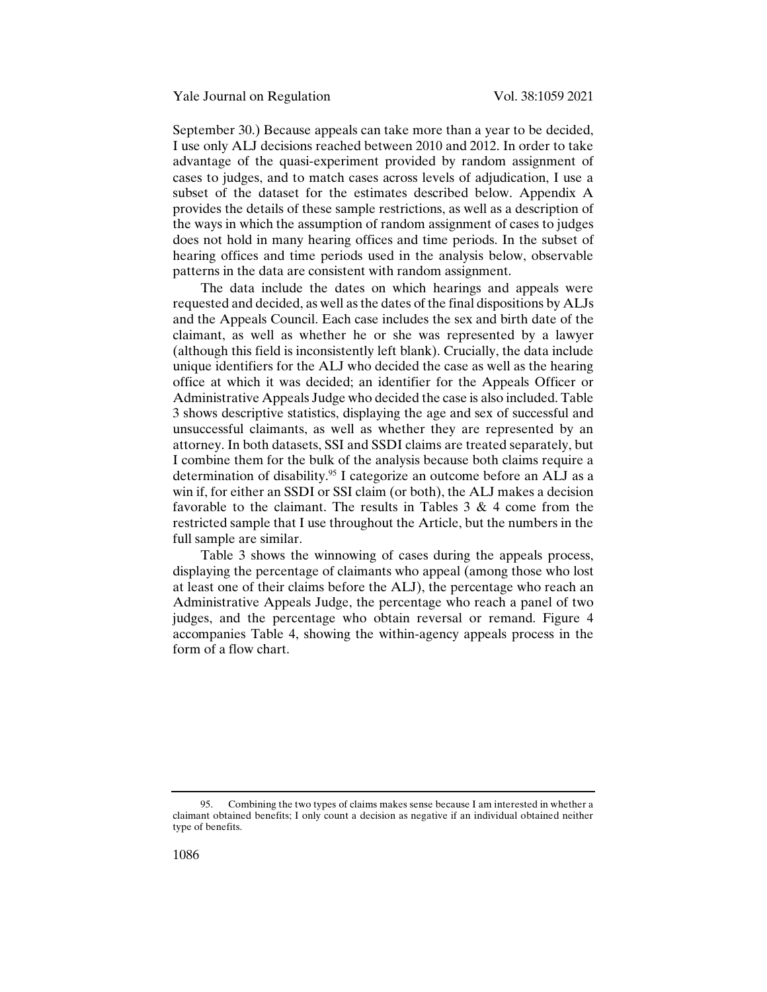September 30.) Because appeals can take more than a year to be decided, I use only ALJ decisions reached between 2010 and 2012. In order to take advantage of the quasi-experiment provided by random assignment of cases to judges, and to match cases across levels of adjudication, I use a subset of the dataset for the estimates described below. Appendix A provides the details of these sample restrictions, as well as a description of the ways in which the assumption of random assignment of cases to judges does not hold in many hearing offices and time periods. In the subset of hearing offices and time periods used in the analysis below, observable patterns in the data are consistent with random assignment.

The data include the dates on which hearings and appeals were requested and decided, as well as the dates of the final dispositions by ALJs and the Appeals Council. Each case includes the sex and birth date of the claimant, as well as whether he or she was represented by a lawyer (although this field is inconsistently left blank). Crucially, the data include unique identifiers for the ALJ who decided the case as well as the hearing office at which it was decided; an identifier for the Appeals Officer or Administrative Appeals Judge who decided the case is also included. Table 3 shows descriptive statistics, displaying the age and sex of successful and unsuccessful claimants, as well as whether they are represented by an attorney. In both datasets, SSI and SSDI claims are treated separately, but I combine them for the bulk of the analysis because both claims require a determination of disability.95 I categorize an outcome before an ALJ as a win if, for either an SSDI or SSI claim (or both), the ALJ makes a decision favorable to the claimant. The results in Tables  $3 \& 4$  come from the restricted sample that I use throughout the Article, but the numbers in the full sample are similar.

Table 3 shows the winnowing of cases during the appeals process, displaying the percentage of claimants who appeal (among those who lost at least one of their claims before the ALJ), the percentage who reach an Administrative Appeals Judge, the percentage who reach a panel of two judges, and the percentage who obtain reversal or remand. Figure 4 accompanies Table 4, showing the within-agency appeals process in the form of a flow chart.

<sup>95.</sup> Combining the two types of claims makes sense because I am interested in whether a claimant obtained benefits; I only count a decision as negative if an individual obtained neither type of benefits.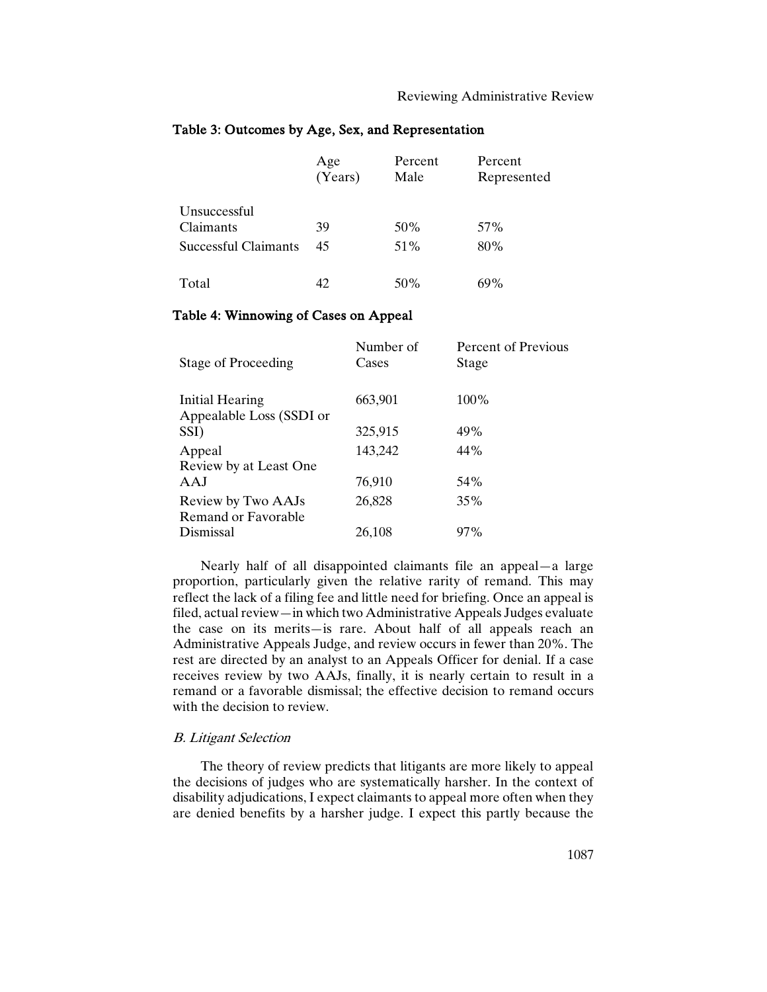|                      | Age<br>(Years) | Percent<br>Male | Percent<br>Represented |  |  |
|----------------------|----------------|-----------------|------------------------|--|--|
| Unsuccessful         |                |                 |                        |  |  |
| Claimants            | 39             | 50%             | 57\%                   |  |  |
| Successful Claimants | 45             | 51%             | 80%                    |  |  |
| Total                | 42             | 50%             | 69%                    |  |  |

## Table 3: Outcomes by Age, Sex, and Representation

## Table 4: Winnowing of Cases on Appeal

| Stage of Proceeding                         | Number of<br>Cases | Percent of Previous<br>Stage |
|---------------------------------------------|--------------------|------------------------------|
| Initial Hearing<br>Appealable Loss (SSDI or | 663,901            | 100%                         |
| SSI)                                        | 325,915            | 49%                          |
| Appeal<br>Review by at Least One            | 143,242            | 44%                          |
| AAJ                                         | 76,910             | 54%                          |
| Review by Two AAJs<br>Remand or Favorable   | 26,828             | 35%                          |
| Dismissal                                   | 26,108             | 97%                          |

Nearly half of all disappointed claimants file an appeal—a large proportion, particularly given the relative rarity of remand. This may reflect the lack of a filing fee and little need for briefing. Once an appeal is filed, actual review—in which two Administrative Appeals Judges evaluate the case on its merits—is rare. About half of all appeals reach an Administrative Appeals Judge, and review occurs in fewer than 20%. The rest are directed by an analyst to an Appeals Officer for denial. If a case receives review by two AAJs, finally, it is nearly certain to result in a remand or a favorable dismissal; the effective decision to remand occurs with the decision to review.

## B. Litigant Selection

The theory of review predicts that litigants are more likely to appeal the decisions of judges who are systematically harsher. In the context of disability adjudications, I expect claimants to appeal more often when they are denied benefits by a harsher judge. I expect this partly because the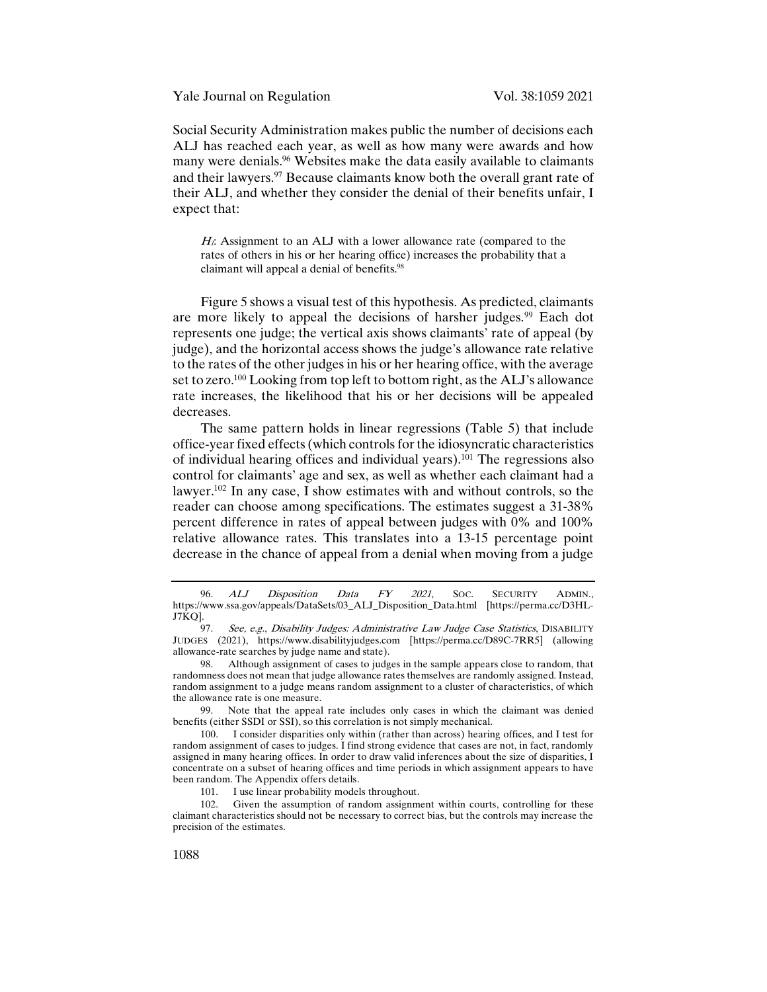Yale Journal on Regulation Vol. 38:1059 2021

Social Security Administration makes public the number of decisions each ALJ has reached each year, as well as how many were awards and how many were denials.<sup>96</sup> Websites make the data easily available to claimants and their lawyers.<sup>97</sup> Because claimants know both the overall grant rate of their ALJ, and whether they consider the denial of their benefits unfair, I expect that:

 $H_i$ : Assignment to an ALJ with a lower allowance rate (compared to the rates of others in his or her hearing office) increases the probability that a claimant will appeal a denial of benefits.<sup>98</sup>

Figure 5 shows a visual test of this hypothesis. As predicted, claimants are more likely to appeal the decisions of harsher judges.<sup>99</sup> Each dot represents one judge; the vertical axis shows claimants' rate of appeal (by judge), and the horizontal access shows the judge's allowance rate relative to the rates of the other judges in his or her hearing office, with the average set to zero.100 Looking from top left to bottom right, as the ALJ's allowance rate increases, the likelihood that his or her decisions will be appealed decreases.

The same pattern holds in linear regressions (Table 5) that include office-year fixed effects (which controls for the idiosyncratic characteristics of individual hearing offices and individual years).101 The regressions also control for claimants' age and sex, as well as whether each claimant had a lawyer.<sup>102</sup> In any case, I show estimates with and without controls, so the reader can choose among specifications. The estimates suggest a 31-38% percent difference in rates of appeal between judges with 0% and 100% relative allowance rates. This translates into a 13-15 percentage point decrease in the chance of appeal from a denial when moving from a judge

101. I use linear probability models throughout.

102. Given the assumption of random assignment within courts, controlling for these claimant characteristics should not be necessary to correct bias, but the controls may increase the precision of the estimates.

<sup>96.</sup> *ALJ Disposition Data FY 2021*, Soc. Security Admin., https://www.ssa.gov/appeals/DataSets/03\_ALJ\_Disposition\_Data.html [https://perma.cc/D3HL-J7KQ].

<sup>97.</sup> See, e.g., Disability Judges: Administrative Law Judge Case Statistics, DISABILITY JUDGES (2021), https://www.disabilityjudges.com [https://perma.cc/D89C-7RR5] (allowing allowance-rate searches by judge name and state).

<sup>98.</sup> Although assignment of cases to judges in the sample appears close to random, that randomness does not mean that judge allowance rates themselves are randomly assigned. Instead, random assignment to a judge means random assignment to a cluster of characteristics, of which the allowance rate is one measure.

<sup>99.</sup> Note that the appeal rate includes only cases in which the claimant was denied benefits (either SSDI or SSI), so this correlation is not simply mechanical.

<sup>100.</sup> I consider disparities only within (rather than across) hearing offices, and I test for random assignment of cases to judges. I find strong evidence that cases are not, in fact, randomly assigned in many hearing offices. In order to draw valid inferences about the size of disparities, I concentrate on a subset of hearing offices and time periods in which assignment appears to have been random. The Appendix offers details.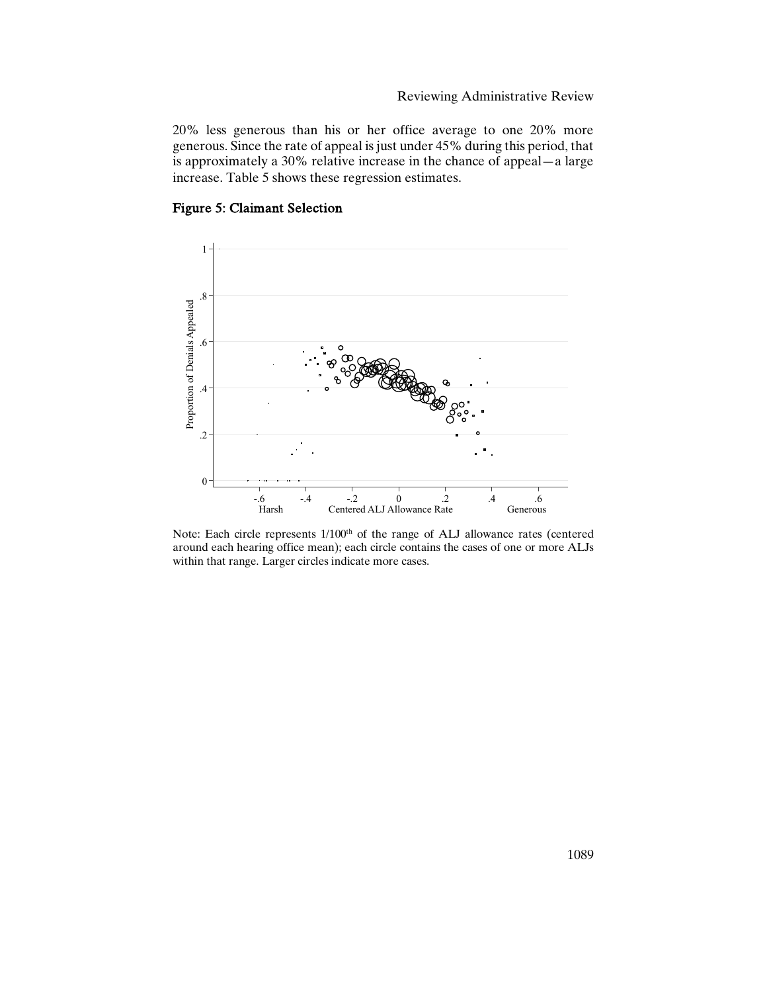20% less generous than his or her office average to one 20% more generous. Since the rate of appeal is just under 45% during this period, that is approximately a 30% relative increase in the chance of appeal—a large increase. Table 5 shows these regression estimates.



#### Figure 5: Claimant Selection

Note: Each circle represents 1/100<sup>th</sup> of the range of ALJ allowance rates (centered around each hearing office mean); each circle contains the cases of one or more ALJs within that range. Larger circles indicate more cases.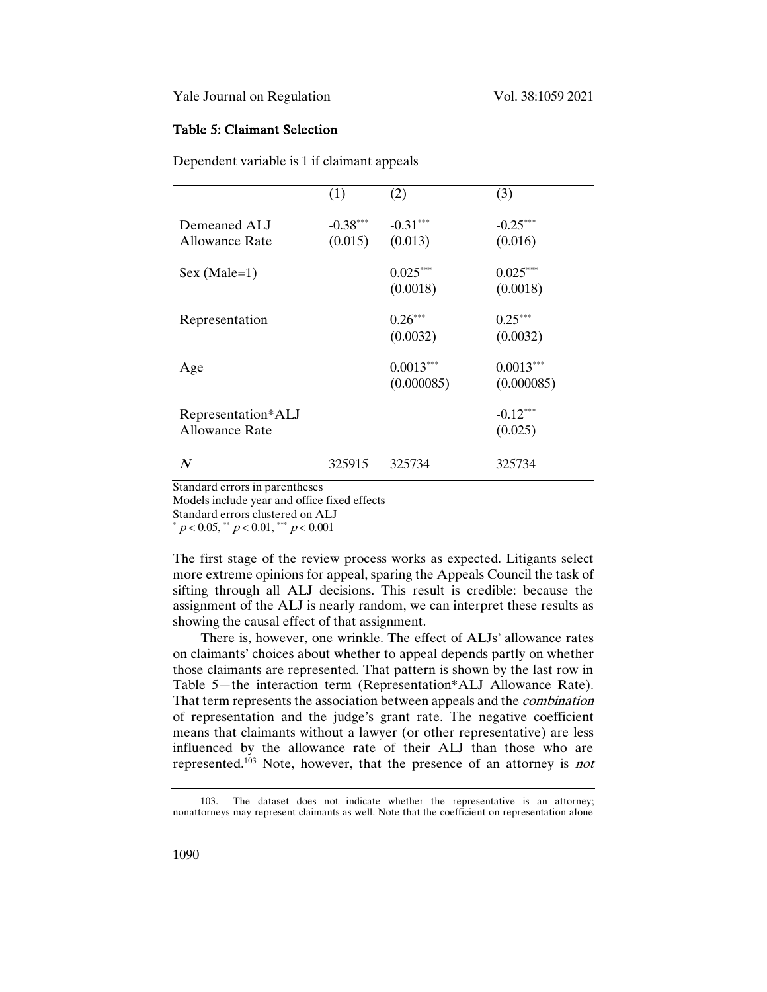#### Table 5: Claimant Selection

Dependent variable is 1 if claimant appeals

|                                                  | (1)        | (2)         | (3)         |
|--------------------------------------------------|------------|-------------|-------------|
| Demeaned ALJ                                     | $-0.38***$ | $-0.31***$  | $-0.25***$  |
| <b>Allowance Rate</b>                            | (0.015)    | (0.013)     | (0.016)     |
| $Sex (Male=1)$                                   |            | $0.025***$  | $0.025***$  |
|                                                  |            | (0.0018)    | (0.0018)    |
| Representation                                   |            | $0.26***$   | $0.25***$   |
|                                                  |            | (0.0032)    | (0.0032)    |
| Age                                              |            | $0.0013***$ | $0.0013***$ |
|                                                  |            | (0.000085)  | (0.000085)  |
| Representation*ALJ                               |            |             | $-0.12***$  |
| <b>Allowance Rate</b>                            |            |             | (0.025)     |
| $\boldsymbol{N}$                                 | 325915     | 325734      | 325734      |
| $0 + 1 + 1 + 1 =$<br>$\sim$ - $\sim$ 41. - - - - |            |             |             |

Standard errors in parentheses Models include year and office fixed effects Standard errors clustered on ALJ  $p < 0.05$ , \*\*  $p < 0.01$ , \*\*\*  $p < 0.001$ 

The first stage of the review process works as expected. Litigants select more extreme opinions for appeal, sparing the Appeals Council the task of sifting through all ALJ decisions. This result is credible: because the assignment of the ALJ is nearly random, we can interpret these results as showing the causal effect of that assignment.

There is, however, one wrinkle. The effect of ALJs' allowance rates on claimants' choices about whether to appeal depends partly on whether those claimants are represented. That pattern is shown by the last row in Table 5—the interaction term (Representation\*ALJ Allowance Rate). That term represents the association between appeals and the combination of representation and the judge's grant rate. The negative coefficient means that claimants without a lawyer (or other representative) are less influenced by the allowance rate of their ALJ than those who are represented.<sup>103</sup> Note, however, that the presence of an attorney is *not* 

<sup>103.</sup> The dataset does not indicate whether the representative is an attorney; nonattorneys may represent claimants as well. Note that the coefficient on representation alone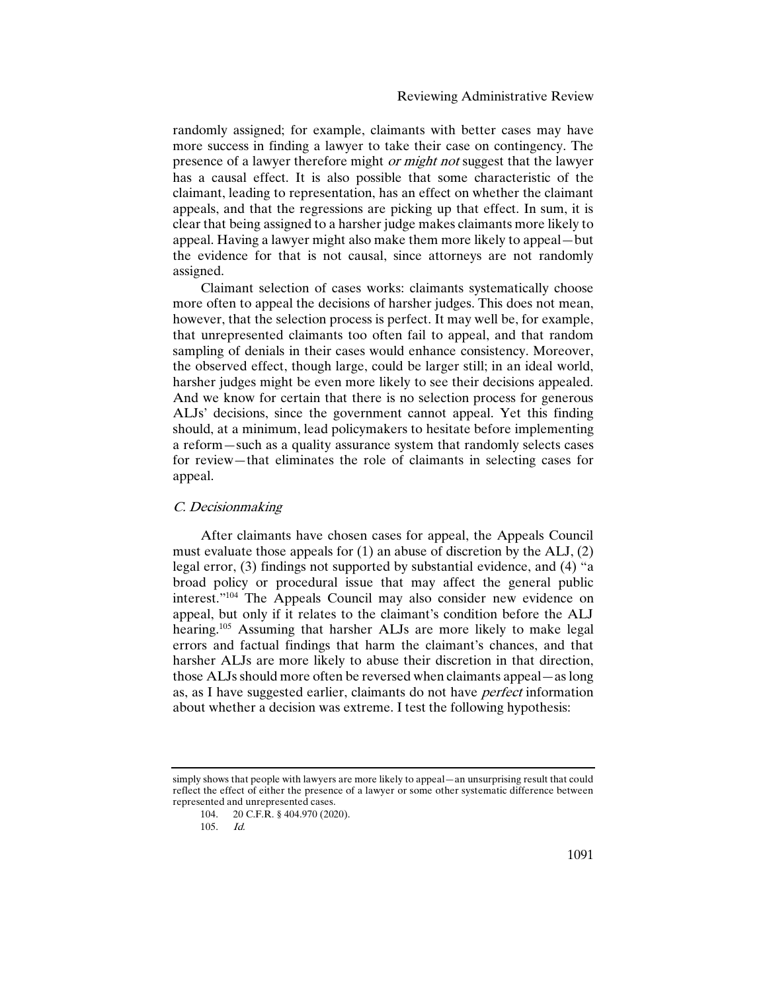#### Reviewing Administrative Review

randomly assigned; for example, claimants with better cases may have more success in finding a lawyer to take their case on contingency. The presence of a lawyer therefore might or might not suggest that the lawyer has a causal effect. It is also possible that some characteristic of the claimant, leading to representation, has an effect on whether the claimant appeals, and that the regressions are picking up that effect. In sum, it is clear that being assigned to a harsher judge makes claimants more likely to appeal. Having a lawyer might also make them more likely to appeal—but the evidence for that is not causal, since attorneys are not randomly assigned.

Claimant selection of cases works: claimants systematically choose more often to appeal the decisions of harsher judges. This does not mean, however, that the selection process is perfect. It may well be, for example, that unrepresented claimants too often fail to appeal, and that random sampling of denials in their cases would enhance consistency. Moreover, the observed effect, though large, could be larger still; in an ideal world, harsher judges might be even more likely to see their decisions appealed. And we know for certain that there is no selection process for generous ALJs' decisions, since the government cannot appeal. Yet this finding should, at a minimum, lead policymakers to hesitate before implementing a reform—such as a quality assurance system that randomly selects cases for review—that eliminates the role of claimants in selecting cases for appeal.

#### C. Decisionmaking

After claimants have chosen cases for appeal, the Appeals Council must evaluate those appeals for (1) an abuse of discretion by the ALJ, (2) legal error, (3) findings not supported by substantial evidence, and (4) "a broad policy or procedural issue that may affect the general public interest."104 The Appeals Council may also consider new evidence on appeal, but only if it relates to the claimant's condition before the ALJ hearing.<sup>105</sup> Assuming that harsher ALJs are more likely to make legal errors and factual findings that harm the claimant's chances, and that harsher ALJs are more likely to abuse their discretion in that direction, those ALJs should more often be reversed when claimants appeal—as long as, as I have suggested earlier, claimants do not have perfect information about whether a decision was extreme. I test the following hypothesis:

simply shows that people with lawyers are more likely to appeal—an unsurprising result that could reflect the effect of either the presence of a lawyer or some other systematic difference between represented and unrepresented cases.

105.  $Id$ 

<sup>104.</sup> 20 C.F.R. § 404.970 (2020).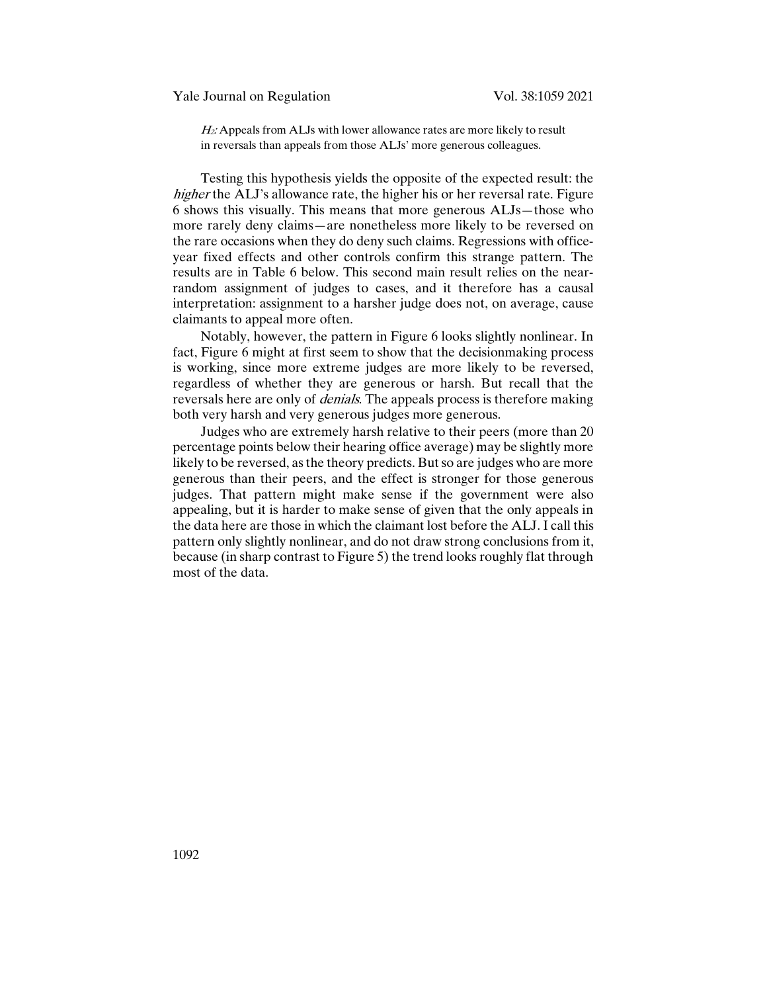#### Yale Journal on Regulation Vol. 38:1059 2021

 $H_2$ : Appeals from ALJs with lower allowance rates are more likely to result in reversals than appeals from those ALJs' more generous colleagues.

Testing this hypothesis yields the opposite of the expected result: the higher the ALJ's allowance rate, the higher his or her reversal rate. Figure 6 shows this visually. This means that more generous ALJs—those who more rarely deny claims—are nonetheless more likely to be reversed on the rare occasions when they do deny such claims. Regressions with officeyear fixed effects and other controls confirm this strange pattern. The results are in Table 6 below. This second main result relies on the nearrandom assignment of judges to cases, and it therefore has a causal interpretation: assignment to a harsher judge does not, on average, cause claimants to appeal more often.

Notably, however, the pattern in Figure 6 looks slightly nonlinear. In fact, Figure 6 might at first seem to show that the decisionmaking process is working, since more extreme judges are more likely to be reversed, regardless of whether they are generous or harsh. But recall that the reversals here are only of denials. The appeals process is therefore making both very harsh and very generous judges more generous.

Judges who are extremely harsh relative to their peers (more than 20 percentage points below their hearing office average) may be slightly more likely to be reversed, as the theory predicts. But so are judges who are more generous than their peers, and the effect is stronger for those generous judges. That pattern might make sense if the government were also appealing, but it is harder to make sense of given that the only appeals in the data here are those in which the claimant lost before the ALJ. I call this pattern only slightly nonlinear, and do not draw strong conclusions from it, because (in sharp contrast to Figure 5) the trend looks roughly flat through most of the data.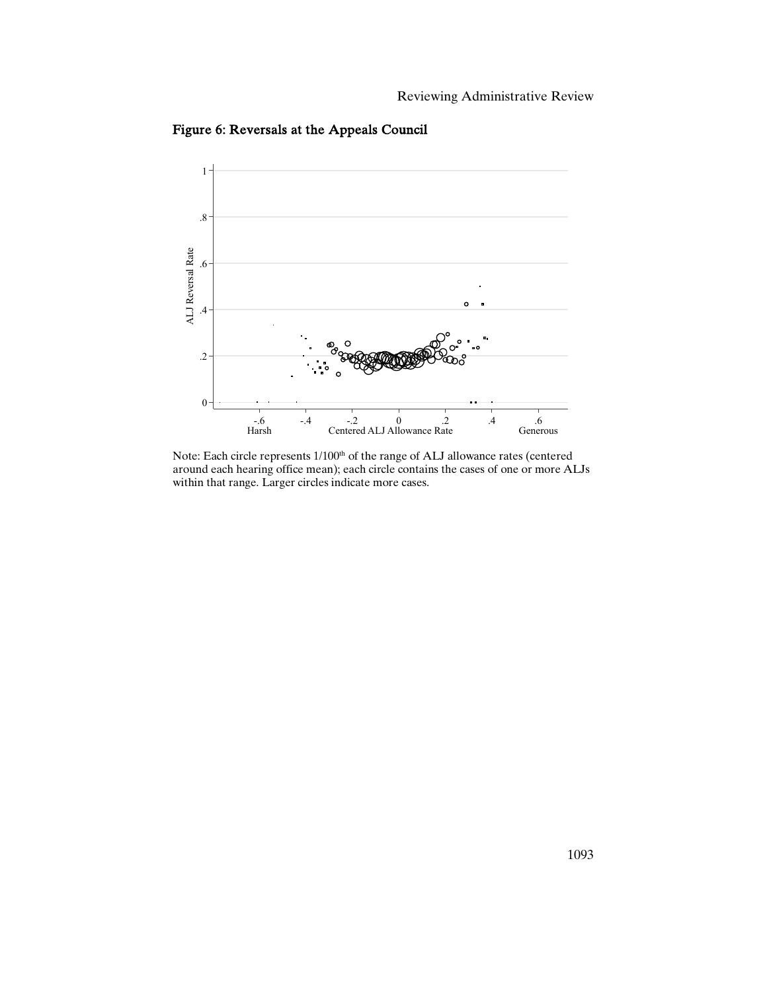

Figure 6: Reversals at the Appeals Council

Note: Each circle represents 1/100<sup>th</sup> of the range of ALJ allowance rates (centered around each hearing office mean); each circle contains the cases of one or more ALJs within that range. Larger circles indicate more cases.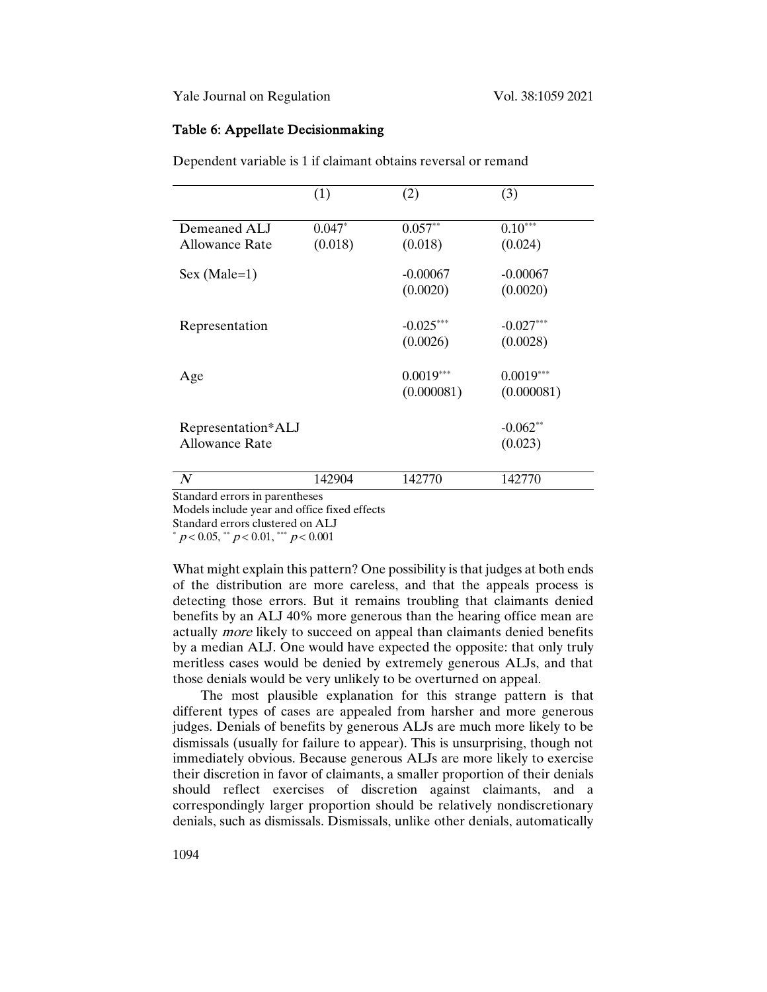Yale Journal on Regulation Vol. 38:1059 2021

#### Table 6: Appellate Decisionmaking

|                                | (1)       | (2)         | (3)         |
|--------------------------------|-----------|-------------|-------------|
| Demeaned ALJ                   | $0.047^*$ | $0.057**$   | $0.10***$   |
| Allowance Rate                 | (0.018)   | (0.018)     | (0.024)     |
| $Sex (Male=1)$                 |           | $-0.00067$  | $-0.00067$  |
|                                |           | (0.0020)    | (0.0020)    |
| Representation                 |           | $-0.025***$ | $-0.027***$ |
|                                |           | (0.0026)    | (0.0028)    |
| Age                            |           | $0.0019***$ | $0.0019***$ |
|                                |           | (0.000081)  | (0.000081)  |
| Representation*ALJ             |           |             | $-0.062**$  |
| <b>Allowance Rate</b>          |           |             | (0.023)     |
| $\boldsymbol{N}$               | 142904    | 142770      | 142770      |
| Standard errors in parentheses |           |             |             |

Dependent variable is 1 if claimant obtains reversal or remand

Models include year and office fixed effects Standard errors clustered on ALJ  $p < 0.05$ , \*\*  $p < 0.01$ , \*\*\*  $p < 0.001$ 

What might explain this pattern? One possibility is that judges at both ends of the distribution are more careless, and that the appeals process is detecting those errors. But it remains troubling that claimants denied benefits by an ALJ 40% more generous than the hearing office mean are actually more likely to succeed on appeal than claimants denied benefits by a median ALJ. One would have expected the opposite: that only truly meritless cases would be denied by extremely generous ALJs, and that those denials would be very unlikely to be overturned on appeal.

The most plausible explanation for this strange pattern is that different types of cases are appealed from harsher and more generous judges. Denials of benefits by generous ALJs are much more likely to be dismissals (usually for failure to appear). This is unsurprising, though not immediately obvious. Because generous ALJs are more likely to exercise their discretion in favor of claimants, a smaller proportion of their denials should reflect exercises of discretion against claimants, and a correspondingly larger proportion should be relatively nondiscretionary denials, such as dismissals. Dismissals, unlike other denials, automatically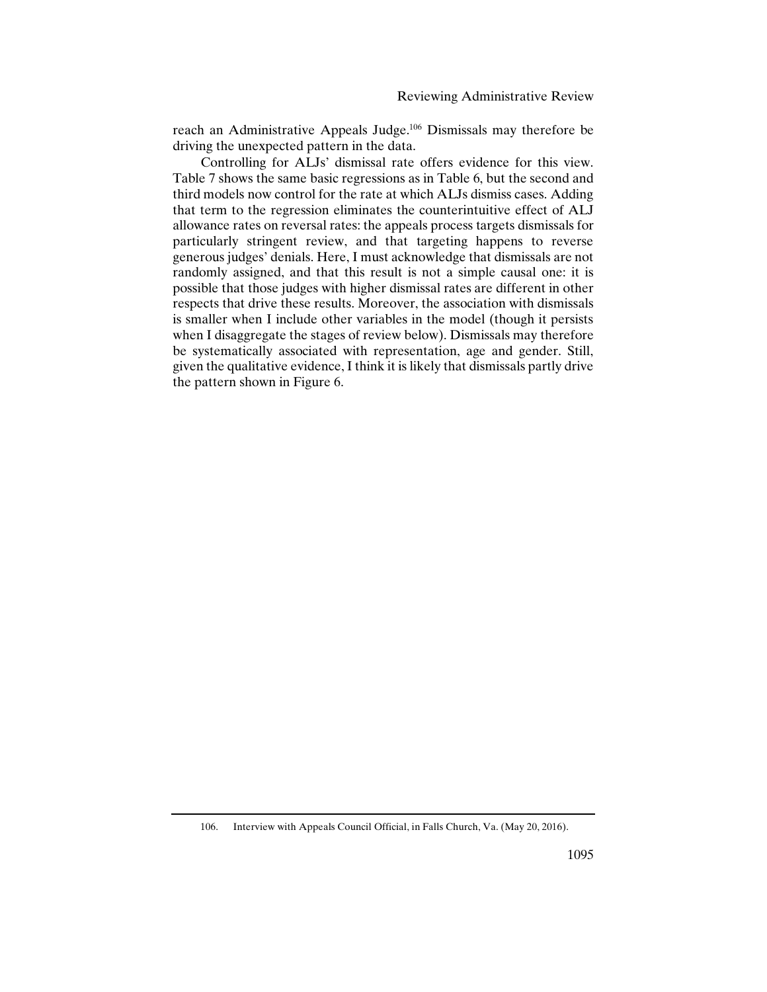reach an Administrative Appeals Judge.106 Dismissals may therefore be driving the unexpected pattern in the data.

Controlling for ALJs' dismissal rate offers evidence for this view. Table 7 shows the same basic regressions as in Table 6, but the second and third models now control for the rate at which ALJs dismiss cases. Adding that term to the regression eliminates the counterintuitive effect of ALJ allowance rates on reversal rates: the appeals process targets dismissals for particularly stringent review, and that targeting happens to reverse generous judges' denials. Here, I must acknowledge that dismissals are not randomly assigned, and that this result is not a simple causal one: it is possible that those judges with higher dismissal rates are different in other respects that drive these results. Moreover, the association with dismissals is smaller when I include other variables in the model (though it persists when I disaggregate the stages of review below). Dismissals may therefore be systematically associated with representation, age and gender. Still, given the qualitative evidence, I think it is likely that dismissals partly drive the pattern shown in Figure 6.

<sup>106.</sup> Interview with Appeals Council Official, in Falls Church, Va. (May 20, 2016).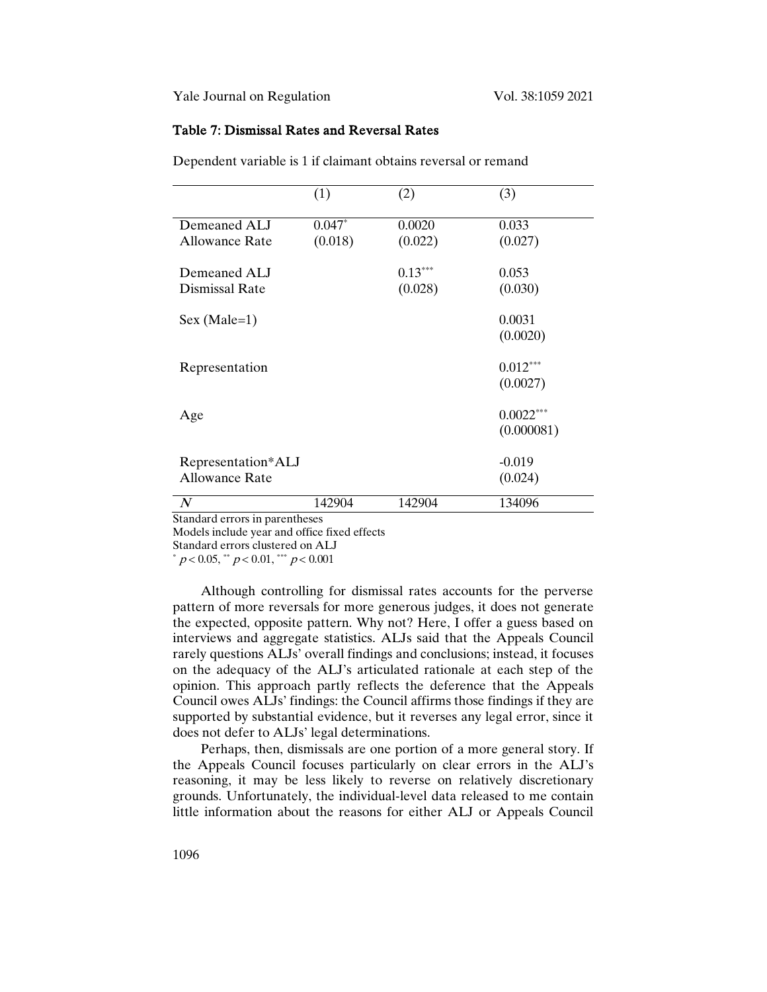## Table 7: Dismissal Rates and Reversal Rates

|                       | (1)      | (2)       | (3)         |
|-----------------------|----------|-----------|-------------|
| Demeaned ALJ          | $0.047*$ | 0.0020    | 0.033       |
| <b>Allowance Rate</b> | (0.018)  | (0.022)   | (0.027)     |
| Demeaned ALJ          |          | $0.13***$ | 0.053       |
| Dismissal Rate        |          | (0.028)   | (0.030)     |
| $Sex (Male=1)$        |          |           | 0.0031      |
|                       |          |           | (0.0020)    |
| Representation        |          |           | $0.012***$  |
|                       |          |           | (0.0027)    |
| Age                   |          |           | $0.0022***$ |
|                       |          |           | (0.000081)  |
| Representation*ALJ    |          |           | $-0.019$    |
| <b>Allowance Rate</b> |          |           | (0.024)     |
| $\boldsymbol{N}$      | 142904   | 142904    | 134096      |

Dependent variable is 1 if claimant obtains reversal or remand

Standard errors in parentheses Models include year and office fixed effects

Standard errors clustered on ALJ

 $p < 0.05$ , \*\*  $p < 0.01$ , \*\*\*  $p < 0.001$ 

Although controlling for dismissal rates accounts for the perverse pattern of more reversals for more generous judges, it does not generate the expected, opposite pattern. Why not? Here, I offer a guess based on interviews and aggregate statistics. ALJs said that the Appeals Council rarely questions ALJs' overall findings and conclusions; instead, it focuses on the adequacy of the ALJ's articulated rationale at each step of the opinion. This approach partly reflects the deference that the Appeals Council owes ALJs' findings: the Council affirms those findings if they are supported by substantial evidence, but it reverses any legal error, since it does not defer to ALJs' legal determinations.

Perhaps, then, dismissals are one portion of a more general story. If the Appeals Council focuses particularly on clear errors in the ALJ's reasoning, it may be less likely to reverse on relatively discretionary grounds. Unfortunately, the individual-level data released to me contain little information about the reasons for either ALJ or Appeals Council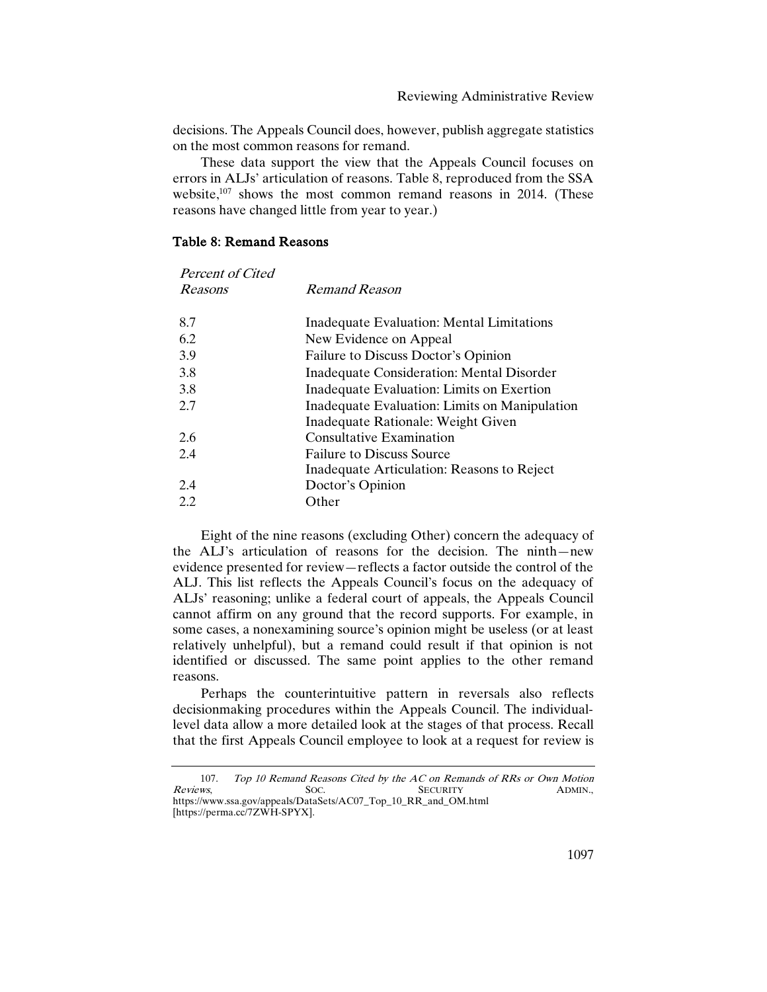decisions. The Appeals Council does, however, publish aggregate statistics on the most common reasons for remand.

These data support the view that the Appeals Council focuses on errors in ALJs' articulation of reasons. Table 8, reproduced from the SSA website,<sup>107</sup> shows the most common remand reasons in 2014. (These reasons have changed little from year to year.)

### Table 8: Remand Reasons

| Percent of Cited |                                                  |
|------------------|--------------------------------------------------|
| Reasons          | Remand Reason                                    |
| 8.7              | Inadequate Evaluation: Mental Limitations        |
| 6.2              | New Evidence on Appeal                           |
| 3.9              | Failure to Discuss Doctor's Opinion              |
| 3.8              | <b>Inadequate Consideration: Mental Disorder</b> |
| 3.8              | Inadequate Evaluation: Limits on Exertion        |
| 2.7              | Inadequate Evaluation: Limits on Manipulation    |
|                  | Inadequate Rationale: Weight Given               |
| 2.6              | <b>Consultative Examination</b>                  |
| 2.4              | <b>Failure to Discuss Source</b>                 |
|                  | Inadequate Articulation: Reasons to Reject       |
| 2.4              | Doctor's Opinion                                 |
| 2.2              | Other                                            |
|                  |                                                  |

Eight of the nine reasons (excluding Other) concern the adequacy of the ALJ's articulation of reasons for the decision. The ninth—new evidence presented for review—reflects a factor outside the control of the ALJ. This list reflects the Appeals Council's focus on the adequacy of ALJs' reasoning; unlike a federal court of appeals, the Appeals Council cannot affirm on any ground that the record supports. For example, in some cases, a nonexamining source's opinion might be useless (or at least relatively unhelpful), but a remand could result if that opinion is not identified or discussed. The same point applies to the other remand reasons.

Perhaps the counterintuitive pattern in reversals also reflects decisionmaking procedures within the Appeals Council. The individuallevel data allow a more detailed look at the stages of that process. Recall that the first Appeals Council employee to look at a request for review is

1097

<sup>107.</sup> Top 10 Remand Reasons Cited by the AC on Remands of RRs or Own Motion Reviews, SECURITY ADMIN., Reviews, SOC. SOC. SECURITY ADMIN., https://www.ssa.gov/appeals/DataSets/AC07\_Top\_10\_RR\_and\_OM.html [https://perma.cc/7ZWH-SPYX].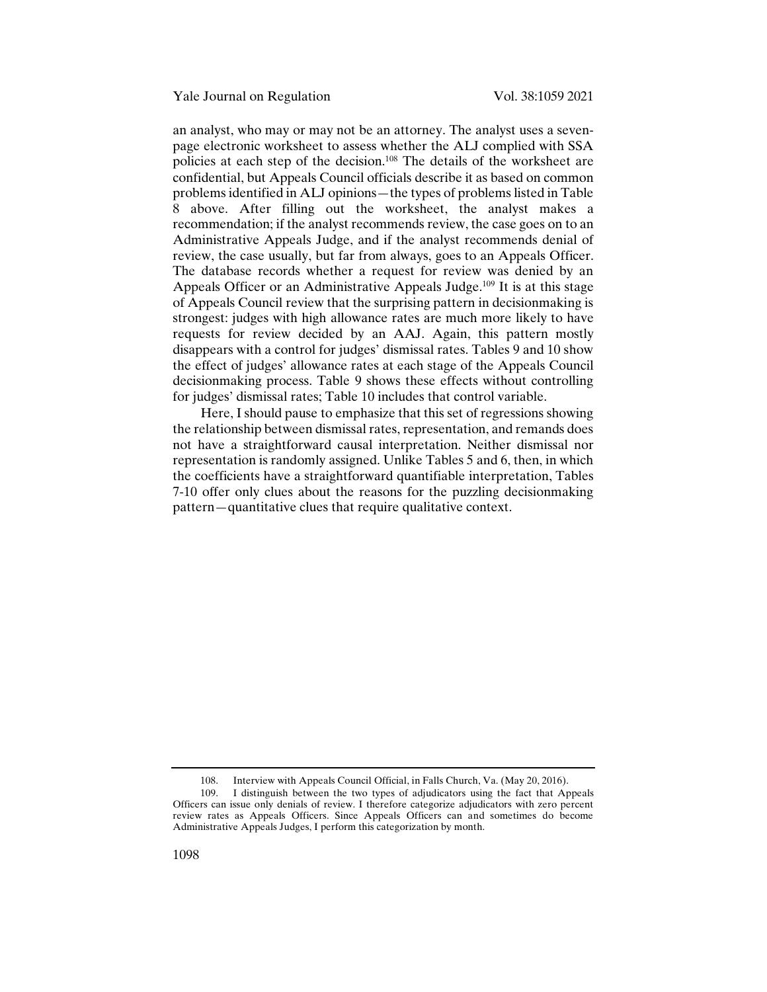an analyst, who may or may not be an attorney. The analyst uses a sevenpage electronic worksheet to assess whether the ALJ complied with SSA policies at each step of the decision.108 The details of the worksheet are confidential, but Appeals Council officials describe it as based on common problems identified in ALJ opinions—the types of problems listed in Table 8 above. After filling out the worksheet, the analyst makes a recommendation; if the analyst recommends review, the case goes on to an Administrative Appeals Judge, and if the analyst recommends denial of review, the case usually, but far from always, goes to an Appeals Officer. The database records whether a request for review was denied by an Appeals Officer or an Administrative Appeals Judge.<sup>109</sup> It is at this stage of Appeals Council review that the surprising pattern in decisionmaking is strongest: judges with high allowance rates are much more likely to have requests for review decided by an AAJ. Again, this pattern mostly disappears with a control for judges' dismissal rates. Tables 9 and 10 show the effect of judges' allowance rates at each stage of the Appeals Council decisionmaking process. Table 9 shows these effects without controlling for judges' dismissal rates; Table 10 includes that control variable.

Here, I should pause to emphasize that this set of regressions showing the relationship between dismissal rates, representation, and remands does not have a straightforward causal interpretation. Neither dismissal nor representation is randomly assigned. Unlike Tables 5 and 6, then, in which the coefficients have a straightforward quantifiable interpretation, Tables 7-10 offer only clues about the reasons for the puzzling decisionmaking pattern—quantitative clues that require qualitative context.

<sup>108.</sup> Interview with Appeals Council Official, in Falls Church, Va. (May 20, 2016).

<sup>109.</sup> I distinguish between the two types of adjudicators using the fact that Appeals Officers can issue only denials of review. I therefore categorize adjudicators with zero percent review rates as Appeals Officers. Since Appeals Officers can and sometimes do become Administrative Appeals Judges, I perform this categorization by month.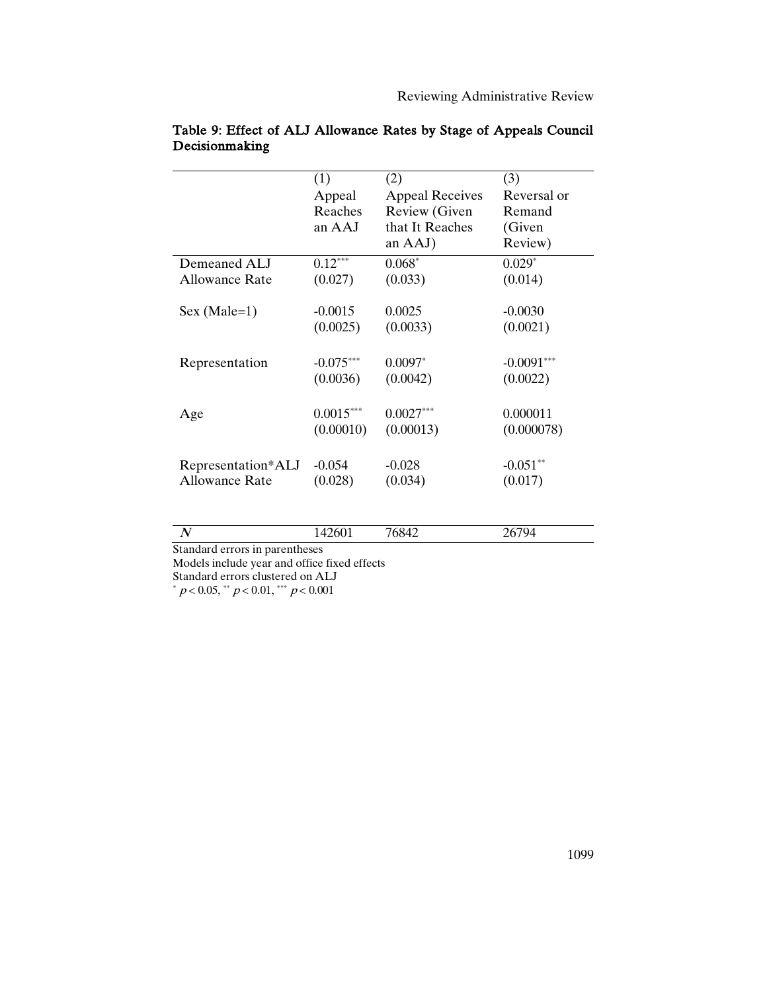|                                             | (1)<br>Appeal<br>Reaches<br>an AAJ | (2)<br><b>Appeal Receives</b><br>Review (Given<br>that It Reaches<br>an AAJ) | (3)<br>Reversal or<br>Remand<br>(Given<br>Review) |
|---------------------------------------------|------------------------------------|------------------------------------------------------------------------------|---------------------------------------------------|
| Demeaned ALJ                                | $0.12***$                          | $0.068*$                                                                     | $0.029*$                                          |
| <b>Allowance Rate</b>                       | (0.027)                            | (0.033)                                                                      | (0.014)                                           |
| $Sex (Male=1)$                              | $-0.0015$<br>(0.0025)              | 0.0025<br>(0.0033)                                                           | $-0.0030$<br>(0.0021)                             |
| Representation                              | $-0.075***$                        | $0.0097*$                                                                    | $-0.0091***$                                      |
|                                             | (0.0036)                           | (0.0042)                                                                     | (0.0022)                                          |
| Age                                         | $0.0015***$<br>(0.00010)           | $0.0027***$<br>(0.00013)                                                     | 0.000011<br>(0.000078)                            |
| Representation*ALJ<br><b>Allowance Rate</b> | $-0.054$<br>(0.028)                | $-0.028$<br>(0.034)                                                          | $-0.051**$<br>(0.017)                             |

| Table 9: Effect of ALJ Allowance Rates by Stage of Appeals Council |  |  |  |  |
|--------------------------------------------------------------------|--|--|--|--|
| Decisionmaking                                                     |  |  |  |  |

| Oran dand amam tu mammada asas |  |  |  |  |
|--------------------------------|--|--|--|--|

Standard errors in parentheses

Models include year and office fixed effects Standard errors clustered on ALJ

 $*$   $p < 0.05$ ,  $*$   $p < 0.01$ ,  $*$   $*$   $p < 0.001$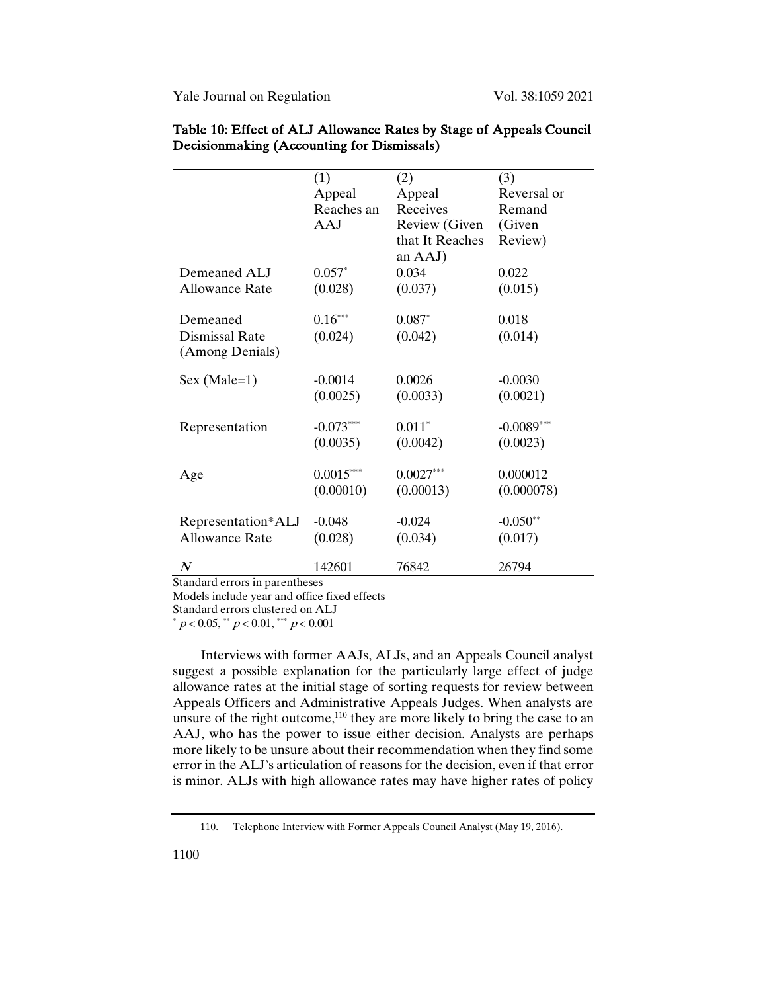|                       | (1)         | (2)             | (3)          |
|-----------------------|-------------|-----------------|--------------|
|                       | Appeal      | Appeal          | Reversal or  |
|                       | Reaches an  | Receives        | Remand       |
|                       | A A J       | Review (Given   | (Given       |
|                       |             | that It Reaches | Review)      |
|                       |             | an AAJ)         |              |
| Demeaned ALJ          | $0.057*$    | 0.034           | 0.022        |
| <b>Allowance Rate</b> | (0.028)     | (0.037)         | (0.015)      |
|                       |             |                 |              |
| Demeaned              | $0.16***$   | $0.087*$        | 0.018        |
| <b>Dismissal Rate</b> | (0.024)     | (0.042)         | (0.014)      |
| (Among Denials)       |             |                 |              |
|                       |             |                 |              |
| $Sex (Male=1)$        | $-0.0014$   | 0.0026          | $-0.0030$    |
|                       | (0.0025)    | (0.0033)        | (0.0021)     |
|                       |             |                 |              |
| Representation        | $-0.073***$ | $0.011*$        | $-0.0089***$ |
|                       | (0.0035)    | (0.0042)        | (0.0023)     |
|                       |             |                 |              |
| Age                   | $0.0015***$ | $0.0027***$     | 0.000012     |
|                       | (0.00010)   | (0.00013)       | (0.000078)   |
|                       |             |                 |              |
| Representation*ALJ    | $-0.048$    | $-0.024$        | $-0.050**$   |
| <b>Allowance Rate</b> | (0.028)     | (0.034)         | (0.017)      |
|                       |             |                 |              |
| $\boldsymbol{N}$      | 142601      | 76842           | 26794        |

| Table 10: Effect of ALJ Allowance Rates by Stage of Appeals Council |
|---------------------------------------------------------------------|
| Decision making (Accounting for Dismissals)                         |

Standard errors in parentheses

Models include year and office fixed effects

Standard errors clustered on ALJ

 $p < 0.05$ , \*\*  $p < 0.01$ , \*\*\*  $p < 0.001$ 

Interviews with former AAJs, ALJs, and an Appeals Council analyst suggest a possible explanation for the particularly large effect of judge allowance rates at the initial stage of sorting requests for review between Appeals Officers and Administrative Appeals Judges. When analysts are unsure of the right outcome,<sup>110</sup> they are more likely to bring the case to an AAJ, who has the power to issue either decision. Analysts are perhaps more likely to be unsure about their recommendation when they find some error in the ALJ's articulation of reasons for the decision, even if that error is minor. ALJs with high allowance rates may have higher rates of policy

<sup>110.</sup> Telephone Interview with Former Appeals Council Analyst (May 19, 2016).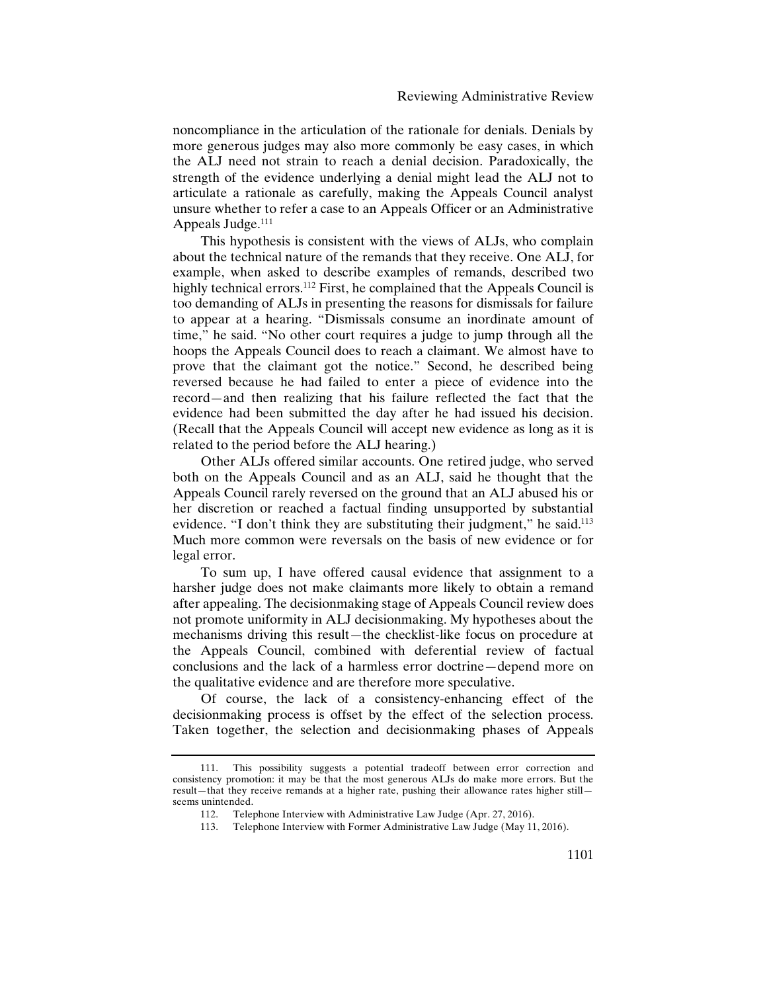noncompliance in the articulation of the rationale for denials. Denials by more generous judges may also more commonly be easy cases, in which the ALJ need not strain to reach a denial decision. Paradoxically, the strength of the evidence underlying a denial might lead the ALJ not to articulate a rationale as carefully, making the Appeals Council analyst unsure whether to refer a case to an Appeals Officer or an Administrative Appeals Judge. $111$ 

This hypothesis is consistent with the views of ALJs, who complain about the technical nature of the remands that they receive. One ALJ, for example, when asked to describe examples of remands, described two highly technical errors.<sup>112</sup> First, he complained that the Appeals Council is too demanding of ALJs in presenting the reasons for dismissals for failure to appear at a hearing. "Dismissals consume an inordinate amount of time," he said. "No other court requires a judge to jump through all the hoops the Appeals Council does to reach a claimant. We almost have to prove that the claimant got the notice." Second, he described being reversed because he had failed to enter a piece of evidence into the record—and then realizing that his failure reflected the fact that the evidence had been submitted the day after he had issued his decision. (Recall that the Appeals Council will accept new evidence as long as it is related to the period before the ALJ hearing.)

Other ALJs offered similar accounts. One retired judge, who served both on the Appeals Council and as an ALJ, said he thought that the Appeals Council rarely reversed on the ground that an ALJ abused his or her discretion or reached a factual finding unsupported by substantial evidence. "I don't think they are substituting their judgment," he said.<sup>113</sup> Much more common were reversals on the basis of new evidence or for legal error.

To sum up, I have offered causal evidence that assignment to a harsher judge does not make claimants more likely to obtain a remand after appealing. The decisionmaking stage of Appeals Council review does not promote uniformity in ALJ decisionmaking. My hypotheses about the mechanisms driving this result—the checklist-like focus on procedure at the Appeals Council, combined with deferential review of factual conclusions and the lack of a harmless error doctrine—depend more on the qualitative evidence and are therefore more speculative.

Of course, the lack of a consistency-enhancing effect of the decisionmaking process is offset by the effect of the selection process. Taken together, the selection and decisionmaking phases of Appeals

113. Telephone Interview with Former Administrative Law Judge (May 11, 2016).

<sup>111.</sup> This possibility suggests a potential tradeoff between error correction and consistency promotion: it may be that the most generous ALJs do make more errors. But the result—that they receive remands at a higher rate, pushing their allowance rates higher still seems unintended.

<sup>112.</sup> Telephone Interview with Administrative Law Judge (Apr. 27, 2016).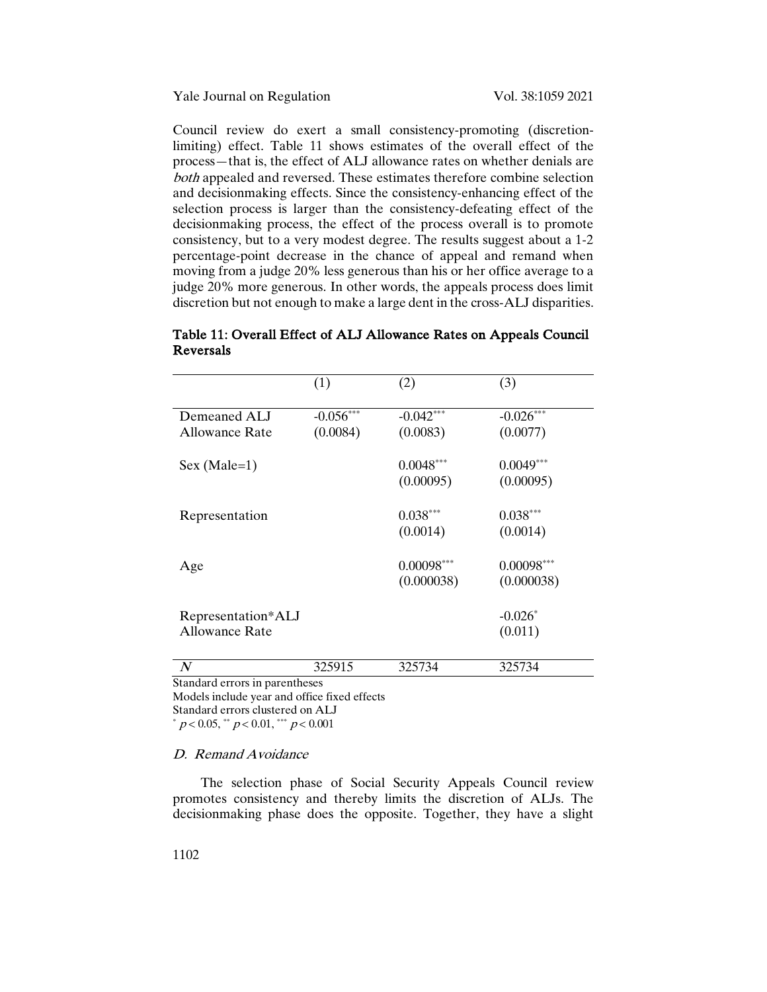#### Yale Journal on Regulation Vol. 38:1059 2021

Council review do exert a small consistency-promoting (discretionlimiting) effect. Table 11 shows estimates of the overall effect of the process—that is, the effect of ALJ allowance rates on whether denials are both appealed and reversed. These estimates therefore combine selection and decisionmaking effects. Since the consistency-enhancing effect of the selection process is larger than the consistency-defeating effect of the decisionmaking process, the effect of the process overall is to promote consistency, but to a very modest degree. The results suggest about a 1-2 percentage-point decrease in the chance of appeal and remand when moving from a judge 20% less generous than his or her office average to a judge 20% more generous. In other words, the appeals process does limit discretion but not enough to make a large dent in the cross-ALJ disparities.

|                       | (1)         | (2)          | (3)          |
|-----------------------|-------------|--------------|--------------|
| Demeaned ALJ          | $-0.056***$ | $-0.042***$  | $-0.026***$  |
| Allowance Rate        | (0.0084)    | (0.0083)     | (0.0077)     |
| $Sex (Male=1)$        |             | $0.0048***$  | $0.0049***$  |
|                       |             | (0.00095)    | (0.00095)    |
| Representation        |             | $0.038***$   | $0.038***$   |
|                       |             | (0.0014)     | (0.0014)     |
| Age                   |             | $0.00098***$ | $0.00098***$ |
|                       |             | (0.000038)   | (0.000038)   |
| Representation*ALJ    |             |              | $-0.026*$    |
| <b>Allowance Rate</b> |             |              | (0.011)      |
| $\boldsymbol{N}$      | 325915      | 325734       | 325734       |

| Table 11: Overall Effect of ALJ Allowance Rates on Appeals Council |  |  |
|--------------------------------------------------------------------|--|--|
| Reversals                                                          |  |  |

Standard errors in parentheses Models include year and office fixed effects Standard errors clustered on ALJ  $p < 0.05$ , \*\*  $p < 0.01$ , \*\*\*  $p < 0.001$ 

#### D. Remand Avoidance

The selection phase of Social Security Appeals Council review promotes consistency and thereby limits the discretion of ALJs. The decisionmaking phase does the opposite. Together, they have a slight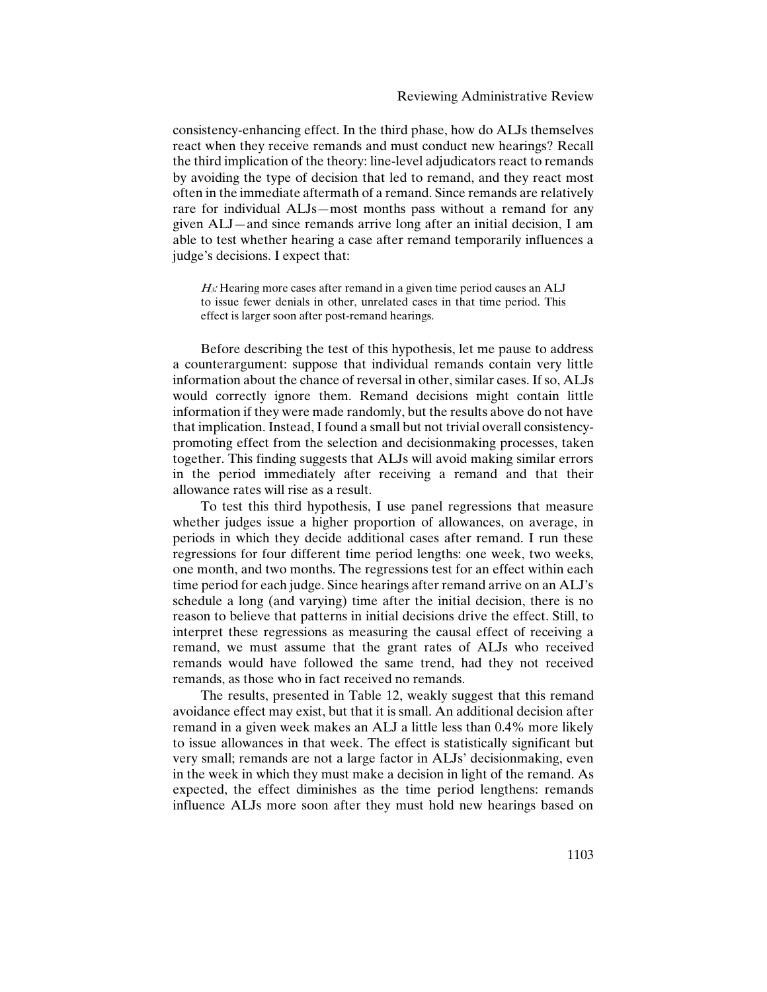consistency-enhancing effect. In the third phase, how do ALJs themselves react when they receive remands and must conduct new hearings? Recall the third implication of the theory: line-level adjudicators react to remands by avoiding the type of decision that led to remand, and they react most often in the immediate aftermath of a remand. Since remands are relatively rare for individual ALJs—most months pass without a remand for any given ALJ—and since remands arrive long after an initial decision, I am able to test whether hearing a case after remand temporarily influences a judge's decisions. I expect that:

 $H_3$ : Hearing more cases after remand in a given time period causes an ALJ to issue fewer denials in other, unrelated cases in that time period. This effect is larger soon after post-remand hearings.

Before describing the test of this hypothesis, let me pause to address a counterargument: suppose that individual remands contain very little information about the chance of reversal in other, similar cases. If so, ALJs would correctly ignore them. Remand decisions might contain little information if they were made randomly, but the results above do not have that implication. Instead, I found a small but not trivial overall consistencypromoting effect from the selection and decisionmaking processes, taken together. This finding suggests that ALJs will avoid making similar errors in the period immediately after receiving a remand and that their allowance rates will rise as a result.

To test this third hypothesis, I use panel regressions that measure whether judges issue a higher proportion of allowances, on average, in periods in which they decide additional cases after remand. I run these regressions for four different time period lengths: one week, two weeks, one month, and two months. The regressions test for an effect within each time period for each judge. Since hearings after remand arrive on an ALJ's schedule a long (and varying) time after the initial decision, there is no reason to believe that patterns in initial decisions drive the effect. Still, to interpret these regressions as measuring the causal effect of receiving a remand, we must assume that the grant rates of ALJs who received remands would have followed the same trend, had they not received remands, as those who in fact received no remands.

The results, presented in Table 12, weakly suggest that this remand avoidance effect may exist, but that it is small. An additional decision after remand in a given week makes an ALJ a little less than 0.4% more likely to issue allowances in that week. The effect is statistically significant but very small; remands are not a large factor in ALJs' decisionmaking, even in the week in which they must make a decision in light of the remand. As expected, the effect diminishes as the time period lengthens: remands influence ALJs more soon after they must hold new hearings based on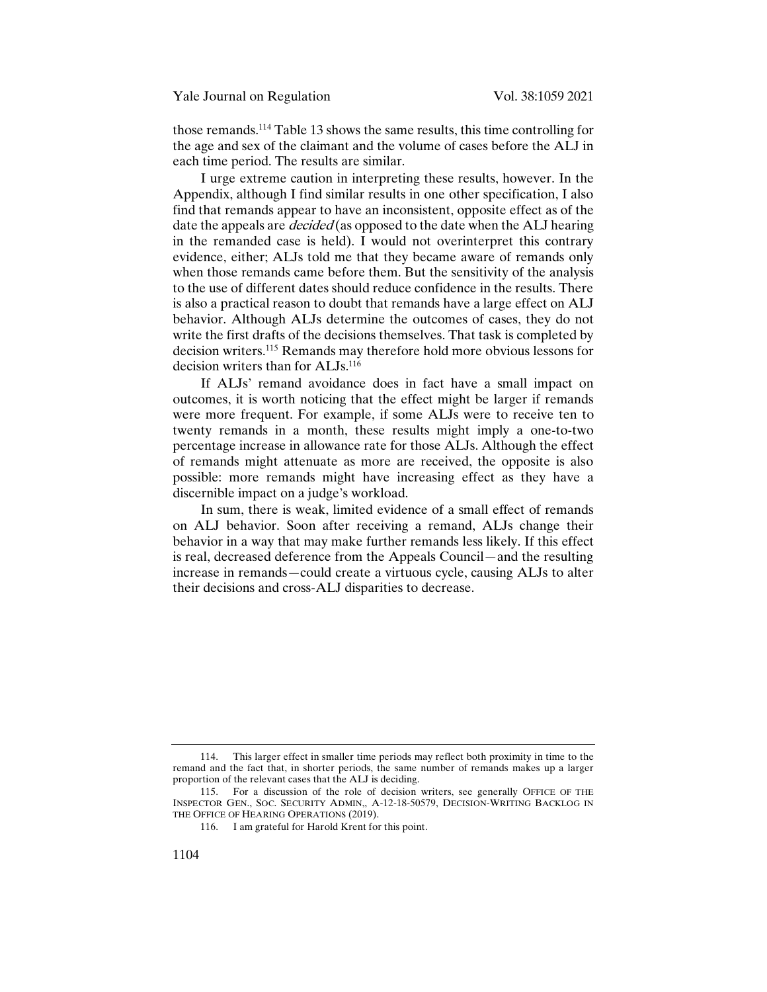those remands.114 Table 13 shows the same results, this time controlling for the age and sex of the claimant and the volume of cases before the ALJ in each time period. The results are similar.

I urge extreme caution in interpreting these results, however. In the Appendix, although I find similar results in one other specification, I also find that remands appear to have an inconsistent, opposite effect as of the date the appeals are *decided* (as opposed to the date when the ALJ hearing in the remanded case is held). I would not overinterpret this contrary evidence, either; ALJs told me that they became aware of remands only when those remands came before them. But the sensitivity of the analysis to the use of different dates should reduce confidence in the results. There is also a practical reason to doubt that remands have a large effect on ALJ behavior. Although ALJs determine the outcomes of cases, they do not write the first drafts of the decisions themselves. That task is completed by decision writers.115 Remands may therefore hold more obvious lessons for decision writers than for ALJs.116

If ALJs' remand avoidance does in fact have a small impact on outcomes, it is worth noticing that the effect might be larger if remands were more frequent. For example, if some ALJs were to receive ten to twenty remands in a month, these results might imply a one-to-two percentage increase in allowance rate for those ALJs. Although the effect of remands might attenuate as more are received, the opposite is also possible: more remands might have increasing effect as they have a discernible impact on a judge's workload.

In sum, there is weak, limited evidence of a small effect of remands on ALJ behavior. Soon after receiving a remand, ALJs change their behavior in a way that may make further remands less likely. If this effect is real, decreased deference from the Appeals Council—and the resulting increase in remands—could create a virtuous cycle, causing ALJs to alter their decisions and cross-ALJ disparities to decrease.

<sup>114.</sup> This larger effect in smaller time periods may reflect both proximity in time to the remand and the fact that, in shorter periods, the same number of remands makes up a larger proportion of the relevant cases that the ALJ is deciding.

<sup>115.</sup> For a discussion of the role of decision writers, see generally OFFICE OF THE INSPECTOR GEN., SOC. SECURITY ADMIN,, A-12-18-50579, DECISION-WRITING BACKLOG IN THE OFFICE OF HEARING OPERATIONS (2019).

<sup>116.</sup> I am grateful for Harold Krent for this point.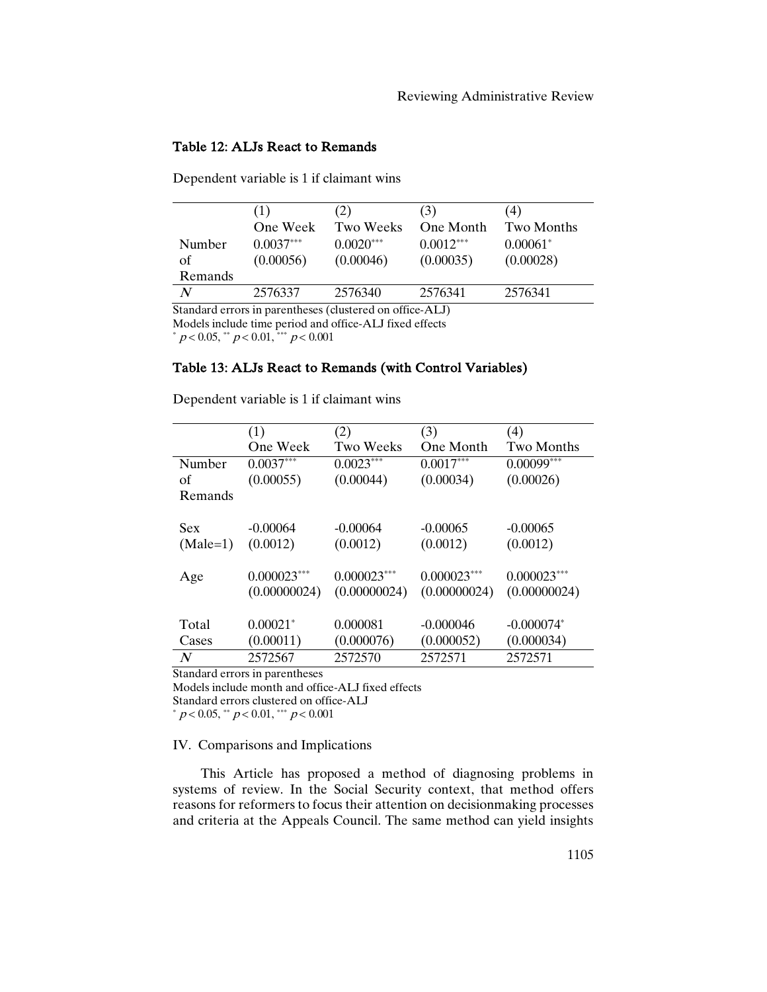## Table 12: ALJs React to Remands

Dependent variable is 1 if claimant wins

|                  | (1)         | (2)                                                      | (3)         | (4)               |
|------------------|-------------|----------------------------------------------------------|-------------|-------------------|
|                  | One Week    | <b>Two Weeks</b>                                         | One Month   | <b>Two Months</b> |
| Number           | $0.0037***$ | $0.0020***$                                              | $0.0012***$ | $0.00061*$        |
| of               | (0.00056)   | (0.00046)                                                | (0.00035)   | (0.00028)         |
| Remands          |             |                                                          |             |                   |
| $\boldsymbol{N}$ | 2576337     | 2576340                                                  | 2576341     | 2576341           |
|                  |             | Standard errors in parentheses (clustered on office-ALJ) |             |                   |

Models include time period and office-ALJ fixed effects

 $p < 0.05$ , \*\*  $p < 0.01$ , \*\*\*  $p < 0.001$ 

## Table 13: ALJs React to Remands (with Control Variables)

Dependent variable is 1 if claimant wins

|                  | (1)           | (2)              | (3)           | (4)               |
|------------------|---------------|------------------|---------------|-------------------|
|                  | One Week      | <b>Two Weeks</b> | One Month     | <b>Two Months</b> |
| Number           | $0.0037***$   | $0.0023***$      | $0.0017***$   | $0.00099***$      |
| οf               | (0.00055)     | (0.00044)        | (0.00034)     | (0.00026)         |
| Remands          |               |                  |               |                   |
|                  |               |                  |               |                   |
| Sex              | $-0.00064$    | $-0.00064$       | $-0.00065$    | $-0.00065$        |
| $(Male=1)$       | (0.0012)      | (0.0012)         | (0.0012)      | (0.0012)          |
|                  |               |                  |               |                   |
| Age              | $0.000023***$ | $0.000023***$    | $0.000023***$ | $0.000023***$     |
|                  | (0.00000024)  | (0.00000024)     | (0.00000024)  | (0.00000024)      |
|                  |               |                  |               |                   |
| Total            | $0.00021*$    | 0.000081         | $-0.000046$   | $-0.000074*$      |
| Cases            | (0.00011)     | (0.000076)       | (0.000052)    | (0.000034)        |
| $\boldsymbol{N}$ | 2572567       | 2572570          | 2572571       | 2572571           |

Standard errors in parentheses

Models include month and office-ALJ fixed effects

Standard errors clustered on office-ALJ

\*  $p < 0.05$ , \*\*  $p < 0.01$ , \*\*\*  $p < 0.001$ 

## IV. Comparisons and Implications

This Article has proposed a method of diagnosing problems in systems of review. In the Social Security context, that method offers reasons for reformers to focus their attention on decisionmaking processes and criteria at the Appeals Council. The same method can yield insights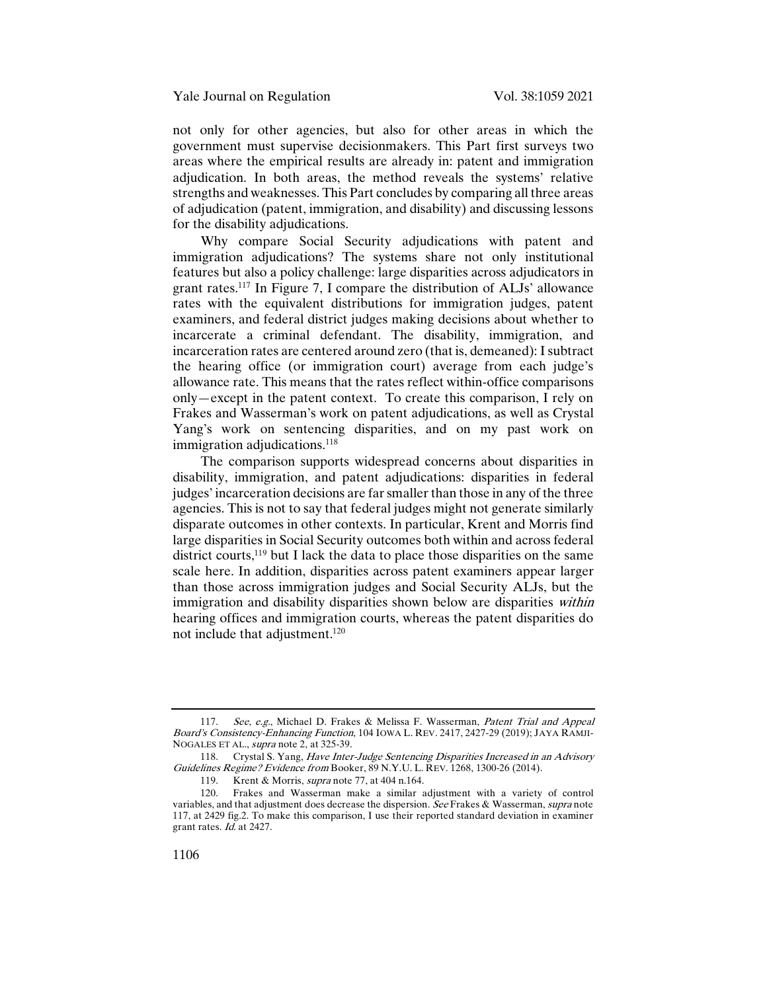not only for other agencies, but also for other areas in which the government must supervise decisionmakers. This Part first surveys two areas where the empirical results are already in: patent and immigration adjudication. In both areas, the method reveals the systems' relative strengths and weaknesses. This Part concludes by comparing all three areas of adjudication (patent, immigration, and disability) and discussing lessons for the disability adjudications.

Why compare Social Security adjudications with patent and immigration adjudications? The systems share not only institutional features but also a policy challenge: large disparities across adjudicators in grant rates.117 In Figure 7, I compare the distribution of ALJs' allowance rates with the equivalent distributions for immigration judges, patent examiners, and federal district judges making decisions about whether to incarcerate a criminal defendant. The disability, immigration, and incarceration rates are centered around zero (that is, demeaned): I subtract the hearing office (or immigration court) average from each judge's allowance rate. This means that the rates reflect within-office comparisons only—except in the patent context. To create this comparison, I rely on Frakes and Wasserman's work on patent adjudications, as well as Crystal Yang's work on sentencing disparities, and on my past work on immigration adjudications.<sup>118</sup>

The comparison supports widespread concerns about disparities in disability, immigration, and patent adjudications: disparities in federal judges' incarceration decisions are far smaller than those in any of the three agencies. This is not to say that federal judges might not generate similarly disparate outcomes in other contexts. In particular, Krent and Morris find large disparities in Social Security outcomes both within and across federal district courts,<sup>119</sup> but I lack the data to place those disparities on the same scale here. In addition, disparities across patent examiners appear larger than those across immigration judges and Social Security ALJs, but the immigration and disability disparities shown below are disparities within hearing offices and immigration courts, whereas the patent disparities do not include that adjustment.<sup>120</sup>

<sup>117.</sup> See, e.g., Michael D. Frakes & Melissa F. Wasserman, Patent Trial and Appeal Board's Consistency-Enhancing Function, 104 IOWA L. REV. 2417, 2427-29 (2019); JAYA RAMJI-NOGALES ET AL., supra note 2, at 325-39.

<sup>118.</sup> Crystal S. Yang, Have Inter-Judge Sentencing Disparities Increased in an Advisory Guidelines Regime? Evidence from Booker, 89 N.Y.U. L. REV. 1268, 1300-26 (2014).

<sup>119.</sup> Krent & Morris, supra note 77, at 404 n.164.

<sup>120.</sup> Frakes and Wasserman make a similar adjustment with a variety of control variables, and that adjustment does decrease the dispersion. See Frakes & Wasserman, *supra* note 117, at 2429 fig.2. To make this comparison, I use their reported standard deviation in examiner grant rates. Id. at 2427.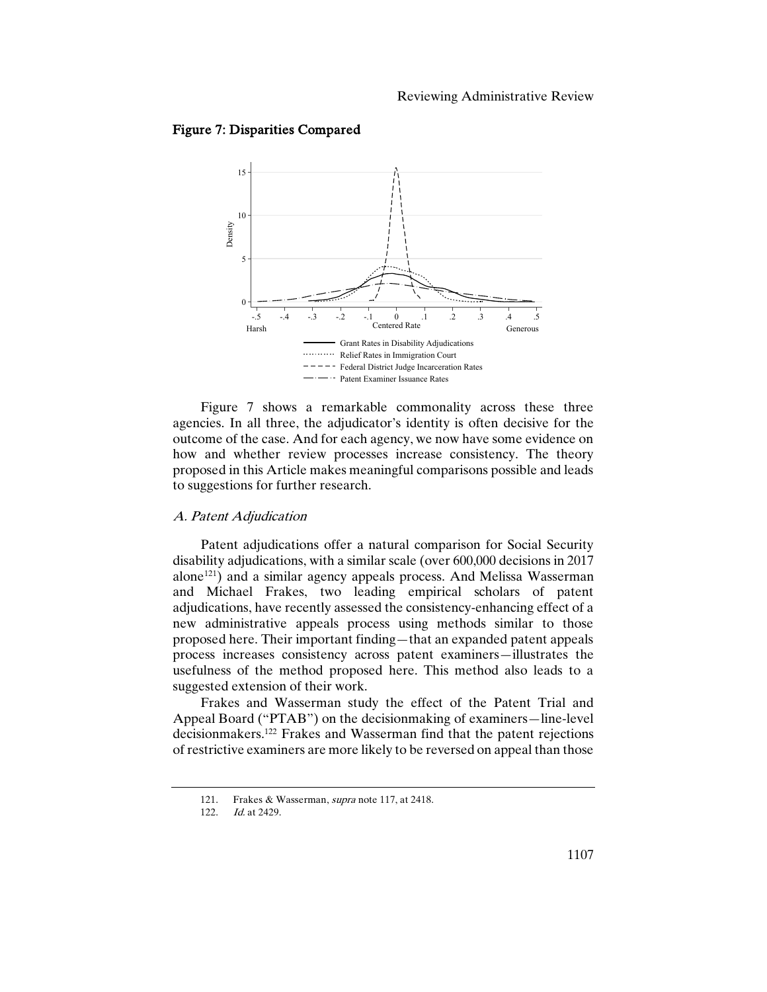#### Figure 7: Disparities Compared



Figure 7 shows a remarkable commonality across these three agencies. In all three, the adjudicator's identity is often decisive for the outcome of the case. And for each agency, we now have some evidence on how and whether review processes increase consistency. The theory proposed in this Article makes meaningful comparisons possible and leads to suggestions for further research.

#### A. Patent Adjudication

Patent adjudications offer a natural comparison for Social Security disability adjudications, with a similar scale (over 600,000 decisions in 2017 alone121) and a similar agency appeals process. And Melissa Wasserman and Michael Frakes, two leading empirical scholars of patent adjudications, have recently assessed the consistency-enhancing effect of a new administrative appeals process using methods similar to those proposed here. Their important finding—that an expanded patent appeals process increases consistency across patent examiners—illustrates the usefulness of the method proposed here. This method also leads to a suggested extension of their work.

Frakes and Wasserman study the effect of the Patent Trial and Appeal Board ("PTAB") on the decisionmaking of examiners—line-level decisionmakers.122 Frakes and Wasserman find that the patent rejections of restrictive examiners are more likely to be reversed on appeal than those

<sup>121.</sup> Frakes & Wasserman, *supra* note 117, at 2418.<br>122. *Id.* at 2429.

 $Id$  at 2429.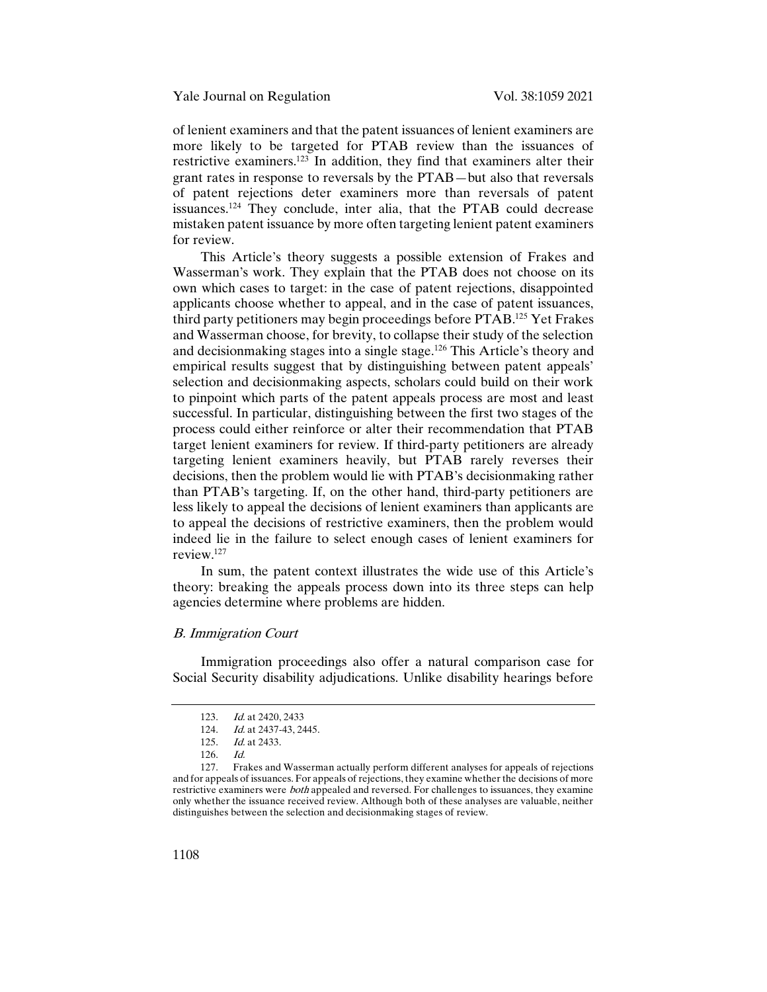of lenient examiners and that the patent issuances of lenient examiners are more likely to be targeted for PTAB review than the issuances of restrictive examiners.123 In addition, they find that examiners alter their grant rates in response to reversals by the PTAB—but also that reversals of patent rejections deter examiners more than reversals of patent issuances.124 They conclude, inter alia, that the PTAB could decrease mistaken patent issuance by more often targeting lenient patent examiners for review.

This Article's theory suggests a possible extension of Frakes and Wasserman's work. They explain that the PTAB does not choose on its own which cases to target: in the case of patent rejections, disappointed applicants choose whether to appeal, and in the case of patent issuances, third party petitioners may begin proceedings before PTAB.125 Yet Frakes and Wasserman choose, for brevity, to collapse their study of the selection and decisionmaking stages into a single stage.126 This Article's theory and empirical results suggest that by distinguishing between patent appeals' selection and decisionmaking aspects, scholars could build on their work to pinpoint which parts of the patent appeals process are most and least successful. In particular, distinguishing between the first two stages of the process could either reinforce or alter their recommendation that PTAB target lenient examiners for review. If third-party petitioners are already targeting lenient examiners heavily, but PTAB rarely reverses their decisions, then the problem would lie with PTAB's decisionmaking rather than PTAB's targeting. If, on the other hand, third-party petitioners are less likely to appeal the decisions of lenient examiners than applicants are to appeal the decisions of restrictive examiners, then the problem would indeed lie in the failure to select enough cases of lenient examiners for review.127

In sum, the patent context illustrates the wide use of this Article's theory: breaking the appeals process down into its three steps can help agencies determine where problems are hidden.

#### B. Immigration Court

Immigration proceedings also offer a natural comparison case for Social Security disability adjudications. Unlike disability hearings before

<sup>123.</sup> *Id.* at 2420, 2433<br>124. *Id.* at 2437-43, 24

<sup>124.</sup> *Id.* at 2437-43, 2445.<br>125. *Id.* at 2433.

*Id.* at 2433.

<sup>126.</sup> *Id.*<br>127. Fra

<sup>127.</sup> Frakes and Wasserman actually perform different analyses for appeals of rejections and for appeals of issuances. For appeals of rejections, they examine whether the decisions of more restrictive examiners were *both* appealed and reversed. For challenges to issuances, they examine only whether the issuance received review. Although both of these analyses are valuable, neither distinguishes between the selection and decisionmaking stages of review.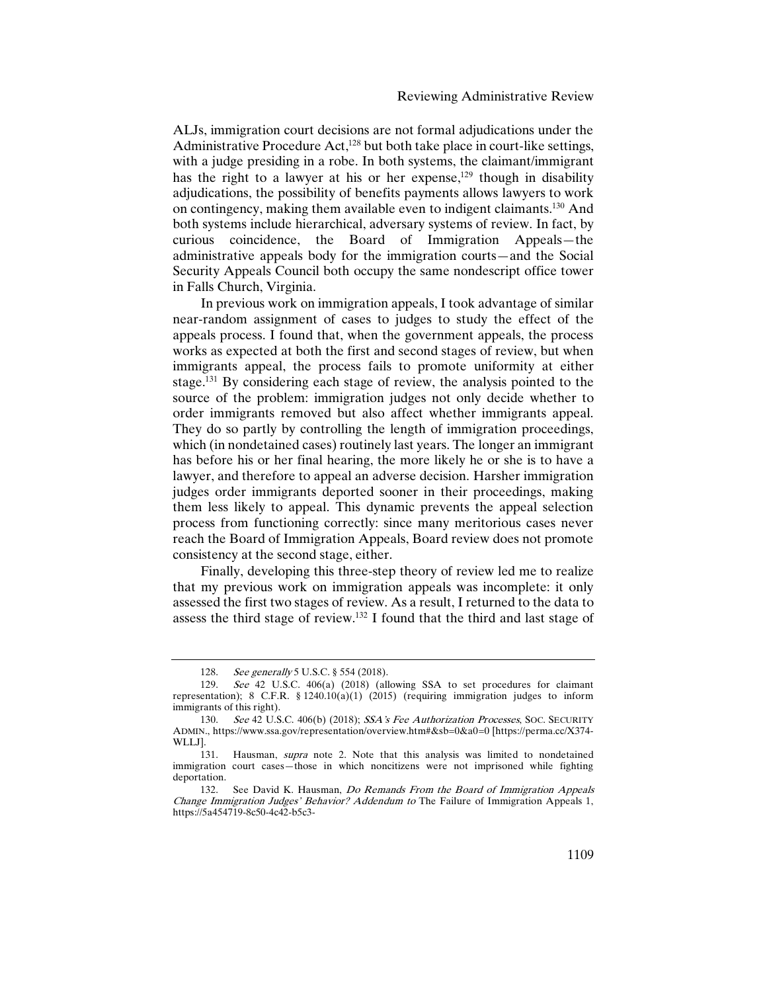ALJs, immigration court decisions are not formal adjudications under the Administrative Procedure Act,<sup>128</sup> but both take place in court-like settings, with a judge presiding in a robe. In both systems, the claimant/immigrant has the right to a lawyer at his or her expense,<sup>129</sup> though in disability adjudications, the possibility of benefits payments allows lawyers to work on contingency, making them available even to indigent claimants.130 And both systems include hierarchical, adversary systems of review. In fact, by curious coincidence, the Board of Immigration Appeals—the administrative appeals body for the immigration courts—and the Social Security Appeals Council both occupy the same nondescript office tower in Falls Church, Virginia.

In previous work on immigration appeals, I took advantage of similar near-random assignment of cases to judges to study the effect of the appeals process. I found that, when the government appeals, the process works as expected at both the first and second stages of review, but when immigrants appeal, the process fails to promote uniformity at either stage.131 By considering each stage of review, the analysis pointed to the source of the problem: immigration judges not only decide whether to order immigrants removed but also affect whether immigrants appeal. They do so partly by controlling the length of immigration proceedings, which (in nondetained cases) routinely last years. The longer an immigrant has before his or her final hearing, the more likely he or she is to have a lawyer, and therefore to appeal an adverse decision. Harsher immigration judges order immigrants deported sooner in their proceedings, making them less likely to appeal. This dynamic prevents the appeal selection process from functioning correctly: since many meritorious cases never reach the Board of Immigration Appeals, Board review does not promote consistency at the second stage, either.

Finally, developing this three-step theory of review led me to realize that my previous work on immigration appeals was incomplete: it only assessed the first two stages of review. As a result, I returned to the data to assess the third stage of review.132 I found that the third and last stage of

<sup>128.</sup> See generally 5 U.S.C. § 554 (2018).

<sup>129.</sup> See 42 U.S.C. 406(a) (2018) (allowing SSA to set procedures for claimant representation); 8 C.F.R. § 1240.10(a)(1) (2015) (requiring immigration judges to inform immigrants of this right).

<sup>130.</sup> See 42 U.S.C. 406(b) (2018); SSA's Fee Authorization Processes, Soc. SECURITY ADMIN., https://www.ssa.gov/representation/overview.htm#&sb=0&a0=0 [https://perma.cc/X374- WLLJ].

<sup>131.</sup> Hausman, supra note 2. Note that this analysis was limited to nondetained immigration court cases—those in which noncitizens were not imprisoned while fighting deportation.

<sup>132.</sup> See David K. Hausman, *Do Remands From the Board of Immigration Appeals* Change Immigration Judges' Behavior? Addendum to The Failure of Immigration Appeals 1, https://5a454719-8c50-4c42-b5c3-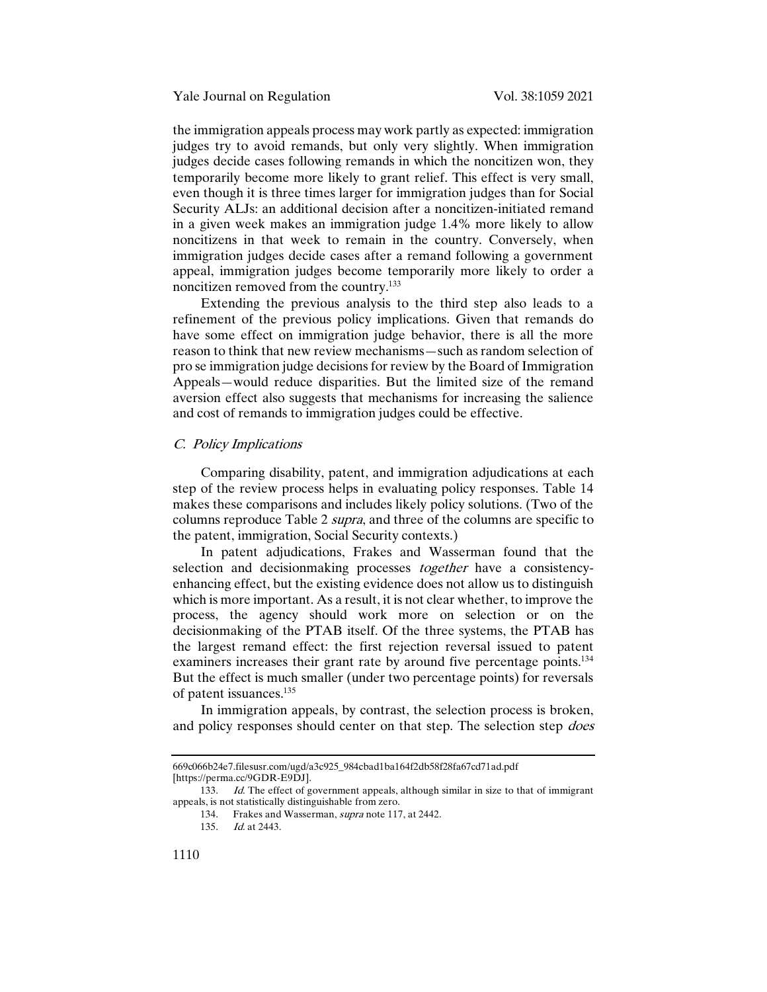the immigration appeals process may work partly as expected: immigration judges try to avoid remands, but only very slightly. When immigration judges decide cases following remands in which the noncitizen won, they temporarily become more likely to grant relief. This effect is very small, even though it is three times larger for immigration judges than for Social Security ALJs: an additional decision after a noncitizen-initiated remand in a given week makes an immigration judge 1.4% more likely to allow noncitizens in that week to remain in the country. Conversely, when immigration judges decide cases after a remand following a government appeal, immigration judges become temporarily more likely to order a noncitizen removed from the country.133

Extending the previous analysis to the third step also leads to a refinement of the previous policy implications. Given that remands do have some effect on immigration judge behavior, there is all the more reason to think that new review mechanisms—such as random selection of pro se immigration judge decisions for review by the Board of Immigration Appeals—would reduce disparities. But the limited size of the remand aversion effect also suggests that mechanisms for increasing the salience and cost of remands to immigration judges could be effective.

#### C. Policy Implications

Comparing disability, patent, and immigration adjudications at each step of the review process helps in evaluating policy responses. Table 14 makes these comparisons and includes likely policy solutions. (Two of the columns reproduce Table 2 supra, and three of the columns are specific to the patent, immigration, Social Security contexts.)

In patent adjudications, Frakes and Wasserman found that the selection and decisionmaking processes together have a consistencyenhancing effect, but the existing evidence does not allow us to distinguish which is more important. As a result, it is not clear whether, to improve the process, the agency should work more on selection or on the decisionmaking of the PTAB itself. Of the three systems, the PTAB has the largest remand effect: the first rejection reversal issued to patent examiners increases their grant rate by around five percentage points.<sup>134</sup> But the effect is much smaller (under two percentage points) for reversals of patent issuances.135

In immigration appeals, by contrast, the selection process is broken, and policy responses should center on that step. The selection step *does* 

<sup>669</sup>c066b24e7.filesusr.com/ugd/a3c925\_984cbad1ba164f2db58f28fa67cd71ad.pdf [https://perma.cc/9GDR-E9DJ].

<sup>133.</sup> Id. The effect of government appeals, although similar in size to that of immigrant appeals, is not statistically distinguishable from zero.

<sup>134.</sup> Frakes and Wasserman, *supra* note 117, at 2442.

<sup>135.</sup> Id. at 2443.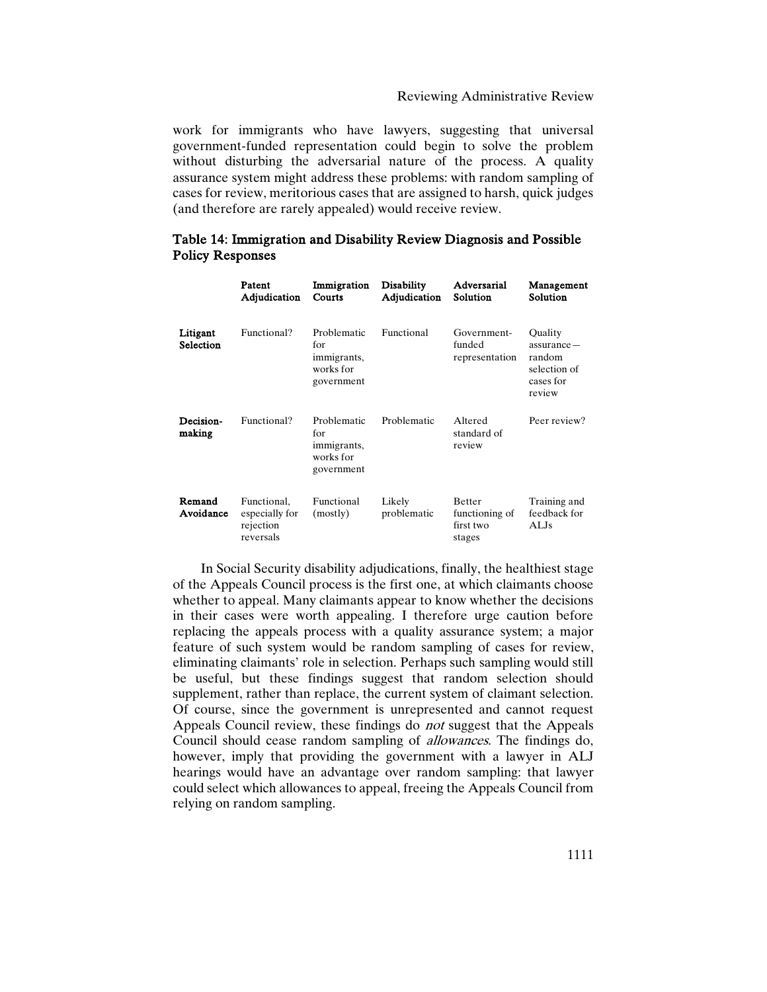work for immigrants who have lawyers, suggesting that universal government-funded representation could begin to solve the problem without disturbing the adversarial nature of the process. A quality assurance system might address these problems: with random sampling of cases for review, meritorious cases that are assigned to harsh, quick judges (and therefore are rarely appealed) would receive review.

## Table 14: Immigration and Disability Review Diagnosis and Possible Policy Responses

|                       | Patent<br>Adjudication                                  | Immigration<br>Courts                                        | <b>Disability</b><br>Adjudication | Adversarial<br>Solution                                | Management<br>Solution                                                    |
|-----------------------|---------------------------------------------------------|--------------------------------------------------------------|-----------------------------------|--------------------------------------------------------|---------------------------------------------------------------------------|
| Litigant<br>Selection | Functional?                                             | Problematic<br>for<br>immigrants,<br>works for<br>government | Functional                        | Government-<br>funded<br>representation                | Quality<br>$assurance -$<br>random<br>selection of<br>cases for<br>review |
| Decision-<br>making   | Functional?                                             | Problematic<br>for<br>immigrants,<br>works for<br>government | Problematic                       | Altered<br>standard of<br>review                       | Peer review?                                                              |
| Remand<br>Avoidance   | Functional.<br>especially for<br>rejection<br>reversals | Functional<br>(mostly)                                       | Likely<br>problematic             | <b>Better</b><br>functioning of<br>first two<br>stages | Training and<br>feedback for<br>ALJs                                      |

In Social Security disability adjudications, finally, the healthiest stage of the Appeals Council process is the first one, at which claimants choose whether to appeal. Many claimants appear to know whether the decisions in their cases were worth appealing. I therefore urge caution before replacing the appeals process with a quality assurance system; a major feature of such system would be random sampling of cases for review, eliminating claimants' role in selection. Perhaps such sampling would still be useful, but these findings suggest that random selection should supplement, rather than replace, the current system of claimant selection. Of course, since the government is unrepresented and cannot request Appeals Council review, these findings do not suggest that the Appeals Council should cease random sampling of allowances. The findings do, however, imply that providing the government with a lawyer in ALJ hearings would have an advantage over random sampling: that lawyer could select which allowances to appeal, freeing the Appeals Council from relying on random sampling.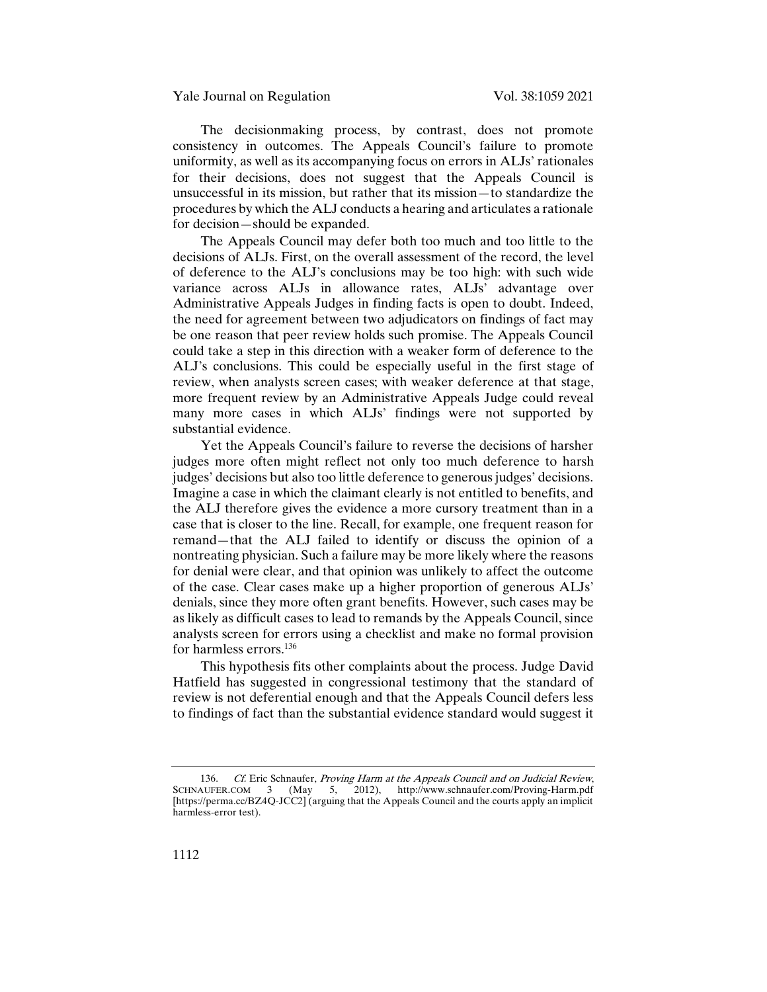The decisionmaking process, by contrast, does not promote consistency in outcomes. The Appeals Council's failure to promote uniformity, as well as its accompanying focus on errors in ALJs' rationales for their decisions, does not suggest that the Appeals Council is unsuccessful in its mission, but rather that its mission—to standardize the procedures by which the ALJ conducts a hearing and articulates a rationale for decision—should be expanded.

The Appeals Council may defer both too much and too little to the decisions of ALJs. First, on the overall assessment of the record, the level of deference to the ALJ's conclusions may be too high: with such wide variance across ALJs in allowance rates, ALJs' advantage over Administrative Appeals Judges in finding facts is open to doubt. Indeed, the need for agreement between two adjudicators on findings of fact may be one reason that peer review holds such promise. The Appeals Council could take a step in this direction with a weaker form of deference to the ALJ's conclusions. This could be especially useful in the first stage of review, when analysts screen cases; with weaker deference at that stage, more frequent review by an Administrative Appeals Judge could reveal many more cases in which ALJs' findings were not supported by substantial evidence.

Yet the Appeals Council's failure to reverse the decisions of harsher judges more often might reflect not only too much deference to harsh judges' decisions but also too little deference to generous judges' decisions. Imagine a case in which the claimant clearly is not entitled to benefits, and the ALJ therefore gives the evidence a more cursory treatment than in a case that is closer to the line. Recall, for example, one frequent reason for remand—that the ALJ failed to identify or discuss the opinion of a nontreating physician. Such a failure may be more likely where the reasons for denial were clear, and that opinion was unlikely to affect the outcome of the case. Clear cases make up a higher proportion of generous ALJs' denials, since they more often grant benefits. However, such cases may be as likely as difficult cases to lead to remands by the Appeals Council, since analysts screen for errors using a checklist and make no formal provision for harmless errors.136

This hypothesis fits other complaints about the process. Judge David Hatfield has suggested in congressional testimony that the standard of review is not deferential enough and that the Appeals Council defers less to findings of fact than the substantial evidence standard would suggest it

<sup>136.</sup> Cf. Eric Schnaufer, Proving Harm at the Appeals Council and on Judicial Review, SCHNAUFER.COM 3 (May 5, 2012), http://www.schnaufer.com/Proving-Harm.pdf [https://perma.cc/BZ4Q-JCC2] (arguing that the Appeals Council and the courts apply an implicit harmless-error test).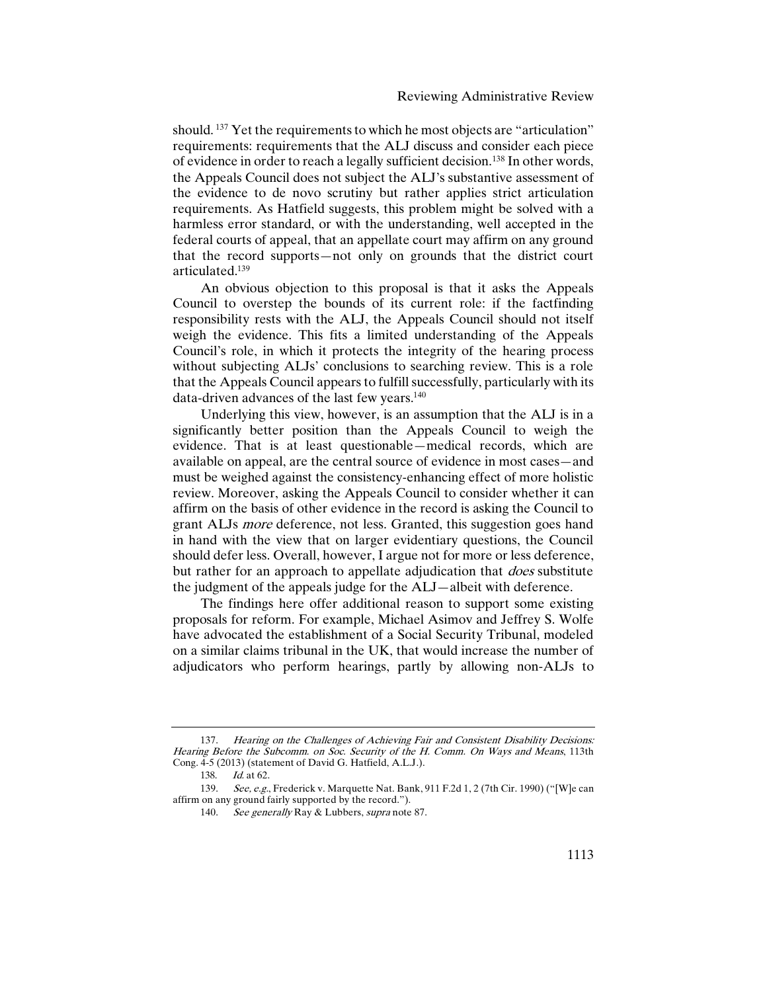should. <sup>137</sup> Yet the requirements to which he most objects are "articulation" requirements: requirements that the ALJ discuss and consider each piece of evidence in order to reach a legally sufficient decision.138 In other words, the Appeals Council does not subject the ALJ's substantive assessment of the evidence to de novo scrutiny but rather applies strict articulation requirements. As Hatfield suggests, this problem might be solved with a harmless error standard, or with the understanding, well accepted in the federal courts of appeal, that an appellate court may affirm on any ground that the record supports—not only on grounds that the district court articulated.139

An obvious objection to this proposal is that it asks the Appeals Council to overstep the bounds of its current role: if the factfinding responsibility rests with the ALJ, the Appeals Council should not itself weigh the evidence. This fits a limited understanding of the Appeals Council's role, in which it protects the integrity of the hearing process without subjecting ALJs' conclusions to searching review. This is a role that the Appeals Council appears to fulfill successfully, particularly with its data-driven advances of the last few years.<sup>140</sup>

Underlying this view, however, is an assumption that the ALJ is in a significantly better position than the Appeals Council to weigh the evidence. That is at least questionable—medical records, which are available on appeal, are the central source of evidence in most cases—and must be weighed against the consistency-enhancing effect of more holistic review. Moreover, asking the Appeals Council to consider whether it can affirm on the basis of other evidence in the record is asking the Council to grant ALJs more deference, not less. Granted, this suggestion goes hand in hand with the view that on larger evidentiary questions, the Council should defer less. Overall, however, I argue not for more or less deference, but rather for an approach to appellate adjudication that *does* substitute the judgment of the appeals judge for the ALJ—albeit with deference.

The findings here offer additional reason to support some existing proposals for reform. For example, Michael Asimov and Jeffrey S. Wolfe have advocated the establishment of a Social Security Tribunal, modeled on a similar claims tribunal in the UK, that would increase the number of adjudicators who perform hearings, partly by allowing non-ALJs to

<sup>137.</sup> Hearing on the Challenges of Achieving Fair and Consistent Disability Decisions: Hearing Before the Subcomm. on Soc. Security of the H. Comm. On Ways and Means, 113th Cong. 4-5 (2013) (statement of David G. Hatfield, A.L.J.).

<sup>138.</sup> Id. at 62.

<sup>139.</sup> See, e.g., Frederick v. Marquette Nat. Bank, 911 F.2d 1, 2 (7th Cir. 1990) ("[W]e can affirm on any ground fairly supported by the record.").

<sup>140.</sup> See generally Ray & Lubbers, supra note 87.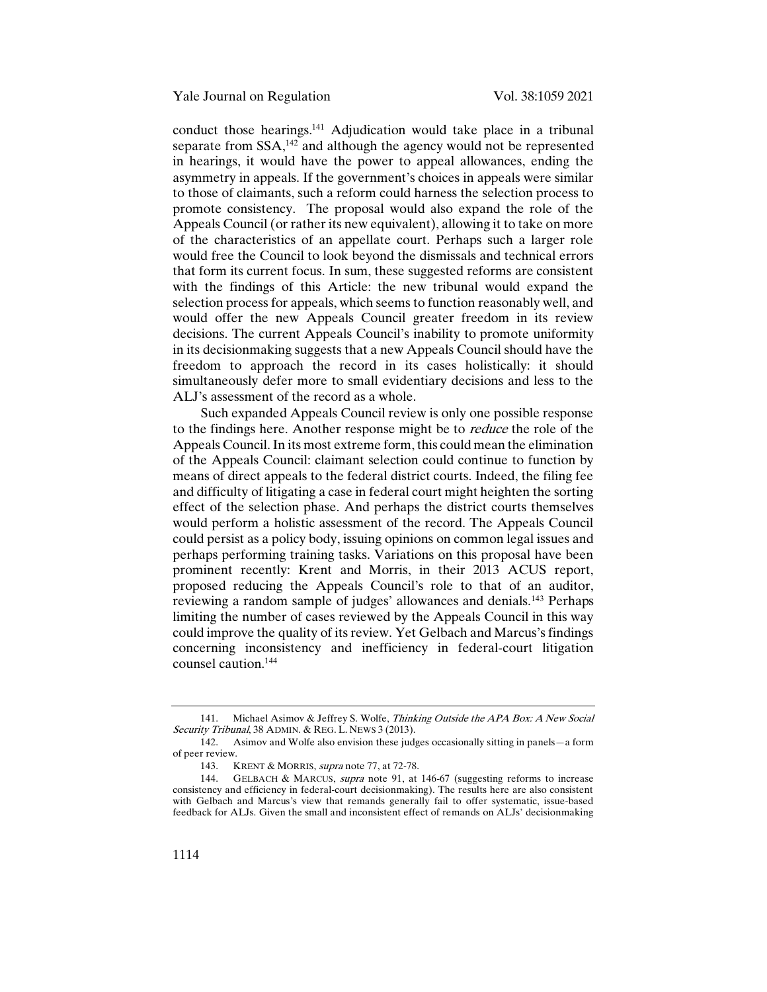conduct those hearings.141 Adjudication would take place in a tribunal separate from  $SSA$ ,<sup>142</sup> and although the agency would not be represented in hearings, it would have the power to appeal allowances, ending the asymmetry in appeals. If the government's choices in appeals were similar to those of claimants, such a reform could harness the selection process to promote consistency. The proposal would also expand the role of the Appeals Council (or rather its new equivalent), allowing it to take on more of the characteristics of an appellate court. Perhaps such a larger role would free the Council to look beyond the dismissals and technical errors that form its current focus. In sum, these suggested reforms are consistent with the findings of this Article: the new tribunal would expand the selection process for appeals, which seems to function reasonably well, and would offer the new Appeals Council greater freedom in its review decisions. The current Appeals Council's inability to promote uniformity in its decisionmaking suggests that a new Appeals Council should have the freedom to approach the record in its cases holistically: it should simultaneously defer more to small evidentiary decisions and less to the ALJ's assessment of the record as a whole.

Such expanded Appeals Council review is only one possible response to the findings here. Another response might be to reduce the role of the Appeals Council. In its most extreme form, this could mean the elimination of the Appeals Council: claimant selection could continue to function by means of direct appeals to the federal district courts. Indeed, the filing fee and difficulty of litigating a case in federal court might heighten the sorting effect of the selection phase. And perhaps the district courts themselves would perform a holistic assessment of the record. The Appeals Council could persist as a policy body, issuing opinions on common legal issues and perhaps performing training tasks. Variations on this proposal have been prominent recently: Krent and Morris, in their 2013 ACUS report, proposed reducing the Appeals Council's role to that of an auditor, reviewing a random sample of judges' allowances and denials.143 Perhaps limiting the number of cases reviewed by the Appeals Council in this way could improve the quality of its review. Yet Gelbach and Marcus's findings concerning inconsistency and inefficiency in federal-court litigation counsel caution.144

<sup>141.</sup> Michael Asimov & Jeffrey S. Wolfe, Thinking Outside the APA Box: A New Social Security Tribunal, 38 ADMIN. & REG. L. NEWS 3 (2013).

<sup>142.</sup> Asimov and Wolfe also envision these judges occasionally sitting in panels—a form of peer review.

<sup>143.</sup> KRENT & MORRIS, supra note 77, at 72-78.

<sup>144.</sup> GELBACH & MARCUS, *supra* note 91, at 146-67 (suggesting reforms to increase consistency and efficiency in federal-court decisionmaking). The results here are also consistent with Gelbach and Marcus's view that remands generally fail to offer systematic, issue-based feedback for ALJs. Given the small and inconsistent effect of remands on ALJs' decisionmaking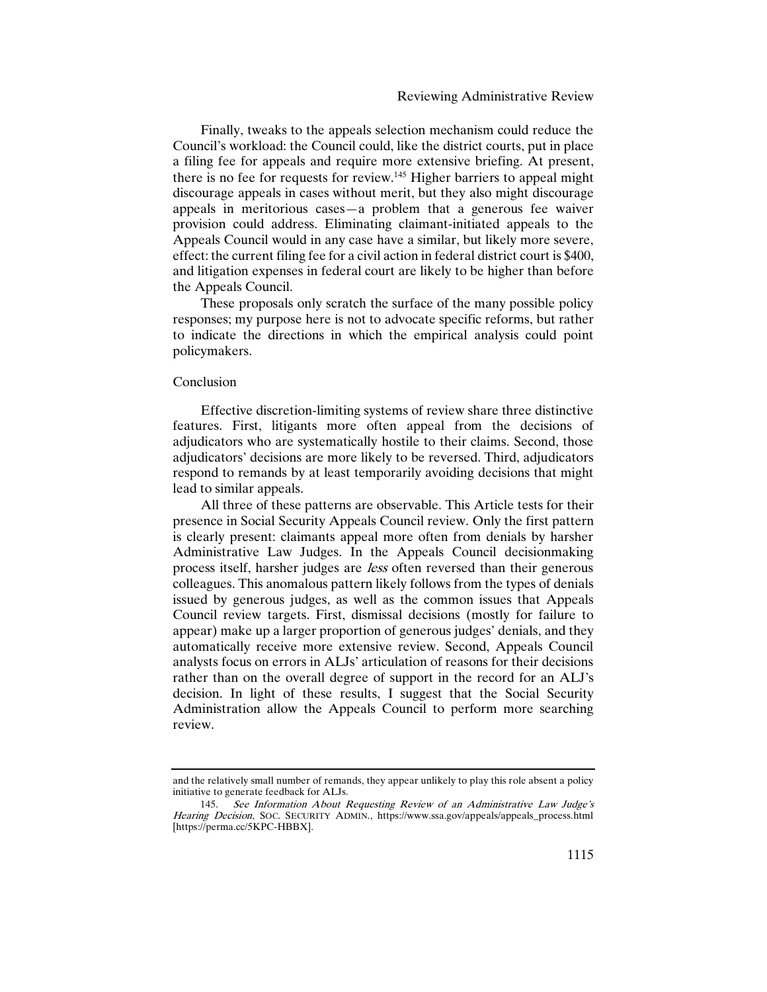#### Reviewing Administrative Review

Finally, tweaks to the appeals selection mechanism could reduce the Council's workload: the Council could, like the district courts, put in place a filing fee for appeals and require more extensive briefing. At present, there is no fee for requests for review.145 Higher barriers to appeal might discourage appeals in cases without merit, but they also might discourage appeals in meritorious cases—a problem that a generous fee waiver provision could address. Eliminating claimant-initiated appeals to the Appeals Council would in any case have a similar, but likely more severe, effect: the current filing fee for a civil action in federal district court is \$400, and litigation expenses in federal court are likely to be higher than before the Appeals Council.

These proposals only scratch the surface of the many possible policy responses; my purpose here is not to advocate specific reforms, but rather to indicate the directions in which the empirical analysis could point policymakers.

#### Conclusion

Effective discretion-limiting systems of review share three distinctive features. First, litigants more often appeal from the decisions of adjudicators who are systematically hostile to their claims. Second, those adjudicators' decisions are more likely to be reversed. Third, adjudicators respond to remands by at least temporarily avoiding decisions that might lead to similar appeals.

All three of these patterns are observable. This Article tests for their presence in Social Security Appeals Council review. Only the first pattern is clearly present: claimants appeal more often from denials by harsher Administrative Law Judges. In the Appeals Council decisionmaking process itself, harsher judges are less often reversed than their generous colleagues. This anomalous pattern likely follows from the types of denials issued by generous judges, as well as the common issues that Appeals Council review targets. First, dismissal decisions (mostly for failure to appear) make up a larger proportion of generous judges' denials, and they automatically receive more extensive review. Second, Appeals Council analysts focus on errors in ALJs' articulation of reasons for their decisions rather than on the overall degree of support in the record for an ALJ's decision. In light of these results, I suggest that the Social Security Administration allow the Appeals Council to perform more searching review.

and the relatively small number of remands, they appear unlikely to play this role absent a policy initiative to generate feedback for ALJs.

<sup>145.</sup> See Information About Requesting Review of an Administrative Law Judge's Hearing Decision, SOC. SECURITY ADMIN., https://www.ssa.gov/appeals/appeals\_process.html [https://perma.cc/5KPC-HBBX].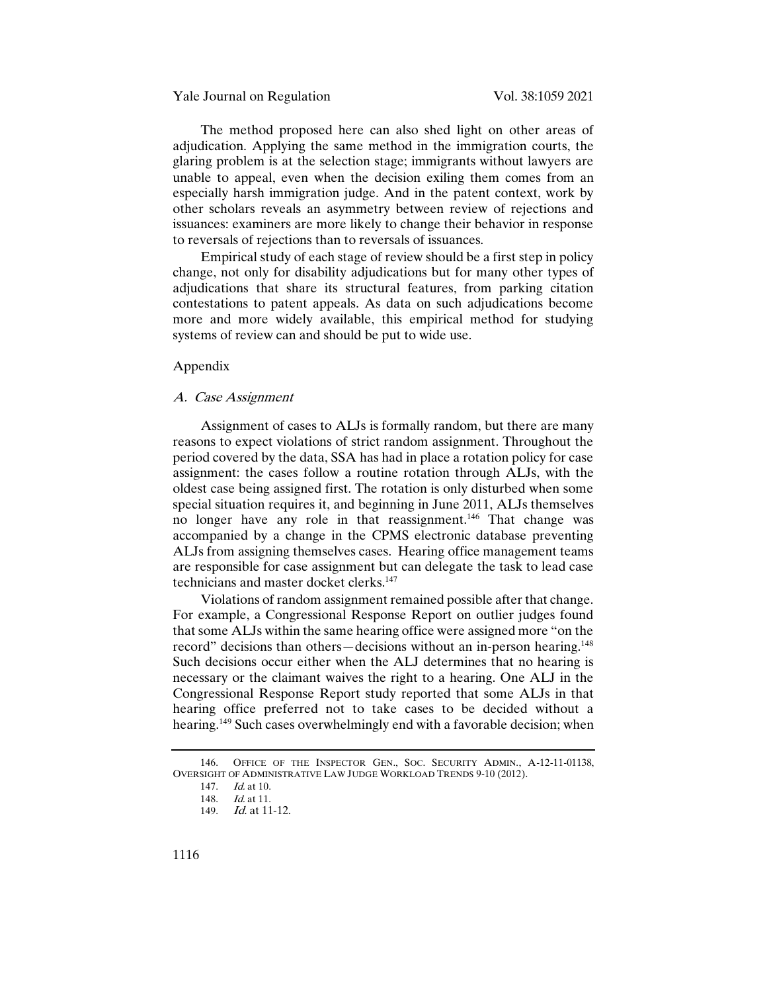#### Yale Journal on Regulation Vol. 38:1059 2021

The method proposed here can also shed light on other areas of adjudication. Applying the same method in the immigration courts, the glaring problem is at the selection stage; immigrants without lawyers are unable to appeal, even when the decision exiling them comes from an especially harsh immigration judge. And in the patent context, work by other scholars reveals an asymmetry between review of rejections and issuances: examiners are more likely to change their behavior in response to reversals of rejections than to reversals of issuances.

Empirical study of each stage of review should be a first step in policy change, not only for disability adjudications but for many other types of adjudications that share its structural features, from parking citation contestations to patent appeals. As data on such adjudications become more and more widely available, this empirical method for studying systems of review can and should be put to wide use.

## Appendix

#### A. Case Assignment

Assignment of cases to ALJs is formally random, but there are many reasons to expect violations of strict random assignment. Throughout the period covered by the data, SSA has had in place a rotation policy for case assignment: the cases follow a routine rotation through ALJs, with the oldest case being assigned first. The rotation is only disturbed when some special situation requires it, and beginning in June 2011, ALJs themselves no longer have any role in that reassignment.146 That change was accompanied by a change in the CPMS electronic database preventing ALJs from assigning themselves cases. Hearing office management teams are responsible for case assignment but can delegate the task to lead case technicians and master docket clerks.147

Violations of random assignment remained possible after that change. For example, a Congressional Response Report on outlier judges found that some ALJs within the same hearing office were assigned more "on the record" decisions than others—decisions without an in-person hearing.<sup>148</sup> Such decisions occur either when the ALJ determines that no hearing is necessary or the claimant waives the right to a hearing. One ALJ in the Congressional Response Report study reported that some ALJs in that hearing office preferred not to take cases to be decided without a hearing.149 Such cases overwhelmingly end with a favorable decision; when

<sup>146.</sup> OFFICE OF THE INSPECTOR GEN., SOC. SECURITY ADMIN., A-12-11-01138, OVERSIGHT OF ADMINISTRATIVE LAW JUDGE WORKLOAD TRENDS 9-10 (2012).

<sup>147.</sup> Id. at 10.

<sup>148.</sup> *Id.* at 11.<br>149. *Id.* at 11

*Id.* at 11-12.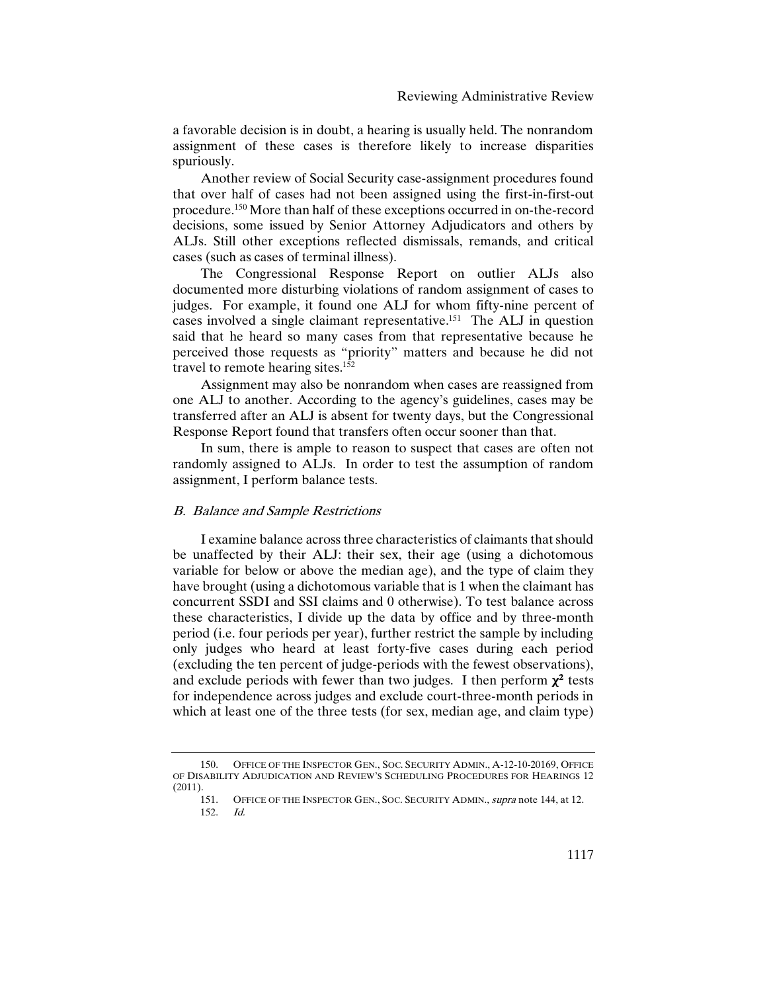a favorable decision is in doubt, a hearing is usually held. The nonrandom assignment of these cases is therefore likely to increase disparities spuriously.

Another review of Social Security case-assignment procedures found that over half of cases had not been assigned using the first-in-first-out procedure.150 More than half of these exceptions occurred in on-the-record decisions, some issued by Senior Attorney Adjudicators and others by ALJs. Still other exceptions reflected dismissals, remands, and critical cases (such as cases of terminal illness).

The Congressional Response Report on outlier ALJs also documented more disturbing violations of random assignment of cases to judges. For example, it found one ALJ for whom fifty-nine percent of cases involved a single claimant representative.151 The ALJ in question said that he heard so many cases from that representative because he perceived those requests as "priority" matters and because he did not travel to remote hearing sites.152

Assignment may also be nonrandom when cases are reassigned from one ALJ to another. According to the agency's guidelines, cases may be transferred after an ALJ is absent for twenty days, but the Congressional Response Report found that transfers often occur sooner than that.

In sum, there is ample to reason to suspect that cases are often not randomly assigned to ALJs. In order to test the assumption of random assignment, I perform balance tests.

#### B. Balance and Sample Restrictions

I examine balance across three characteristics of claimants that should be unaffected by their ALJ: their sex, their age (using a dichotomous variable for below or above the median age), and the type of claim they have brought (using a dichotomous variable that is 1 when the claimant has concurrent SSDI and SSI claims and 0 otherwise). To test balance across these characteristics, I divide up the data by office and by three-month period (i.e. four periods per year), further restrict the sample by including only judges who heard at least forty-five cases during each period (excluding the ten percent of judge-periods with the fewest observations), and exclude periods with fewer than two judges. I then perform  $\chi^2$  tests for independence across judges and exclude court-three-month periods in which at least one of the three tests (for sex, median age, and claim type)

<sup>150.</sup> OFFICE OF THE INSPECTOR GEN., SOC. SECURITY ADMIN., A-12-10-20169, OFFICE OF DISABILITY ADJUDICATION AND REVIEW'S SCHEDULING PROCEDURES FOR HEARINGS 12 (2011).

<sup>151.</sup> OFFICE OF THE INSPECTOR GEN., SOC. SECURITY ADMIN., supra note 144, at 12.  $152 \quad Id$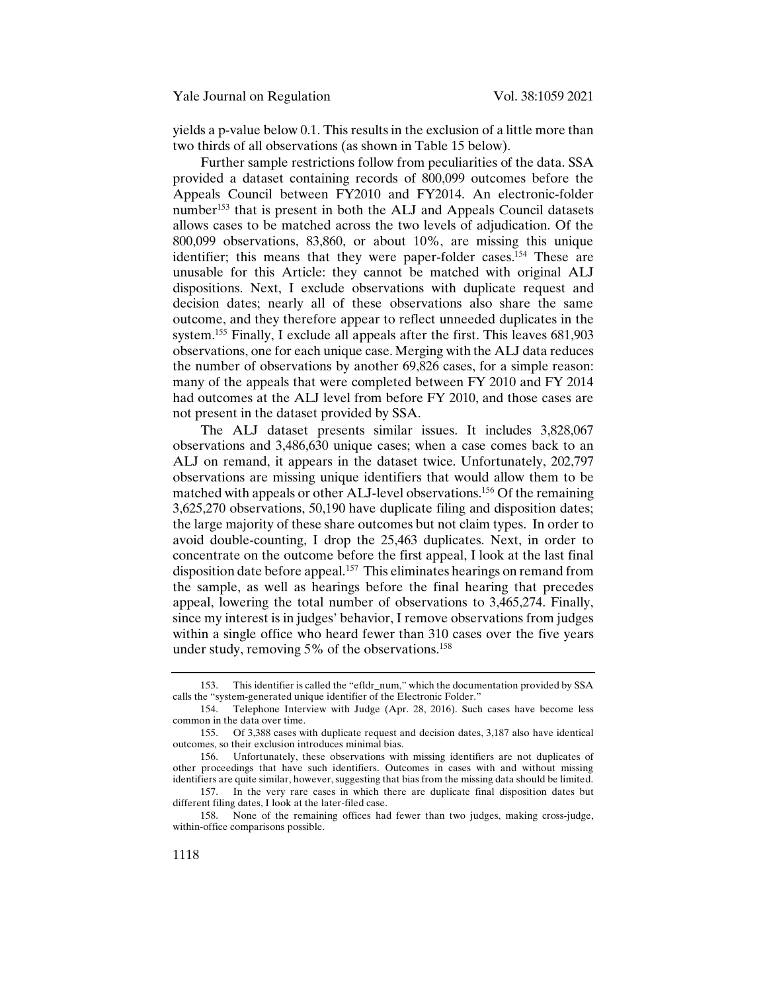yields a p-value below 0.1. This results in the exclusion of a little more than two thirds of all observations (as shown in Table 15 below).

Further sample restrictions follow from peculiarities of the data. SSA provided a dataset containing records of 800,099 outcomes before the Appeals Council between FY2010 and FY2014. An electronic-folder number<sup>153</sup> that is present in both the ALJ and Appeals Council datasets allows cases to be matched across the two levels of adjudication. Of the 800,099 observations, 83,860, or about 10%, are missing this unique identifier; this means that they were paper-folder cases.<sup>154</sup> These are unusable for this Article: they cannot be matched with original ALJ dispositions. Next, I exclude observations with duplicate request and decision dates; nearly all of these observations also share the same outcome, and they therefore appear to reflect unneeded duplicates in the system.155 Finally, I exclude all appeals after the first. This leaves 681,903 observations, one for each unique case. Merging with the ALJ data reduces the number of observations by another 69,826 cases, for a simple reason: many of the appeals that were completed between FY 2010 and FY 2014 had outcomes at the ALJ level from before FY 2010, and those cases are not present in the dataset provided by SSA.

The ALJ dataset presents similar issues. It includes 3,828,067 observations and 3,486,630 unique cases; when a case comes back to an ALJ on remand, it appears in the dataset twice. Unfortunately, 202,797 observations are missing unique identifiers that would allow them to be matched with appeals or other ALJ-level observations.156 Of the remaining 3,625,270 observations, 50,190 have duplicate filing and disposition dates; the large majority of these share outcomes but not claim types. In order to avoid double-counting, I drop the 25,463 duplicates. Next, in order to concentrate on the outcome before the first appeal, I look at the last final disposition date before appeal.<sup>157</sup> This eliminates hearings on remand from the sample, as well as hearings before the final hearing that precedes appeal, lowering the total number of observations to 3,465,274. Finally, since my interest is in judges' behavior, I remove observations from judges within a single office who heard fewer than 310 cases over the five years under study, removing  $5\%$  of the observations.<sup>158</sup>

<sup>153.</sup> This identifier is called the "efldr\_num," which the documentation provided by SSA calls the "system-generated unique identifier of the Electronic Folder."

<sup>154.</sup> Telephone Interview with Judge (Apr. 28, 2016). Such cases have become less common in the data over time.

<sup>155.</sup> Of 3,388 cases with duplicate request and decision dates, 3,187 also have identical outcomes, so their exclusion introduces minimal bias.

<sup>156.</sup> Unfortunately, these observations with missing identifiers are not duplicates of other proceedings that have such identifiers. Outcomes in cases with and without missing identifiers are quite similar, however, suggesting that bias from the missing data should be limited.

<sup>157.</sup> In the very rare cases in which there are duplicate final disposition dates but different filing dates, I look at the later-filed case.

<sup>158.</sup> None of the remaining offices had fewer than two judges, making cross-judge, within-office comparisons possible.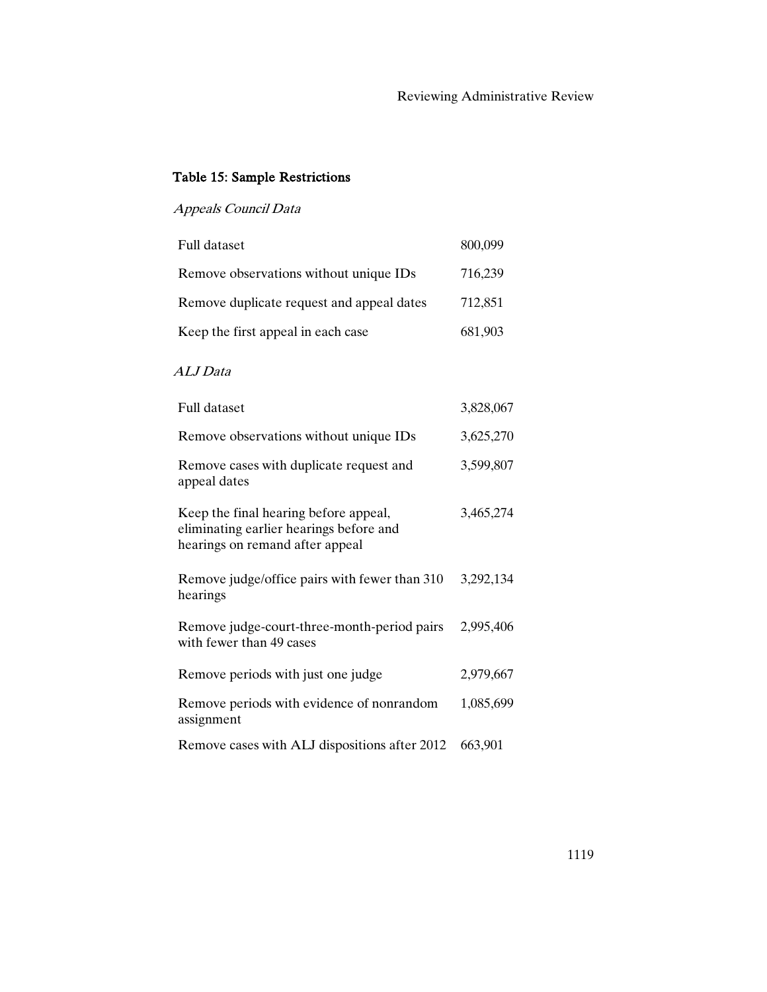## Table 15: Sample Restrictions

# Appeals Council Data

| Full dataset                              | 800,099 |
|-------------------------------------------|---------|
| Remove observations without unique IDs    | 716,239 |
| Remove duplicate request and appeal dates | 712,851 |
| Keep the first appeal in each case        | 681,903 |

## ALJ Data

| Full dataset                                                                                                        | 3,828,067 |
|---------------------------------------------------------------------------------------------------------------------|-----------|
| Remove observations without unique IDs                                                                              | 3,625,270 |
| Remove cases with duplicate request and<br>appeal dates                                                             | 3,599,807 |
| Keep the final hearing before appeal,<br>eliminating earlier hearings before and<br>hearings on remand after appeal | 3,465,274 |
| Remove judge/office pairs with fewer than 310<br>hearings                                                           | 3,292,134 |
| Remove judge-court-three-month-period pairs<br>with fewer than 49 cases                                             | 2,995,406 |
| Remove periods with just one judge                                                                                  | 2,979,667 |
| Remove periods with evidence of nonrandom<br>assignment                                                             | 1,085,699 |
| Remove cases with ALJ dispositions after 2012                                                                       | 663,901   |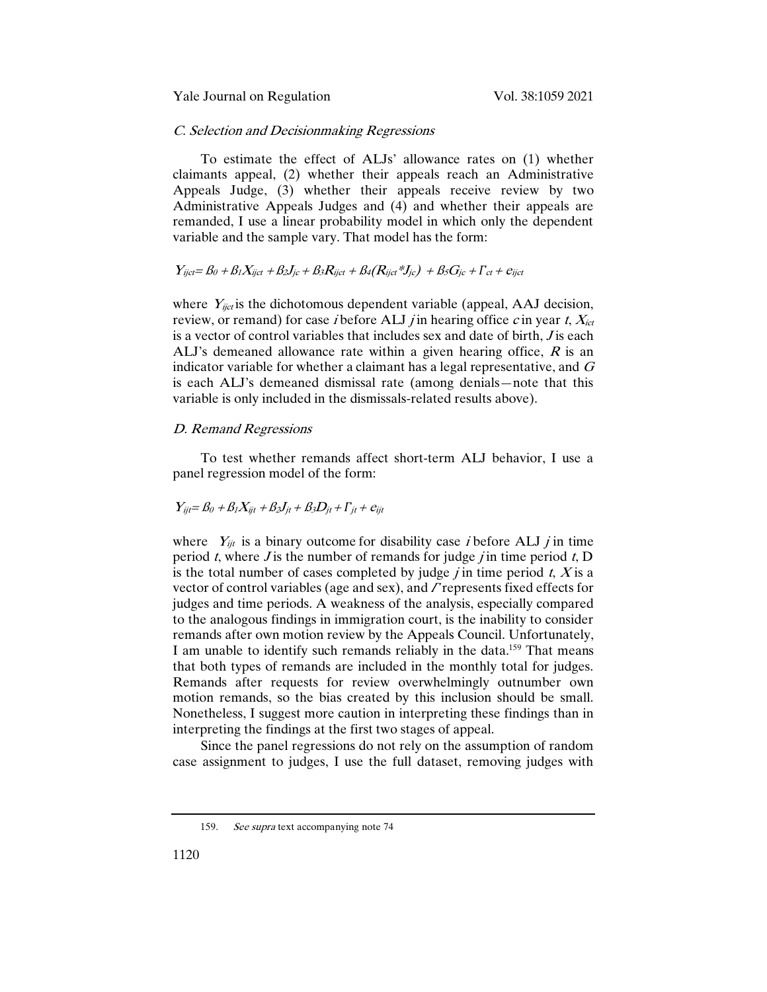Yale Journal on Regulation Vol. 38:1059 2021

#### C. Selection and Decisionmaking Regressions

To estimate the effect of ALJs' allowance rates on (1) whether claimants appeal, (2) whether their appeals reach an Administrative Appeals Judge, (3) whether their appeals receive review by two Administrative Appeals Judges and (4) and whether their appeals are remanded, I use a linear probability model in which only the dependent variable and the sample vary. That model has the form:

## $Y_{ijct} = \beta_0 + \beta_1 X_{ijct} + \beta_2 J_{ic} + \beta_3 R_{ijct} + \beta_4 (R_{ijct} * J_{ic}) + \beta_5 G_{ic} + \Gamma_{ct} + \mathcal{C}_{ijct}$

where  $Y_{ijct}$  is the dichotomous dependent variable (appeal, AAJ decision, review, or remand) for case *i* before ALJ *j* in hearing office *c* in year *t*,  $X_{ict}$ is a vector of control variables that includes sex and date of birth, *J* is each ALJ's demeaned allowance rate within a given hearing office,  $R$  is an indicator variable for whether a claimant has a legal representative, and  $G$ is each ALJ's demeaned dismissal rate (among denials—note that this variable is only included in the dismissals-related results above).

#### D. Remand Regressions

To test whether remands affect short-term ALJ behavior, I use a panel regression model of the form:

#### $Y_{ijt} = \beta_0 + \beta_1 X_{ijt} + \beta_2 J_{jt} + \beta_3 D_{jt} + \Gamma_{jt} + e_{ijt}$

where  $Y_{ijt}$  is a binary outcome for disability case *i* before ALJ *j* in time period  $t$ , where  $J$  is the number of remands for judge  $j$  in time period  $t$ , D is the total number of cases completed by judge  $j$  in time period  $t$ ,  $X$  is a vector of control variables (age and sex), and  $\Gamma$  represents fixed effects for judges and time periods. A weakness of the analysis, especially compared to the analogous findings in immigration court, is the inability to consider remands after own motion review by the Appeals Council. Unfortunately, I am unable to identify such remands reliably in the data.159 That means that both types of remands are included in the monthly total for judges. Remands after requests for review overwhelmingly outnumber own motion remands, so the bias created by this inclusion should be small. Nonetheless, I suggest more caution in interpreting these findings than in interpreting the findings at the first two stages of appeal.

Since the panel regressions do not rely on the assumption of random case assignment to judges, I use the full dataset, removing judges with

<sup>159.</sup> See supra text accompanying note 74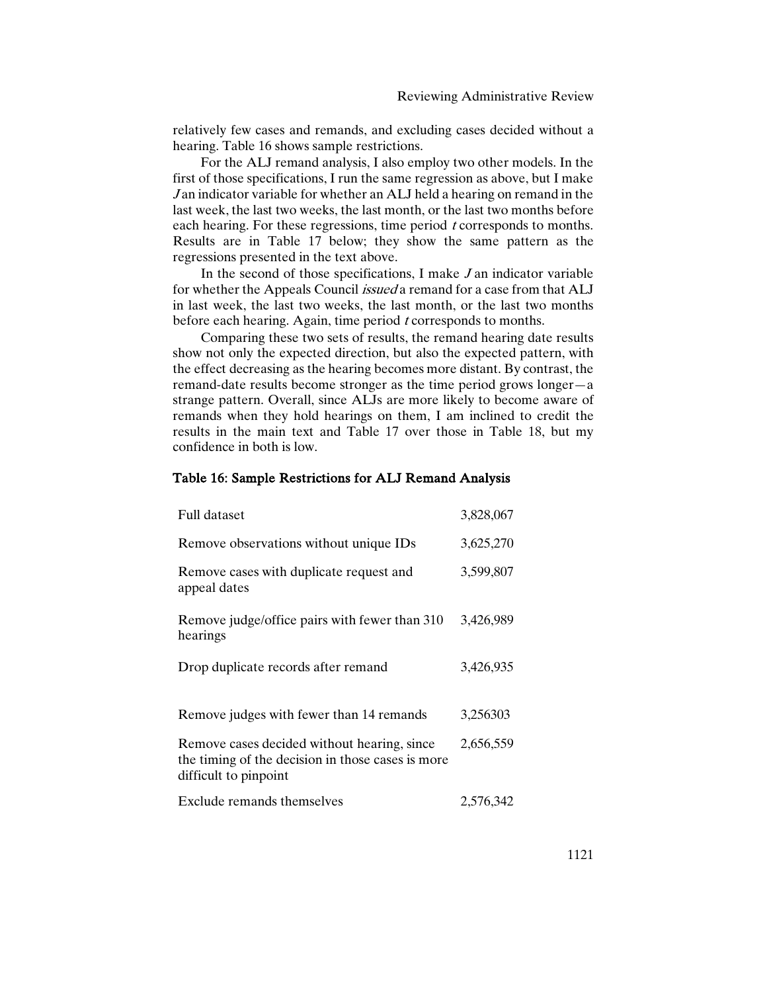relatively few cases and remands, and excluding cases decided without a hearing. Table 16 shows sample restrictions.

For the ALJ remand analysis, I also employ two other models. In the first of those specifications, I run the same regression as above, but I make Jan indicator variable for whether an ALJ held a hearing on remand in the last week, the last two weeks, the last month, or the last two months before each hearing. For these regressions, time period *t* corresponds to months. Results are in Table 17 below; they show the same pattern as the regressions presented in the text above.

In the second of those specifications, I make  $J$  an indicator variable for whether the Appeals Council *issued* a remand for a case from that ALJ in last week, the last two weeks, the last month, or the last two months before each hearing. Again, time period *t* corresponds to months.

Comparing these two sets of results, the remand hearing date results show not only the expected direction, but also the expected pattern, with the effect decreasing as the hearing becomes more distant. By contrast, the remand-date results become stronger as the time period grows longer—a strange pattern. Overall, since ALJs are more likely to become aware of remands when they hold hearings on them, I am inclined to credit the results in the main text and Table 17 over those in Table 18, but my confidence in both is low.

## Table 16: Sample Restrictions for ALJ Remand Analysis

| <b>Full dataset</b>                                                                                                       | 3,828,067 |
|---------------------------------------------------------------------------------------------------------------------------|-----------|
| Remove observations without unique IDs                                                                                    | 3,625,270 |
| Remove cases with duplicate request and<br>appeal dates                                                                   | 3,599,807 |
| Remove judge/office pairs with fewer than 310<br>hearings                                                                 | 3,426,989 |
| Drop duplicate records after remand                                                                                       | 3,426,935 |
| Remove judges with fewer than 14 remands                                                                                  | 3,256303  |
| Remove cases decided without hearing, since<br>the timing of the decision in those cases is more<br>difficult to pinpoint | 2,656,559 |
| Exclude remands themselves                                                                                                | 2,576,342 |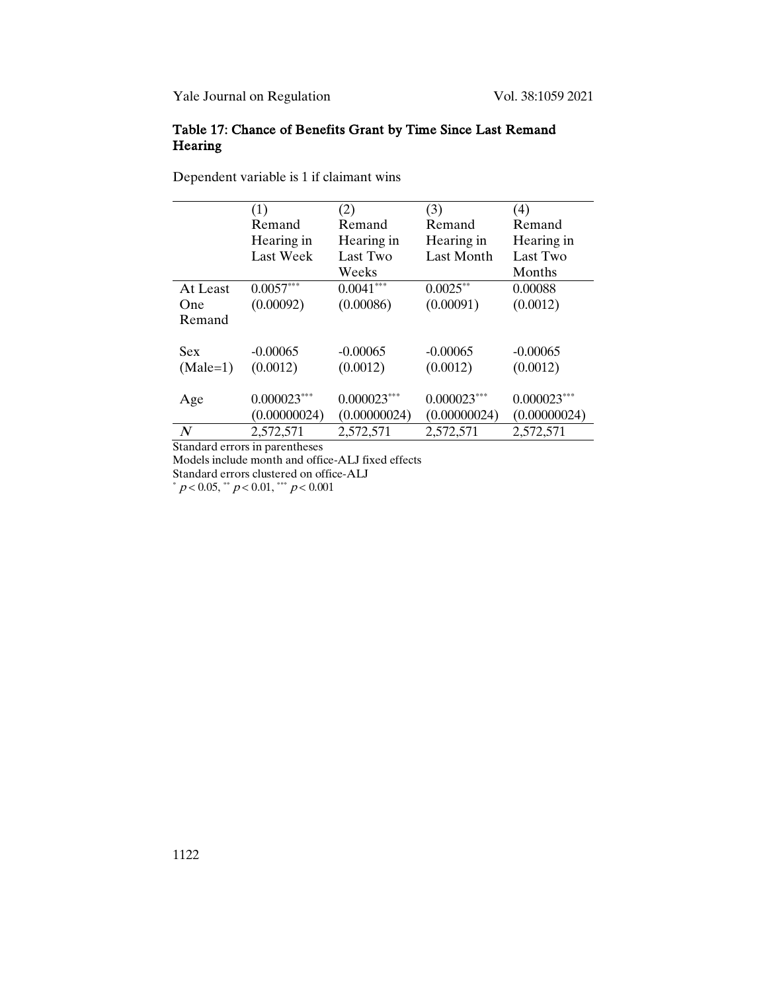## Table 17: Chance of Benefits Grant by Time Since Last Remand Hearing

Dependent variable is 1 if claimant wins

|                  | (1)              | (2)           | (3)               | (4)           |
|------------------|------------------|---------------|-------------------|---------------|
|                  | Remand           | Remand        | Remand            | Remand        |
|                  | Hearing in       | Hearing in    | Hearing in        | Hearing in    |
|                  | <b>Last Week</b> | Last Two      | <b>Last Month</b> | Last Two      |
|                  |                  | Weeks         |                   | Months        |
| At Least         | $0.0057***$      | $0.0041***$   | $0.0025***$       | 0.00088       |
| One              | (0.00092)        | (0.00086)     | (0.00091)         | (0.0012)      |
| Remand           |                  |               |                   |               |
| <b>Sex</b>       | $-0.00065$       | $-0.00065$    | $-0.00065$        | $-0.00065$    |
| $(Male=1)$       | (0.0012)         | (0.0012)      | (0.0012)          | (0.0012)      |
| Age              | $0.000023***$    | $0.000023***$ | $0.000023***$     | $0.000023***$ |
|                  | (0.00000024)     | (0.00000024)  | (0.00000024)      | (0.00000024)  |
| $\boldsymbol{N}$ | 2,572,571        | 2,572,571     | 2,572,571         | 2,572,571     |

Standard errors in parentheses

Models include month and office-ALJ fixed effects Standard errors clustered on office-ALJ  $p < 0.05$ , \*\*  $p < 0.01$ , \*\*\*  $p < 0.001$